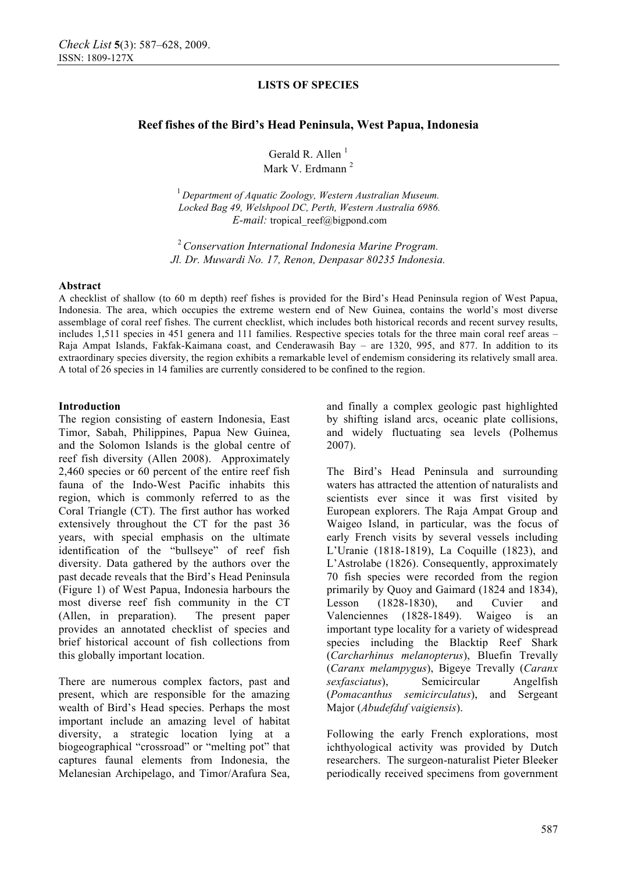## **Reef fishes of the Bird's Head Peninsula, West Papua, Indonesia**

Gerald R. Allen $<sup>1</sup>$ </sup> Mark V. Erdmann<sup>2</sup>

<sup>1</sup> Department of Aquatic Zoology, Western Australian Museum.  *Locked Bag 49, Welshpool DC, Perth, Western Australia 6986. E-mail:* tropical reef@bigpond.com

<sup>2</sup>*Conservation International Indonesia Marine Program. Jl. Dr. Muwardi No. 17, Renon, Denpasar 80235 Indonesia.* 

#### **Abstract**

A checklist of shallow (to 60 m depth) reef fishes is provided for the Bird's Head Peninsula region of West Papua, Indonesia. The area, which occupies the extreme western end of New Guinea, contains the world's most diverse assemblage of coral reef fishes. The current checklist, which includes both historical records and recent survey results, includes 1,511 species in 451 genera and 111 families. Respective species totals for the three main coral reef areas – Raja Ampat Islands, Fakfak-Kaimana coast, and Cenderawasih Bay – are 1320, 995, and 877. In addition to its extraordinary species diversity, the region exhibits a remarkable level of endemism considering its relatively small area. A total of 26 species in 14 families are currently considered to be confined to the region.

#### **Introduction**

The region consisting of eastern Indonesia, East Timor, Sabah, Philippines, Papua New Guinea, and the Solomon Islands is the global centre of reef fish diversity (Allen 2008). Approximately 2,460 species or 60 percent of the entire reef fish fauna of the Indo-West Pacific inhabits this region, which is commonly referred to as the Coral Triangle (CT). The first author has worked extensively throughout the CT for the past 36 years, with special emphasis on the ultimate identification of the "bullseye" of reef fish diversity. Data gathered by the authors over the past decade reveals that the Bird's Head Peninsula (Figure 1) of West Papua, Indonesia harbours the most diverse reef fish community in the CT (Allen, in preparation). The present paper provides an annotated checklist of species and brief historical account of fish collections from this globally important location.

There are numerous complex factors, past and present, which are responsible for the amazing wealth of Bird's Head species. Perhaps the most important include an amazing level of habitat diversity, a strategic location lying at a biogeographical "crossroad" or "melting pot" that captures faunal elements from Indonesia, the Melanesian Archipelago, and Timor/Arafura Sea,

and finally a complex geologic past highlighted by shifting island arcs, oceanic plate collisions, and widely fluctuating sea levels (Polhemus 2007).

The Bird's Head Peninsula and surrounding waters has attracted the attention of naturalists and scientists ever since it was first visited by European explorers. The Raja Ampat Group and Waigeo Island, in particular, was the focus of early French visits by several vessels including L'Uranie (1818-1819), La Coquille (1823), and L'Astrolabe (1826). Consequently, approximately 70 fish species were recorded from the region primarily by Quoy and Gaimard (1824 and 1834), Lesson (1828-1830), and Cuvier and Valenciennes (1828-1849). Waigeo is an important type locality for a variety of widespread species including the Blacktip Reef Shark (*Carcharhinus melanopterus*), Bluefin Trevally (*Caranx melampygus*), Bigeye Trevally (*Caranx sexfasciatus*), Semicircular Angelfish (*Pomacanthus semicirculatus*), and Sergeant Major (*Abudefduf vaigiensis*).

Following the early French explorations, most ichthyological activity was provided by Dutch researchers. The surgeon-naturalist Pieter Bleeker periodically received specimens from government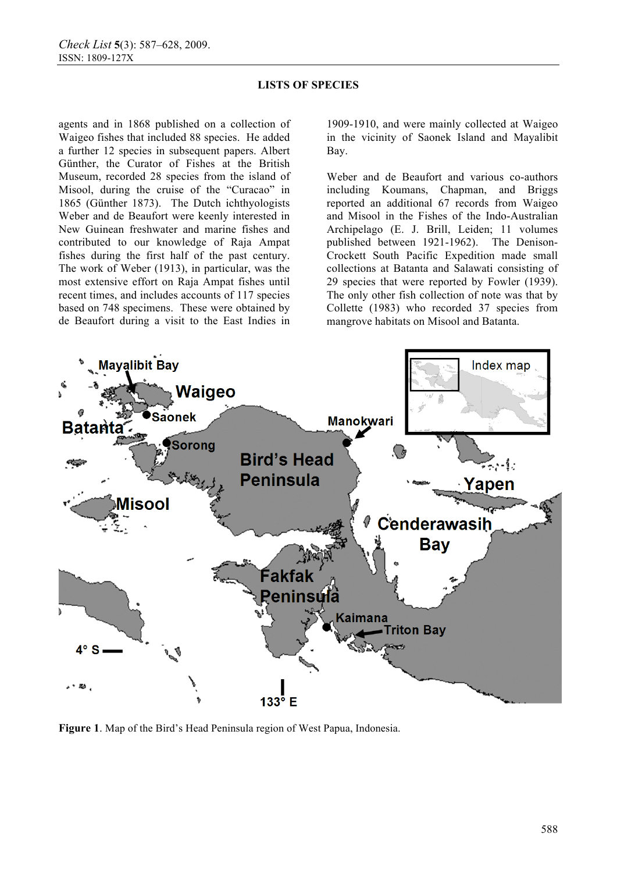agents and in 1868 published on a collection of Waigeo fishes that included 88 species. He added a further 12 species in subsequent papers. Albert Günther, the Curator of Fishes at the British Museum, recorded 28 species from the island of Misool, during the cruise of the "Curacao" in 1865 (Günther 1873). The Dutch ichthyologists Weber and de Beaufort were keenly interested in New Guinean freshwater and marine fishes and contributed to our knowledge of Raja Ampat fishes during the first half of the past century. The work of Weber (1913), in particular, was the most extensive effort on Raja Ampat fishes until recent times, and includes accounts of 117 species based on 748 specimens. These were obtained by de Beaufort during a visit to the East Indies in 1909-1910, and were mainly collected at Waigeo in the vicinity of Saonek Island and Mayalibit Bay.

Weber and de Beaufort and various co-authors including Koumans, Chapman, and Briggs reported an additional 67 records from Waigeo and Misool in the Fishes of the Indo-Australian Archipelago (E. J. Brill, Leiden; 11 volumes published between 1921-1962). The Denison-Crockett South Pacific Expedition made small collections at Batanta and Salawati consisting of 29 species that were reported by Fowler (1939). The only other fish collection of note was that by Collette (1983) who recorded 37 species from mangrove habitats on Misool and Batanta.



**Figure 1**. Map of the Bird's Head Peninsula region of West Papua, Indonesia.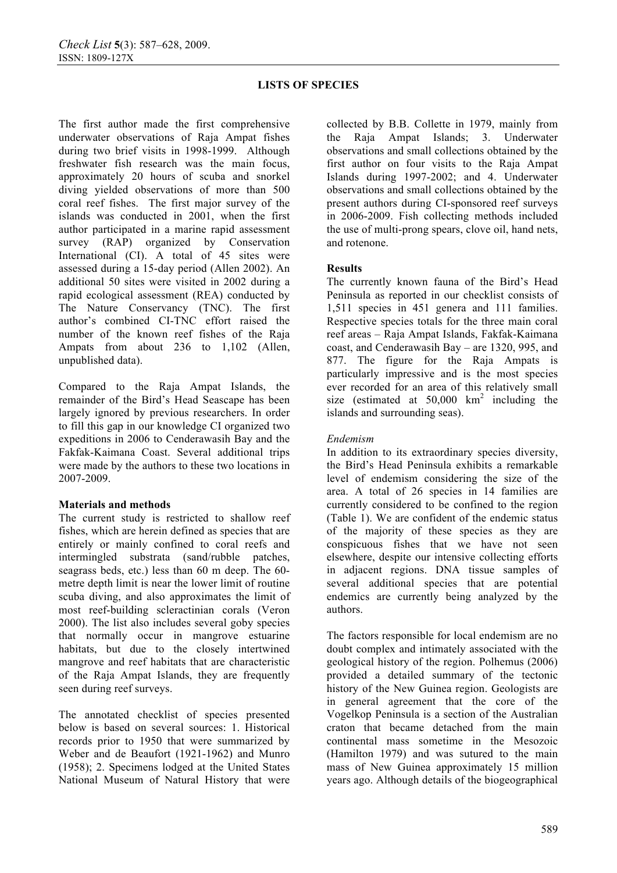The first author made the first comprehensive underwater observations of Raja Ampat fishes during two brief visits in 1998-1999. Although freshwater fish research was the main focus, approximately 20 hours of scuba and snorkel diving yielded observations of more than 500 coral reef fishes. The first major survey of the islands was conducted in 2001, when the first author participated in a marine rapid assessment survey (RAP) organized by Conservation International (CI). A total of 45 sites were assessed during a 15-day period (Allen 2002). An additional 50 sites were visited in 2002 during a rapid ecological assessment (REA) conducted by The Nature Conservancy (TNC). The first author's combined CI-TNC effort raised the number of the known reef fishes of the Raja Ampats from about 236 to 1,102 (Allen, unpublished data).

Compared to the Raja Ampat Islands, the remainder of the Bird's Head Seascape has been largely ignored by previous researchers. In order to fill this gap in our knowledge CI organized two expeditions in 2006 to Cenderawasih Bay and the Fakfak-Kaimana Coast. Several additional trips were made by the authors to these two locations in 2007-2009.

### **Materials and methods**

The current study is restricted to shallow reef fishes, which are herein defined as species that are entirely or mainly confined to coral reefs and intermingled substrata (sand/rubble patches, seagrass beds, etc.) less than 60 m deep. The 60 metre depth limit is near the lower limit of routine scuba diving, and also approximates the limit of most reef-building scleractinian corals (Veron 2000). The list also includes several goby species that normally occur in mangrove estuarine habitats, but due to the closely intertwined mangrove and reef habitats that are characteristic of the Raja Ampat Islands, they are frequently seen during reef surveys.

The annotated checklist of species presented below is based on several sources: 1. Historical records prior to 1950 that were summarized by Weber and de Beaufort (1921-1962) and Munro (1958); 2. Specimens lodged at the United States National Museum of Natural History that were

collected by B.B. Collette in 1979, mainly from the Raja Ampat Islands; 3. Underwater observations and small collections obtained by the first author on four visits to the Raja Ampat Islands during 1997-2002; and 4. Underwater observations and small collections obtained by the present authors during CI-sponsored reef surveys in 2006-2009. Fish collecting methods included the use of multi-prong spears, clove oil, hand nets, and rotenone.

## **Results**

The currently known fauna of the Bird's Head Peninsula as reported in our checklist consists of 1,511 species in 451 genera and 111 families. Respective species totals for the three main coral reef areas – Raja Ampat Islands, Fakfak-Kaimana coast, and Cenderawasih Bay – are 1320, 995, and 877. The figure for the Raja Ampats is particularly impressive and is the most species ever recorded for an area of this relatively small size (estimated at  $50,000 \text{ km}^2$  including the islands and surrounding seas).

## *Endemism*

In addition to its extraordinary species diversity, the Bird's Head Peninsula exhibits a remarkable level of endemism considering the size of the area. A total of 26 species in 14 families are currently considered to be confined to the region (Table 1). We are confident of the endemic status of the majority of these species as they are conspicuous fishes that we have not seen elsewhere, despite our intensive collecting efforts in adjacent regions. DNA tissue samples of several additional species that are potential endemics are currently being analyzed by the authors.

The factors responsible for local endemism are no doubt complex and intimately associated with the geological history of the region. Polhemus (2006) provided a detailed summary of the tectonic history of the New Guinea region. Geologists are in general agreement that the core of the Vogelkop Peninsula is a section of the Australian craton that became detached from the main continental mass sometime in the Mesozoic (Hamilton 1979) and was sutured to the main mass of New Guinea approximately 15 million years ago. Although details of the biogeographical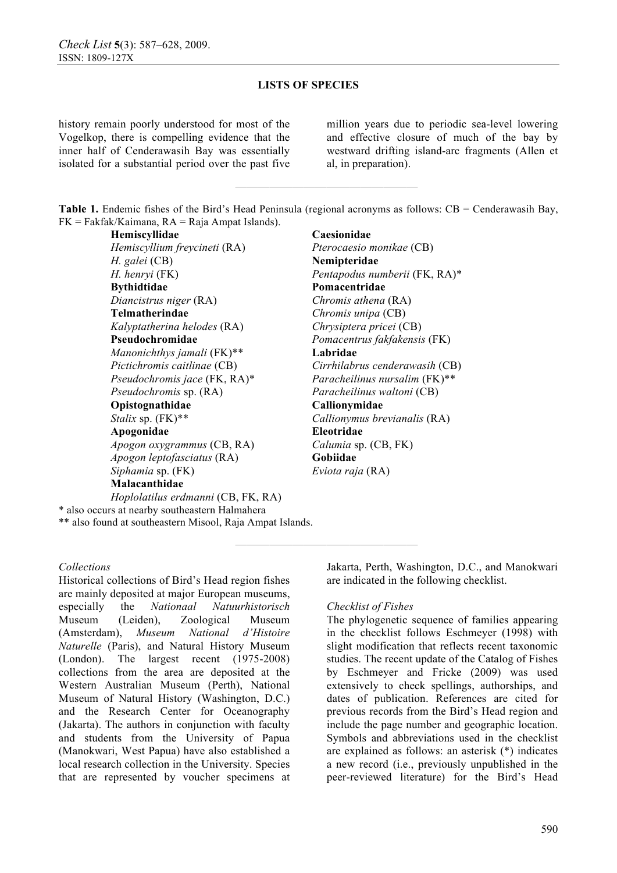history remain poorly understood for most of the Vogelkop, there is compelling evidence that the inner half of Cenderawasih Bay was essentially isolated for a substantial period over the past five million years due to periodic sea-level lowering and effective closure of much of the bay by westward drifting island-arc fragments (Allen et al, in preparation).

**Table 1.** Endemic fishes of the Bird's Head Peninsula (regional acronyms as follows: CB = Cenderawasih Bay, FK = Fakfak/Kaimana, RA = Raja Ampat Islands).

**————————————————** 

**Hemiscyllidae Caesionidae**<br> *Hemiscyllium frevcineti* (RA) Pterocaesio monikae (CB) *Hemiscyllium freycineti* (RA) *H. galei* (CB) **Nemipteridae Bythidtidae Pomacentridae**  *Diancistrus niger* (RA) *Chromis athena* (RA) **Telmatherindae** *Chromis unipa* (CB) *Kalyptatherina helodes* (RA) *Chrysiptera pricei* (CB) **Pseudochromidae** *Pomacentrus fakfakensis* (FK) *Manonichthys jamali* (FK)\*\* **Labridae**  *Pseudochromis jace* (FK, RA)\* *Paracheilinus nursalim* (FK)\*\* *Pseudochromis* sp. (RA) *Paracheilinus waltoni* (CB) **Opistognathidae Callionymidae**  *Stalix* sp. (FK)\*\* *Callionymus brevianalis* (RA) **Apogonidae Eleotridae**  *Apogon oxygrammus* (CB, RA) *Calumia* sp. (CB, FK) *Apogon leptofasciatus* (RA) **Gobiidae** *Siphamia* sp. (FK) *Eviota raja* (RA) **Malacanthidae**  *Hoplolatilus erdmanni* (CB, FK, RA)

*H. henryi* (FK) *Pentapodus numberii* (FK, RA)\* *Pictichromis caitlinae* (CB) *Cirrhilabrus cenderawasih* (CB)

\* also occurs at nearby southeastern Halmahera \*\* also found at southeastern Misool, Raja Ampat Islands.

#### *Collections*

Historical collections of Bird's Head region fishes are mainly deposited at major European museums, especially the *Nationaal Natuurhistorisch* Museum (Leiden), Zoological Museum (Amsterdam), *Museum National d'Histoire Naturelle* (Paris), and Natural History Museum (London). The largest recent (1975-2008) collections from the area are deposited at the Western Australian Museum (Perth), National Museum of Natural History (Washington, D.C.) and the Research Center for Oceanography (Jakarta). The authors in conjunction with faculty and students from the University of Papua (Manokwari, West Papua) have also established a local research collection in the University. Species that are represented by voucher specimens at Jakarta, Perth, Washington, D.C., and Manokwari are indicated in the following checklist.

#### *Checklist of Fishes*

**————————————————** 

The phylogenetic sequence of families appearing in the checklist follows Eschmeyer (1998) with slight modification that reflects recent taxonomic studies. The recent update of the Catalog of Fishes by Eschmeyer and Fricke (2009) was used extensively to check spellings, authorships, and dates of publication. References are cited for previous records from the Bird's Head region and include the page number and geographic location. Symbols and abbreviations used in the checklist are explained as follows: an asterisk (\*) indicates a new record (i.e., previously unpublished in the peer-reviewed literature) for the Bird's Head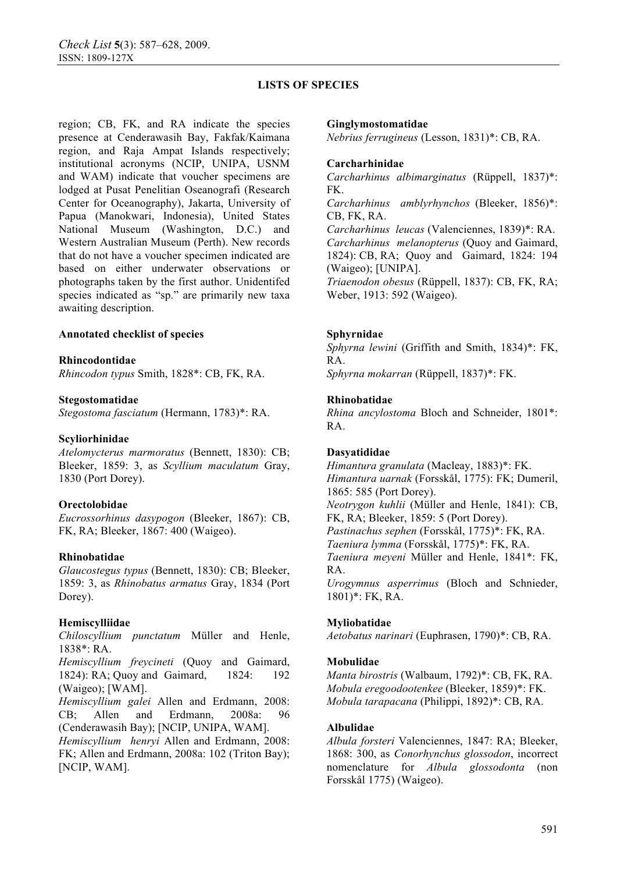region; CB, FK, and RA indicate the species presence at Cenderawasih Bay, Fakfak/Kaimana region, and Raja Ampat Islands respectively; institutional acronyms (NCIP, UNIPA, USNM and WAM) indicate that voucher specimens are lodged at Pusat Penelitian Oseanografi (Research Center for Oceanography), Jakarta, University of Papua (Manokwari, Indonesia), United States National Museum (Washington, D.C.) and Western Australian Museum (Perth). New records that do not have a voucher specimen indicated are based on either underwater observations or photographs taken by the first author. Unidentifed species indicated as "sp." are primarily new taxa awaiting description.

### **Annotated checklist of species**

#### **Rhincodontidae**

*Rhincodon typus* Smith, 1828\*: CB, FK, RA.

#### **Stegostomatidae**

*Stegostoma fasciatum* (Hermann, 1783)\*: RA.

#### **Scyliorhinidae**

*Atelomycterus marmoratus* (Bennett, 1830): CB; Bleeker, 1859: 3, as *Scyllium maculatum* Gray, 1830 (Port Dorey).

#### **Orectolobidae**

*Eucrossorhinus dasypogon* (Bleeker, 1867): CB, FK, RA; Bleeker, 1867: 400 (Waigeo).

#### **Rhinobatidae**

*Glaucostegus typus* (Bennett, 1830): CB; Bleeker, 1859: 3, as *Rhinobatus armatus* Gray, 1834 (Port Dorey).

#### **Hemiscylliidae**

*Chiloscyllium punctatum* Müller and Henle, 1838\*: RA.

*Hemiscyllium freycineti* (Quoy and Gaimard, 1824): RA; Quoy and Gaimard, 1824: 192 (Waigeo); [WAM].

*Hemiscyllium galei* Allen and Erdmann, 2008: CB; Allen and Erdmann, 2008a: 96 (Cenderawasih Bay); [NCIP, UNIPA, WAM].

*Hemiscyllium henryi* Allen and Erdmann, 2008: FK; Allen and Erdmann, 2008a: 102 (Triton Bay); [NCIP, WAM].

#### **Ginglymostomatidae**

*Nebrius ferrugineus* (Lesson, 1831)\*: CB, RA.

#### **Carcharhinidae**

*Carcharhinus albimarginatus* (Rüppell, 1837)\*: FK.

*Carcharhinus amblyrhynchos* (Bleeker, 1856)\*: CB, FK, RA.

*Carcharhinus leucas* (Valenciennes, 1839)\*: RA. *Carcharhinus melanopterus* (Quoy and Gaimard, 1824): CB, RA; Quoy and Gaimard, 1824: 194 (Waigeo); [UNIPA]. *Triaenodon obesus* (Rüppell, 1837): CB, FK, RA;

Weber, 1913: 592 (Waigeo).

#### **Sphyrnidae**

*Sphyrna lewini* (Griffith and Smith, 1834)\*: FK, RA.

*Sphyrna mokarran* (Rüppell, 1837)\*: FK.

#### **Rhinobatidae**

*Rhina ancylostoma* Bloch and Schneider, 1801\*: RA.

#### **Dasyatididae**

*Himantura granulata* (Macleay, 1883)\*: FK. *Himantura uarnak* (Forsskål, 1775): FK; Dumeril, 1865: 585 (Port Dorey). *Neotrygon kuhlii* (Müller and Henle, 1841): CB, FK, RA; Bleeker, 1859: 5 (Port Dorey). *Pastinachus sephen* (Forsskål, 1775)\*: FK, RA. *Taeniura lymma* (Forsskål, 1775)\*: FK, RA. *Taeniura meyeni* Müller and Henle, 1841\*: FK, RA. *Urogymnus asperrimus* (Bloch and Schnieder, 1801)\*: FK, RA.

#### **Myliobatidae**

*Aetobatus narinari* (Euphrasen, 1790)\*: CB, RA.

#### **Mobulidae**

*Manta birostris* (Walbaum, 1792)\*: CB, FK, RA. *Mobula eregoodootenkee* (Bleeker, 1859)\*: FK. *Mobula tarapacana* (Philippi, 1892)\*: CB, RA.

#### **Albulidae**

*Albula forsteri* Valenciennes, 1847: RA; Bleeker, 1868: 300, as *Conorhynchus glossodon*, incorrect nomenclature for *Albula glossodonta* (non Forsskål 1775) (Waigeo).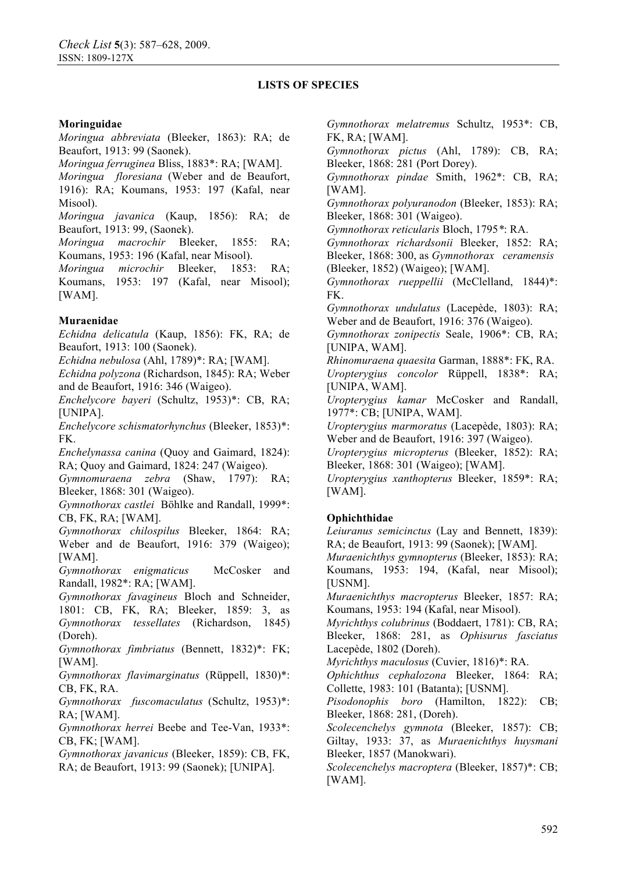### **Moringuidae**

*Moringua abbreviata* (Bleeker, 1863): RA; de Beaufort, 1913: 99 (Saonek).

*Moringua ferruginea* Bliss, 1883\*: RA; [WAM].

*Moringua floresiana* (Weber and de Beaufort, 1916): RA; Koumans, 1953: 197 (Kafal, near Misool).

*Moringua javanica* (Kaup, 1856): RA; de Beaufort, 1913: 99, (Saonek).

*Moringua macrochir* Bleeker, 1855: RA; Koumans, 1953: 196 (Kafal, near Misool).

*Moringua microchir* Bleeker, 1853: RA; Koumans, 1953: 197 (Kafal, near Misool); [WAM].

### **Muraenidae**

*Echidna delicatula* (Kaup, 1856): FK, RA; de Beaufort, 1913: 100 (Saonek).

*Echidna nebulosa* (Ahl, 1789)\*: RA; [WAM].

*Echidna polyzona* (Richardson, 1845): RA; Weber and de Beaufort, 1916: 346 (Waigeo).

*Enchelycore bayeri* (Schultz, 1953)\*: CB, RA; [UNIPA].

*Enchelycore schismatorhynchus* (Bleeker, 1853)\*: FK.

*Enchelynassa canina* (Quoy and Gaimard, 1824): RA; Quoy and Gaimard, 1824: 247 (Waigeo).

*Gymnomuraena zebra* (Shaw, 1797): RA; Bleeker, 1868: 301 (Waigeo).

*Gymnothorax castlei* Böhlke and Randall, 1999\*: CB, FK, RA; [WAM].

*Gymnothorax chilospilus* Bleeker, 1864: RA; Weber and de Beaufort, 1916: 379 (Waigeo); [WAM].

*Gymnothorax enigmaticus* McCosker and Randall, 1982\*: RA; [WAM].

*Gymnothorax favagineus* Bloch and Schneider, 1801: CB, FK, RA; Bleeker, 1859: 3, as *Gymnothorax tessellates* (Richardson, 1845) (Doreh).

*Gymnothorax fimbriatus* (Bennett, 1832)\*: FK; [WAM].

*Gymnothorax flavimarginatus* (Rüppell, 1830)\*: CB, FK, RA.

*Gymnothorax fuscomaculatus* (Schultz, 1953)\*: RA; [WAM].

*Gymnothorax herrei* Beebe and Tee-Van, 1933\*: CB, FK; [WAM].

*Gymnothorax javanicus* (Bleeker, 1859): CB, FK, RA; de Beaufort, 1913: 99 (Saonek); [UNIPA].

*Gymnothorax melatremus* Schultz, 1953\*: CB, FK, RA; [WAM].

*Gymnothorax pictus* (Ahl, 1789): CB, RA; Bleeker, 1868: 281 (Port Dorey).

*Gymnothorax pindae* Smith, 1962\*: CB, RA; [WAM].

*Gymnothorax polyuranodon* (Bleeker, 1853): RA; Bleeker, 1868: 301 (Waigeo).

*Gymnothorax reticularis* Bloch, 1795*\**: RA.

*Gymnothorax richardsonii* Bleeker, 1852: RA; Bleeker, 1868: 300, as *Gymnothorax ceramensis*  (Bleeker, 1852) (Waigeo); [WAM].

*Gymnothorax rueppellii* (McClelland, 1844)\*: FK.

*Gymnothorax undulatus* (Lacepède, 1803): RA; Weber and de Beaufort, 1916: 376 (Waigeo).

*Gymnothorax zonipectis* Seale, 1906\*: CB, RA; [UNIPA, WAM].

*Rhinomuraena quaesita* Garman, 1888\*: FK, RA. *Uropterygius concolor* Rüppell, 1838\*: RA; [UNIPA, WAM].

*Uropterygius kamar* McCosker and Randall, 1977\*: CB; [UNIPA, WAM].

*Uropterygius marmoratus* (Lacepède, 1803): RA; Weber and de Beaufort, 1916: 397 (Waigeo).

*Uropterygius micropterus* (Bleeker, 1852): RA; Bleeker, 1868: 301 (Waigeo); [WAM].

*Uropterygius xanthopterus* Bleeker, 1859\*: RA; [WAM].

### **Ophichthidae**

*Leiuranus semicinctus* (Lay and Bennett, 1839): RA; de Beaufort, 1913: 99 (Saonek); [WAM].

*Muraenichthys gymnopterus* (Bleeker, 1853): RA; Koumans, 1953: 194, (Kafal, near Misool); [USNM].

*Muraenichthys macropterus* Bleeker, 1857: RA; Koumans, 1953: 194 (Kafal, near Misool).

*Myrichthys colubrinus* (Boddaert, 1781): CB, RA; Bleeker, 1868: 281, as *Ophisurus fasciatus*  Lacepède, 1802 (Doreh).

*Myrichthys maculosus* (Cuvier, 1816)\*: RA.

*Ophichthus cephalozona* Bleeker, 1864: RA; Collette, 1983: 101 (Batanta); [USNM].

*Pisodonophis boro* (Hamilton, 1822): CB; Bleeker, 1868: 281, (Doreh).

*Scolecenchelys gymnota* (Bleeker, 1857): CB; Giltay, 1933: 37, as *Muraenichthys huysmani* Bleeker, 1857 (Manokwari).

*Scolecenchelys macroptera* (Bleeker, 1857)\*: CB; [WAM].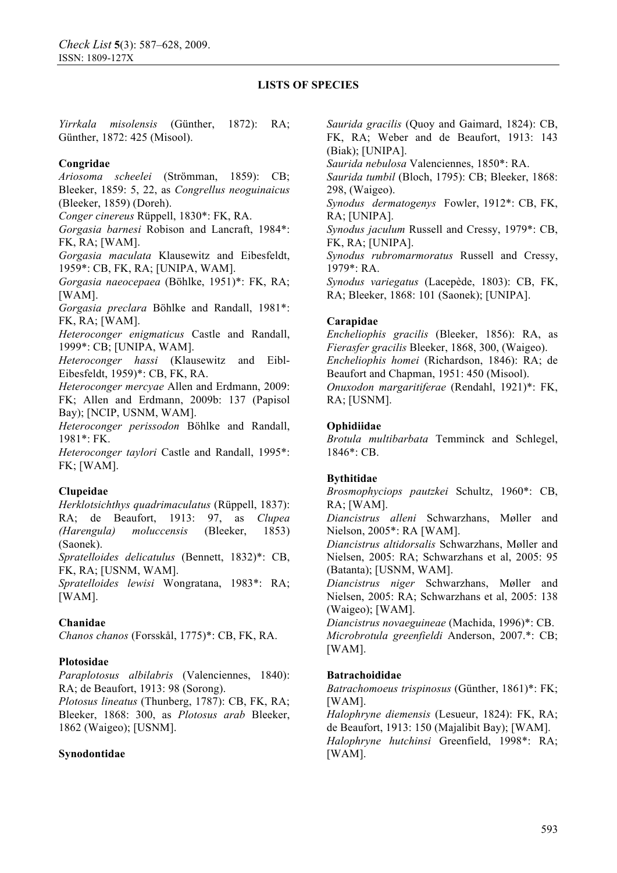*Yirrkala misolensis* (Günther, 1872): RA; Günther, 1872: 425 (Misool).

#### **Congridae**

*Ariosoma scheelei* (Strömman, 1859): CB; Bleeker, 1859: 5, 22, as *Congrellus neoguinaicus* (Bleeker, 1859) (Doreh).

*Conger cinereus* Rüppell, 1830\*: FK, RA.

*Gorgasia barnesi* Robison and Lancraft, 1984\*: FK, RA; [WAM].

*Gorgasia maculata* Klausewitz and Eibesfeldt, 1959\*: CB, FK, RA; [UNIPA, WAM].

*Gorgasia naeocepaea* (Böhlke, 1951)\*: FK, RA; [WAM].

*Gorgasia preclara* Böhlke and Randall, 1981\*: FK, RA; [WAM].

*Heteroconger enigmaticus* Castle and Randall, 1999\*: CB; [UNIPA, WAM].

*Heteroconger hassi* (Klausewitz and Eibl-Eibesfeldt, 1959)\*: CB, FK, RA.

*Heteroconger mercyae* Allen and Erdmann, 2009: FK; Allen and Erdmann, 2009b: 137 (Papisol Bay); [NCIP, USNM, WAM].

*Heteroconger perissodon* Böhlke and Randall, 1981\*: FK.

*Heteroconger taylori* Castle and Randall, 1995\*: FK; [WAM].

### **Clupeidae**

*Herklotsichthys quadrimaculatus* (Rüppell, 1837): RA; de Beaufort, 1913: 97, as *Clupea (Harengula) moluccensis* (Bleeker, 1853) (Saonek).

*Spratelloides delicatulus* (Bennett, 1832)\*: CB, FK, RA; [USNM, WAM].

*Spratelloides lewisi* Wongratana, 1983\*: RA; [WAM].

### **Chanidae**

*Chanos chanos* (Forsskål, 1775)\*: CB, FK, RA.

### **Plotosidae**

*Paraplotosus albilabris* (Valenciennes, 1840): RA; de Beaufort, 1913: 98 (Sorong).

*Plotosus lineatus* (Thunberg, 1787): CB, FK, RA; Bleeker, 1868: 300, as *Plotosus arab* Bleeker, 1862 (Waigeo); [USNM].

#### **Synodontidae**

*Saurida gracilis* (Quoy and Gaimard, 1824): CB, FK, RA; Weber and de Beaufort, 1913: 143 (Biak); [UNIPA].

*Saurida nebulosa* Valenciennes, 1850\*: RA.

*Saurida tumbil* (Bloch, 1795): CB; Bleeker, 1868: 298, (Waigeo).

*Synodus dermatogenys* Fowler, 1912\*: CB, FK, RA; [UNIPA].

*Synodus jaculum* Russell and Cressy, 1979\*: CB, FK, RA; [UNIPA].

*Synodus rubromarmoratus* Russell and Cressy, 1979\*: RA.

*Synodus variegatus* (Lacepède, 1803): CB, FK, RA; Bleeker, 1868: 101 (Saonek); [UNIPA].

#### **Carapidae**

*Encheliophis gracilis* (Bleeker, 1856): RA, as *Fierasfer gracilis* Bleeker, 1868, 300, (Waigeo). *Encheliophis homei* (Richardson, 1846): RA; de Beaufort and Chapman, 1951: 450 (Misool). *Onuxodon margaritiferae* (Rendahl, 1921)\*: FK, RA; [USNM].

#### **Ophidiidae**

*Brotula multibarbata* Temminck and Schlegel, 1846\*: CB.

### **Bythitidae**

*Brosmophyciops pautzkei* Schultz, 1960\*: CB, RA; [WAM].

*Diancistrus alleni* Schwarzhans, Møller and Nielson, 2005\*: RA [WAM].

*Diancistrus altidorsalis* Schwarzhans, Møller and Nielsen, 2005: RA; Schwarzhans et al, 2005: 95 (Batanta); [USNM, WAM].

*Diancistrus niger* Schwarzhans, Møller and Nielsen, 2005: RA; Schwarzhans et al, 2005: 138 (Waigeo); [WAM].

*Diancistrus novaeguineae* (Machida, 1996)\*: CB. *Microbrotula greenfieldi* Anderson, 2007.\*: CB; [WAM].

### **Batrachoididae**

*Batrachomoeus trispinosus* (Günther, 1861)\*: FK; [WAM].

*Halophryne diemensis* (Lesueur, 1824): FK, RA; de Beaufort, 1913: 150 (Majalibit Bay); [WAM]. *Halophryne hutchinsi* Greenfield, 1998\*: RA; [WAM].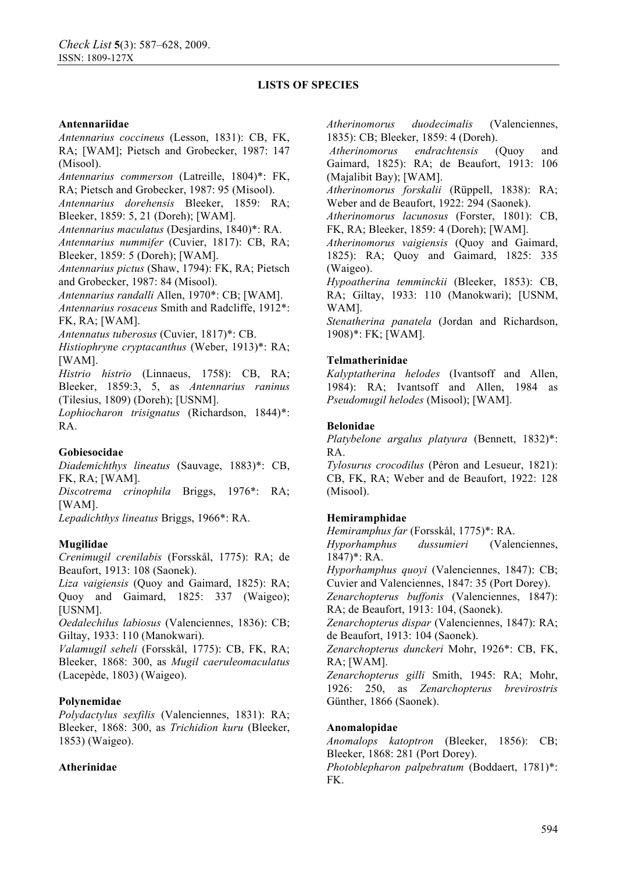### **Antennariidae**

*Antennarius coccineus* (Lesson, 1831): CB, FK, RA; [WAM]; Pietsch and Grobecker, 1987: 147 (Misool).

*Antennarius commerson* (Latreille, 1804)\*: FK, RA; Pietsch and Grobecker, 1987: 95 (Misool).

*Antennarius dorehensis* Bleeker, 1859: RA; Bleeker, 1859: 5, 21 (Doreh); [WAM].

*Antennarius maculatus* (Desjardins, 1840)\*: RA.

*Antennarius nummifer* (Cuvier, 1817): CB, RA; Bleeker, 1859: 5 (Doreh); [WAM].

*Antennarius pictus* (Shaw, 1794): FK, RA; Pietsch and Grobecker, 1987: 84 (Misool).

*Antennarius randalli* Allen, 1970\*: CB; [WAM].

*Antennarius rosaceus* Smith and Radcliffe, 1912\*: FK, RA; [WAM].

*Antennatus tuberosus* (Cuvier, 1817)\*: CB.

*Histiophryne cryptacanthus* (Weber, 1913)\*: RA; [WAM].

*Histrio histrio* (Linnaeus, 1758): CB, RA; Bleeker, 1859:3, 5, as *Antennarius raninus*  (Tilesius, 1809) (Doreh); [USNM].

*Lophiocharon trisignatus* (Richardson, 1844)\*: RA.

### **Gobiesocidae**

*Diademichthys lineatus* (Sauvage, 1883)\*: CB, FK, RA; [WAM].

*Discotrema crinophila* Briggs, 1976\*: RA; [WAM].

*Lepadichthys lineatus* Briggs, 1966\*: RA.

# **Mugilidae**

*Crenimugil crenilabis* (Forsskål, 1775): RA; de Beaufort, 1913: 108 (Saonek).

*Liza vaigiensis* (Quoy and Gaimard, 1825): RA; Quoy and Gaimard, 1825: 337 (Waigeo); [USNM].

*Oedalechilus labiosus* (Valenciennes, 1836): CB; Giltay, 1933: 110 (Manokwari).

*Valamugil seheli* (Forsskål, 1775): CB, FK, RA; Bleeker, 1868: 300, as *Mugil caeruleomaculatus*  (Lacepède, 1803) (Waigeo).

### **Polynemidae**

*Polydactylus sexfilis* (Valenciennes, 1831): RA; Bleeker, 1868: 300, as *Trichidion kuru* (Bleeker, 1853) (Waigeo).

### **Atherinidae**

*Atherinomorus duodecimalis* (Valenciennes, 1835): CB; Bleeker, 1859: 4 (Doreh).

*Atherinomorus endrachtensis* (Quoy and Gaimard, 1825): RA; de Beaufort, 1913: 106 (Majalibit Bay); [WAM].

*Atherinomorus forskalii* (Rüppell, 1838): RA; Weber and de Beaufort, 1922: 294 (Saonek).

*Atherinomorus lacunosus* (Forster, 1801): CB, FK, RA; Bleeker, 1859: 4 (Doreh); [WAM].

*Atherinomorus vaigiensis* (Quoy and Gaimard, 1825): RA; Quoy and Gaimard, 1825: 335 (Waigeo).

*Hypoatherina temminckii* (Bleeker, 1853): CB, RA; Giltay, 1933: 110 (Manokwari); [USNM, WAM].

*Stenatherina panatela* (Jordan and Richardson, 1908)\*: FK; [WAM].

## **Telmatherinidae**

*Kalyptatherina helodes* (Ivantsoff and Allen, 1984): RA; Ivantsoff and Allen, 1984 as *Pseudomugil helodes* (Misool); [WAM].

## **Belonidae**

*Platybelone argalus platyura* (Bennett, 1832)\*: RA.

*Tylosurus crocodilus* (Péron and Lesueur, 1821): CB, FK, RA; Weber and de Beaufort, 1922: 128 (Misool).

# **Hemiramphidae**

*Hemiramphus far* (Forsskål, 1775)\*: RA.

*Hyporhamphus dussumieri* (Valenciennes, 1847)\*: RA.

*Hyporhamphus quoyi* (Valenciennes, 1847): CB; Cuvier and Valenciennes, 1847: 35 (Port Dorey).

*Zenarchopterus buffonis* (Valenciennes, 1847): RA; de Beaufort, 1913: 104, (Saonek).

*Zenarchopterus dispar* (Valenciennes, 1847): RA; de Beaufort, 1913: 104 (Saonek).

*Zenarchopterus dunckeri* Mohr, 1926\*: CB, FK, RA; [WAM].

*Zenarchopterus gilli* Smith, 1945: RA; Mohr, 1926: 250, as *Zenarchopterus brevirostris* Günther, 1866 (Saonek).

### **Anomalopidae**

*Anomalops katoptron* (Bleeker, 1856): CB; Bleeker, 1868: 281 (Port Dorey).

*Photoblepharon palpebratum* (Boddaert, 1781)\*: FK.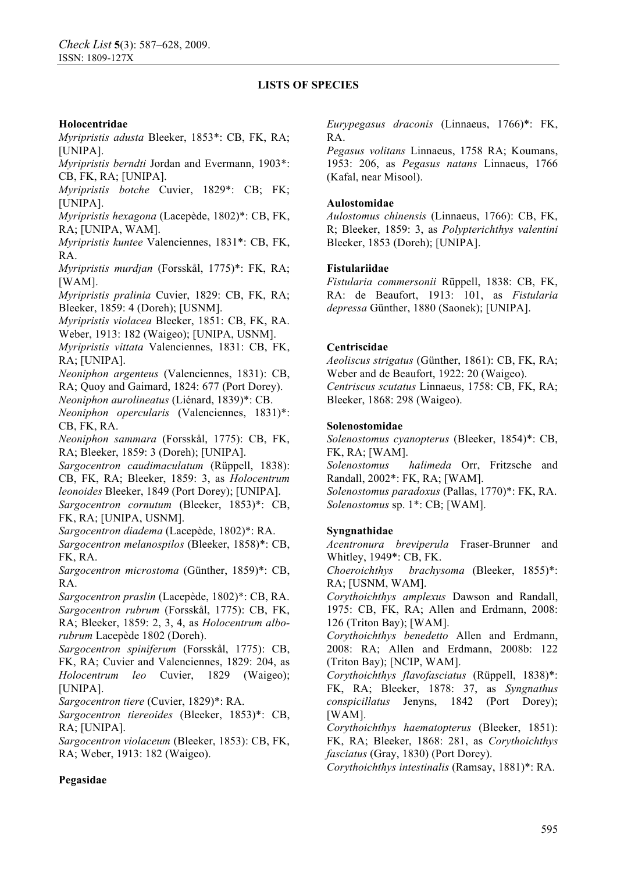### **Holocentridae**

*Myripristis adusta* Bleeker, 1853\*: CB, FK, RA; [UNIPA].

*Myripristis berndti* Jordan and Evermann, 1903\*: CB, FK, RA; [UNIPA].

*Myripristis botche* Cuvier, 1829\*: CB; FK; [UNIPA].

*Myripristis hexagona* (Lacepède, 1802)\*: CB, FK, RA; [UNIPA, WAM].

*Myripristis kuntee* Valenciennes, 1831\*: CB, FK, RA.

*Myripristis murdjan* (Forsskål, 1775)\*: FK, RA; [WAM].

*Myripristis pralinia* Cuvier, 1829: CB, FK, RA; Bleeker, 1859: 4 (Doreh); [USNM].

*Myripristis violacea* Bleeker, 1851: CB, FK, RA.

Weber, 1913: 182 (Waigeo); [UNIPA, USNM].

*Myripristis vittata* Valenciennes, 1831: CB, FK, RA; [UNIPA].

*Neoniphon argenteus* (Valenciennes, 1831): CB, RA; Quoy and Gaimard, 1824: 677 (Port Dorey).

*Neoniphon aurolineatus* (Liénard, 1839)\*: CB. *Neoniphon opercularis* (Valenciennes, 1831)\*:

CB, FK, RA.

*Neoniphon sammara* (Forsskål, 1775): CB, FK, RA; Bleeker, 1859: 3 (Doreh); [UNIPA].

*Sargocentron caudimaculatum* (Rüppell, 1838): CB, FK, RA; Bleeker, 1859: 3, as *Holocentrum leonoides* Bleeker, 1849 (Port Dorey); [UNIPA]. *Sargocentron cornutum* (Bleeker, 1853)\*: CB,

FK, RA; [UNIPA, USNM].

*Sargocentron diadema* (Lacepède, 1802)\*: RA.

*Sargocentron melanospilos* (Bleeker, 1858)\*: CB, FK, RA.

*Sargocentron microstoma* (Günther, 1859)\*: CB, RA.

*Sargocentron praslin* (Lacepède, 1802)\*: CB, RA. *Sargocentron rubrum* (Forsskål, 1775): CB, FK, RA; Bleeker, 1859: 2, 3, 4, as *Holocentrum albo-*

*rubrum* Lacepède 1802 (Doreh). *Sargocentron spiniferum* (Forsskål, 1775): CB, FK, RA; Cuvier and Valenciennes, 1829: 204, as *Holocentrum leo* Cuvier, 1829 (Waigeo); [UNIPA].

*Sargocentron tiere* (Cuvier, 1829)\*: RA.

*Sargocentron tiereoides* (Bleeker, 1853)\*: CB, RA; [UNIPA].

*Sargocentron violaceum* (Bleeker, 1853): CB, FK, RA; Weber, 1913: 182 (Waigeo).

*Eurypegasus draconis* (Linnaeus, 1766)\*: FK, RA.

*Pegasus volitans* Linnaeus, 1758 RA; Koumans, 1953: 206, as *Pegasus natans* Linnaeus, 1766 (Kafal, near Misool).

#### **Aulostomidae**

*Aulostomus chinensis* (Linnaeus, 1766): CB, FK, R; Bleeker, 1859: 3, as *Polypterichthys valentini*  Bleeker, 1853 (Doreh); [UNIPA].

### **Fistulariidae**

*Fistularia commersonii* Rüppell, 1838: CB, FK, RA: de Beaufort, 1913: 101, as *Fistularia depressa* Günther, 1880 (Saonek); [UNIPA].

### **Centriscidae**

*Aeoliscus strigatus* (Günther, 1861): CB, FK, RA; Weber and de Beaufort, 1922: 20 (Waigeo). *Centriscus scutatus* Linnaeus, 1758: CB, FK, RA; Bleeker, 1868: 298 (Waigeo).

### **Solenostomidae**

*Solenostomus cyanopterus* (Bleeker, 1854)\*: CB, FK, RA; [WAM].

*Solenostomus halimeda* Orr, Fritzsche and Randall, 2002\*: FK, RA; [WAM].

*Solenostomus paradoxus* (Pallas, 1770)\*: FK, RA. *Solenostomus* sp. 1\*: CB; [WAM].

### **Syngnathidae**

*Acentronura breviperula* Fraser-Brunner and Whitley, 1949\*: CB, FK.

*Choeroichthys brachysoma* (Bleeker, 1855)\*: RA; [USNM, WAM].

*Corythoichthys amplexus* Dawson and Randall, 1975: CB, FK, RA; Allen and Erdmann, 2008: 126 (Triton Bay); [WAM].

*Corythoichthys benedetto* Allen and Erdmann, 2008: RA; Allen and Erdmann, 2008b: 122 (Triton Bay); [NCIP, WAM].

*Corythoichthys flavofasciatus* (Rüppell, 1838)\*: FK, RA; Bleeker, 1878: 37, as *Syngnathus conspicillatus* Jenyns, 1842 (Port Dorey); [WAM].

*Corythoichthys haematopterus* (Bleeker, 1851): FK, RA; Bleeker, 1868: 281, as *Corythoichthys fasciatus* (Gray, 1830) (Port Dorey).

*Corythoichthys intestinalis* (Ramsay, 1881)\*: RA.

# **Pegasidae**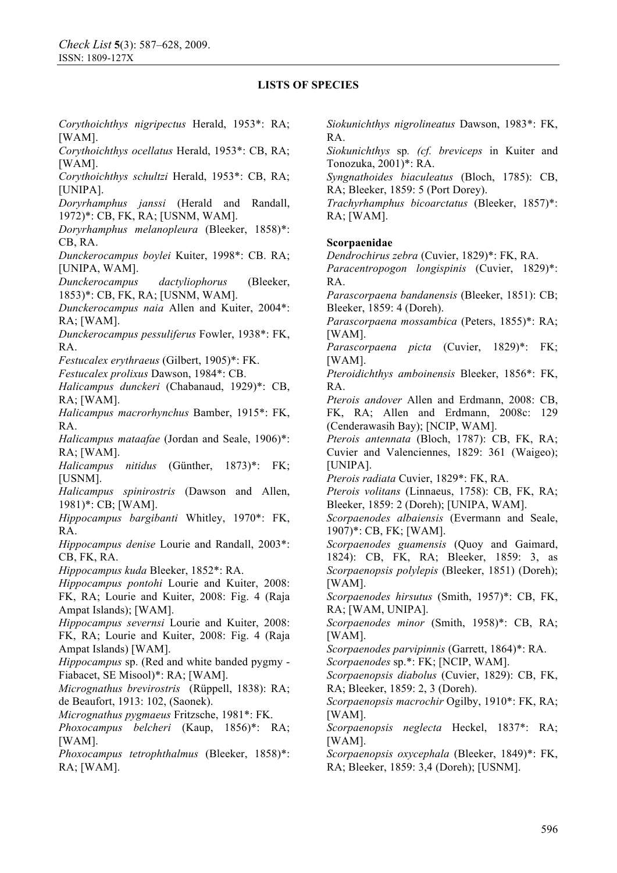*Corythoichthys nigripectus* Herald, 1953\*: RA; [WAM].

*Corythoichthys ocellatus* Herald, 1953\*: CB, RA; [WAM].

*Corythoichthys schultzi* Herald, 1953\*: CB, RA; [UNIPA].

*Doryrhamphus janssi* (Herald and Randall, 1972)\*: CB, FK, RA; [USNM, WAM].

*Doryrhamphus melanopleura* (Bleeker, 1858)\*: CB, RA.

*Dunckerocampus boylei* Kuiter, 1998\*: CB. RA; [UNIPA, WAM].

*Dunckerocampus dactyliophorus* (Bleeker, 1853)\*: CB, FK, RA; [USNM, WAM].

*Dunckerocampus naia* Allen and Kuiter, 2004\*: RA; [WAM].

*Dunckerocampus pessuliferus* Fowler, 1938\*: FK, RA.

*Festucalex erythraeus* (Gilbert, 1905)\*: FK.

*Festucalex prolixus* Dawson, 1984\*: CB.

*Halicampus dunckeri* (Chabanaud, 1929)\*: CB, RA; [WAM].

*Halicampus macrorhynchus* Bamber, 1915\*: FK, RA.

*Halicampus mataafae* (Jordan and Seale, 1906)\*: RA; [WAM].

*Halicampus nitidus* (Günther, 1873)\*: FK; [USNM].

*Halicampus spinirostris* (Dawson and Allen, 1981)\*: CB; [WAM].

*Hippocampus bargibanti* Whitley, 1970\*: FK, RA.

*Hippocampus denise* Lourie and Randall, 2003\*: CB, FK, RA.

*Hippocampus kuda* Bleeker, 1852\*: RA.

*Hippocampus pontohi* Lourie and Kuiter, 2008: FK, RA; Lourie and Kuiter, 2008: Fig. 4 (Raja Ampat Islands); [WAM].

*Hippocampus severnsi* Lourie and Kuiter, 2008: FK, RA; Lourie and Kuiter, 2008: Fig. 4 (Raja

Ampat Islands) [WAM]. *Hippocampus* sp. (Red and white banded pygmy -

Fiabacet, SE Misool)\*: RA; [WAM].

*Micrognathus brevirostris* (Rüppell, 1838): RA; de Beaufort, 1913: 102, (Saonek).

*Micrognathus pygmaeus* Fritzsche, 1981\*: FK.

*Phoxocampus belcheri* (Kaup, 1856)\*: RA; [WAM].

*Phoxocampus tetrophthalmus* (Bleeker, 1858)\*: RA; [WAM].

*Siokunichthys nigrolineatus* Dawson, 1983\*: FK, RA.

*Siokunichthys* sp*. (cf. breviceps* in Kuiter and Tonozuka, 2001)\*: RA.

*Syngnathoides biaculeatus* (Bloch, 1785): CB, RA; Bleeker, 1859: 5 (Port Dorey).

*Trachyrhamphus bicoarctatus* (Bleeker, 1857)\*: RA; [WAM].

#### **Scorpaenidae**

*Dendrochirus zebra* (Cuvier, 1829)\*: FK, RA.

*Paracentropogon longispinis* (Cuvier, 1829)\*: RA.

*Parascorpaena bandanensis* (Bleeker, 1851): CB; Bleeker, 1859: 4 (Doreh).

*Parascorpaena mossambica* (Peters, 1855)\*: RA; [WAM].

*Parascorpaena picta* (Cuvier, 1829)\*: FK; [WAM].

*Pteroidichthys amboinensis* Bleeker, 1856\*: FK, RA.

*Pterois andover* Allen and Erdmann, 2008: CB, FK, RA; Allen and Erdmann, 2008c: 129 (Cenderawasih Bay); [NCIP, WAM].

*Pterois antennata* (Bloch, 1787): CB, FK, RA; Cuvier and Valenciennes, 1829: 361 (Waigeo); [UNIPA].

*Pterois radiata* Cuvier, 1829\*: FK, RA.

*Pterois volitans* (Linnaeus, 1758): CB, FK, RA; Bleeker, 1859: 2 (Doreh); [UNIPA, WAM].

*Scorpaenodes albaiensis* (Evermann and Seale, 1907)\*: CB, FK; [WAM].

*Scorpaenodes guamensis* (Quoy and Gaimard, 1824): CB, FK, RA; Bleeker, 1859: 3, as *Scorpaenopsis polylepis* (Bleeker, 1851) (Doreh); [WAM].

*Scorpaenodes hirsutus* (Smith, 1957)\*: CB, FK, RA; [WAM, UNIPA].

*Scorpaenodes minor* (Smith, 1958)\*: CB, RA; [WAM].

*Scorpaenodes parvipinnis* (Garrett, 1864)\*: RA.

*Scorpaenodes* sp.\*: FK; [NCIP, WAM].

*Scorpaenopsis diabolus* (Cuvier, 1829): CB, FK, RA; Bleeker, 1859: 2, 3 (Doreh).

*Scorpaenopsis macrochir* Ogilby, 1910\*: FK, RA; [WAM].

*Scorpaenopsis neglecta* Heckel, 1837\*: RA; [WAM].

*Scorpaenopsis oxycephala* (Bleeker, 1849)\*: FK, RA; Bleeker, 1859: 3,4 (Doreh); [USNM].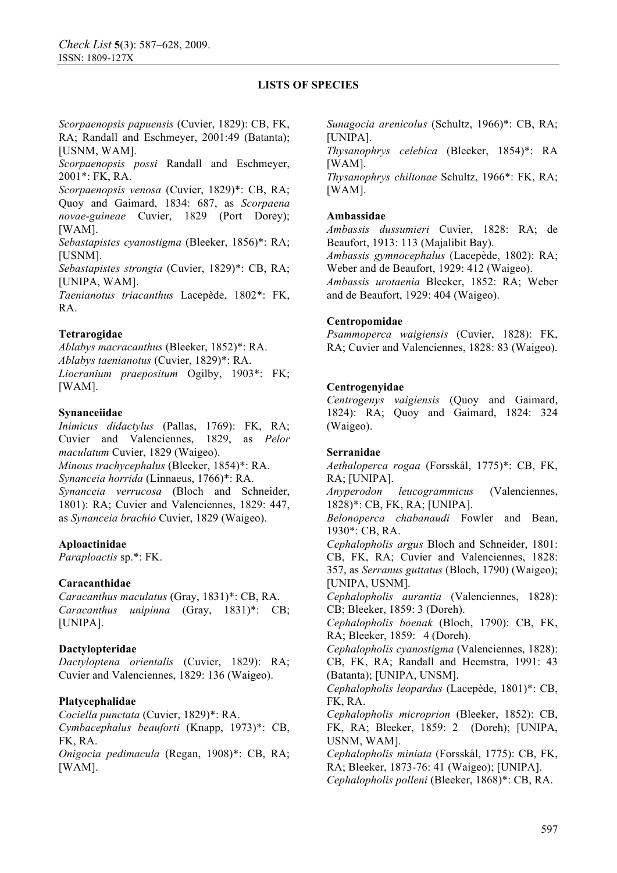*Scorpaenopsis papuensis* (Cuvier, 1829): CB, FK, RA; Randall and Eschmeyer, 2001:49 (Batanta); [USNM, WAM].

*Scorpaenopsis possi* Randall and Eschmeyer, 2001\*: FK, RA.

*Scorpaenopsis venosa* (Cuvier, 1829)\*: CB, RA; Quoy and Gaimard, 1834: 687, as *Scorpaena novae-guineae* Cuvier, 1829 (Port Dorey); [WAM].

*Sebastapistes cyanostigma* (Bleeker, 1856)\*: RA; [USNM].

*Sebastapistes strongia* (Cuvier, 1829)\*: CB, RA; [UNIPA, WAM].

*Taenianotus triacanthus* Lacepède, 1802\*: FK, RA.

#### **Tetrarogidae**

*Ablabys macracanthus* (Bleeker, 1852)\*: RA. *Ablabys taenianotus* (Cuvier, 1829)\*: RA. *Liocranium praepositum* Ogilby, 1903\*: FK; [WAM].

#### **Synanceiidae**

*Inimicus didactylus* (Pallas, 1769): FK, RA; Cuvier and Valenciennes, 1829, as *Pelor maculatum* Cuvier, 1829 (Waigeo). *Minous trachycephalus* (Bleeker, 1854)\*: RA. *Synanceia horrida* (Linnaeus, 1766)\*: RA. *Synanceia verrucosa* (Bloch and Schneider, 1801): RA; Cuvier and Valenciennes, 1829: 447, as *Synanceia brachio* Cuvier, 1829 (Waigeo).

### **Aploactinidae**

*Paraploactis* sp.\*: FK.

### **Caracanthidae**

*Caracanthus maculatus* (Gray, 1831)\*: CB, RA. *Caracanthus unipinna* (Gray, 1831)\*: CB; [UNIPA].

### **Dactylopteridae**

*Dactyloptena orientalis* (Cuvier, 1829): RA; Cuvier and Valenciennes, 1829: 136 (Waigeo).

### **Platycephalidae**

*Cociella punctata* (Cuvier, 1829)\*: RA. *Cymbacephalus beauforti* (Knapp, 1973)\*: CB, FK, RA.

*Onigocia pedimacula* (Regan, 1908)\*: CB, RA; [WAM].

*Sunagocia arenicolus* (Schultz, 1966)\*: CB, RA; [UNIPA].

*Thysanophrys celebica* (Bleeker, 1854)\*: RA [WAM]. *Thysanophrys chiltonae* Schultz, 1966\*: FK, RA;

[WAM].

#### **Ambassidae**

*Ambassis dussumieri* Cuvier, 1828: RA; de Beaufort, 1913: 113 (Majalibit Bay).

*Ambassis gymnocephalus* (Lacepède, 1802): RA; Weber and de Beaufort, 1929: 412 (Waigeo).

*Ambassis urotaenia* Bleeker, 1852: RA; Weber and de Beaufort, 1929: 404 (Waigeo).

#### **Centropomidae**

*Psammoperca waigiensis* (Cuvier, 1828): FK, RA; Cuvier and Valenciennes, 1828: 83 (Waigeo).

#### **Centrogenyidae**

*Centrogenys vaigiensis* (Quoy and Gaimard, 1824): RA; Quoy and Gaimard, 1824: 324 (Waigeo).

#### **Serranidae**

*Aethaloperca rogaa* (Forsskål, 1775)\*: CB, FK, RA; [UNIPA].

*Anyperodon leucogrammicus* (Valenciennes, 1828)\*: CB, FK, RA; [UNIPA].

*Belonoperca chabanaudi* Fowler and Bean, 1930\*: CB, RA.

*Cephalopholis argus* Bloch and Schneider, 1801: CB, FK, RA; Cuvier and Valenciennes, 1828: 357, as *Serranus guttatus* (Bloch, 1790) (Waigeo); [UNIPA, USNM].

*Cephalopholis aurantia* (Valenciennes, 1828): CB; Bleeker, 1859: 3 (Doreh).

*Cephalopholis boenak* (Bloch, 1790): CB, FK, RA; Bleeker, 1859: 4 (Doreh).

*Cephalopholis cyanostigma* (Valenciennes, 1828): CB, FK, RA; Randall and Heemstra, 1991: 43 (Batanta); [UNIPA, UNSM].

*Cephalopholis leopardus* (Lacepède, 1801)\*: CB, FK, RA.

*Cephalopholis microprion* (Bleeker, 1852): CB, FK, RA; Bleeker, 1859: 2 (Doreh); [UNIPA, USNM, WAM].

*Cephalopholis miniata* (Forsskål, 1775): CB, FK, RA; Bleeker, 1873-76: 41 (Waigeo); [UNIPA].

*Cephalopholis polleni* (Bleeker, 1868)\*: CB, RA.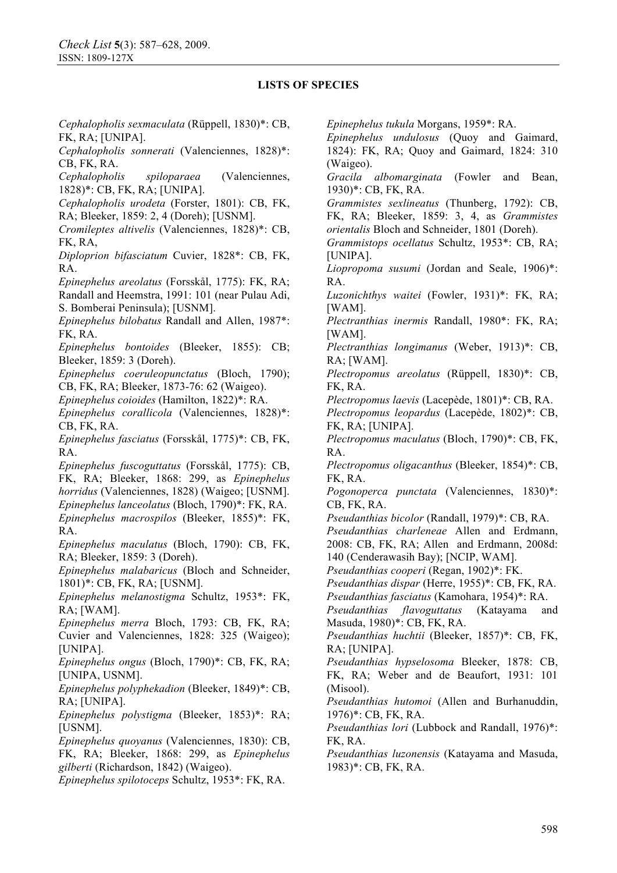*Cephalopholis sexmaculata* (Rüppell, 1830)\*: CB, FK, RA; [UNIPA].

*Cephalopholis sonnerati* (Valenciennes, 1828)\*: CB, FK, RA.

*Cephalopholis spiloparaea* (Valenciennes, 1828)\*: CB, FK, RA; [UNIPA].

*Cephalopholis urodeta* (Forster, 1801): CB, FK,

RA; Bleeker, 1859: 2, 4 (Doreh); [USNM].

*Cromileptes altivelis* (Valenciennes, 1828)\*: CB, FK, RA,

*Diploprion bifasciatum* Cuvier, 1828\*: CB, FK, RA.

*Epinephelus areolatus* (Forsskål, 1775): FK, RA; Randall and Heemstra, 1991: 101 (near Pulau Adi,

S. Bomberai Peninsula); [USNM]. *Epinephelus bilobatus* Randall and Allen, 1987\*:

FK, RA. *Epinephelus bontoides* (Bleeker, 1855): CB;

Bleeker, 1859: 3 (Doreh). *Epinephelus coeruleopunctatus* (Bloch, 1790);

CB, FK, RA; Bleeker, 1873-76: 62 (Waigeo).

*Epinephelus coioides* (Hamilton, 1822)\*: RA.

*Epinephelus corallicola* (Valenciennes, 1828)\*: CB, FK, RA.

*Epinephelus fasciatus* (Forsskål, 1775)\*: CB, FK, RA.

*Epinephelus fuscoguttatus* (Forsskål, 1775): CB, FK, RA; Bleeker, 1868: 299, as *Epinephelus horridus* (Valenciennes, 1828) (Waigeo; [USNM]. *Epinephelus lanceolatus* (Bloch, 1790)\*: FK, RA. *Epinephelus macrospilos* (Bleeker, 1855)\*: FK, RA.

*Epinephelus maculatus* (Bloch, 1790): CB, FK, RA; Bleeker, 1859: 3 (Doreh).

*Epinephelus malabaricus* (Bloch and Schneider, 1801)\*: CB, FK, RA; [USNM].

*Epinephelus melanostigma* Schultz, 1953\*: FK, RA; [WAM].

*Epinephelus merra* Bloch, 1793: CB, FK, RA;

Cuvier and Valenciennes, 1828: 325 (Waigeo); [UNIPA].

*Epinephelus ongus* (Bloch, 1790)\*: CB, FK, RA; [UNIPA, USNM].

*Epinephelus polyphekadion* (Bleeker, 1849)\*: CB, RA; [UNIPA].

*Epinephelus polystigma* (Bleeker, 1853)\*: RA; [USNM].

*Epinephelus quoyanus* (Valenciennes, 1830): CB, FK, RA; Bleeker, 1868: 299, as *Epinephelus gilberti* (Richardson, 1842) (Waigeo).

*Epinephelus spilotoceps* Schultz, 1953\*: FK, RA.

*Epinephelus tukula* Morgans, 1959\*: RA.

*Epinephelus undulosus* (Quoy and Gaimard, 1824): FK, RA; Quoy and Gaimard, 1824: 310 (Waigeo).

*Gracila albomarginata* (Fowler and Bean, 1930)\*: CB, FK, RA.

*Grammistes sexlineatus* (Thunberg, 1792): CB, FK, RA; Bleeker, 1859: 3, 4, as *Grammistes* 

*orientalis* Bloch and Schneider, 1801 (Doreh).

*Grammistops ocellatus* Schultz, 1953\*: CB, RA; [UNIPA].

*Liopropoma susumi* (Jordan and Seale, 1906)\*: RA.

*Luzonichthys waitei* (Fowler, 1931)\*: FK, RA; [WAM].

*Plectranthias inermis* Randall, 1980\*: FK, RA; [WAM].

*Plectranthias longimanus* (Weber, 1913)\*: CB, RA; [WAM].

*Plectropomus areolatus* (Rüppell, 1830)\*: CB, FK, RA.

*Plectropomus laevis* (Lacepède, 1801)\*: CB, RA.

*Plectropomus leopardus* (Lacepède, 1802)\*: CB, FK, RA; [UNIPA].

*Plectropomus maculatus* (Bloch, 1790)\*: CB, FK, RA.

*Plectropomus oligacanthus* (Bleeker, 1854)\*: CB, FK, RA.

*Pogonoperca punctata* (Valenciennes, 1830)\*: CB, FK, RA.

*Pseudanthias bicolor* (Randall, 1979)\*: CB, RA.

*Pseudanthias charleneae* Allen and Erdmann, 2008: CB, FK, RA; Allen and Erdmann, 2008d: 140 (Cenderawasih Bay); [NCIP, WAM].

*Pseudanthias cooperi* (Regan, 1902)\*: FK.

*Pseudanthias dispar* (Herre, 1955)\*: CB, FK, RA.

*Pseudanthias fasciatus* (Kamohara, 1954)\*: RA.

*Pseudanthias flavoguttatus* (Katayama and Masuda, 1980)\*: CB, FK, RA.

*Pseudanthias huchtii* (Bleeker, 1857)\*: CB, FK, RA; [UNIPA].

*Pseudanthias hypselosoma* Bleeker, 1878: CB, FK, RA; Weber and de Beaufort, 1931: 101 (Misool).

*Pseudanthias hutomoi* (Allen and Burhanuddin, 1976)\*: CB, FK, RA.

*Pseudanthias lori* (Lubbock and Randall, 1976)\*: FK, RA.

*Pseudanthias luzonensis* (Katayama and Masuda, 1983)\*: CB, FK, RA.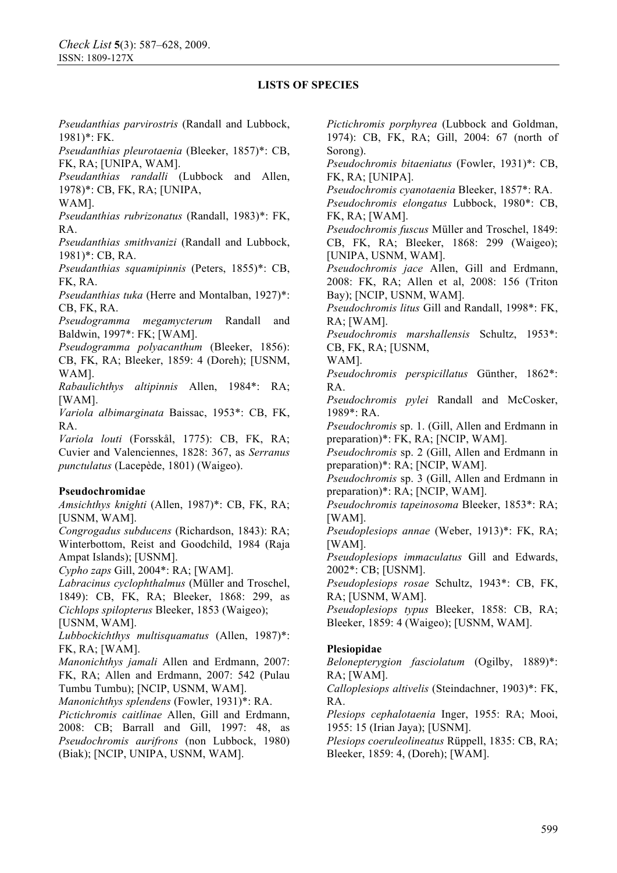*Pseudanthias parvirostris* (Randall and Lubbock, 1981)\*: FK.

*Pseudanthias pleurotaenia* (Bleeker, 1857)\*: CB, FK, RA; [UNIPA, WAM].

*Pseudanthias randalli* (Lubbock and Allen, 1978)\*: CB, FK, RA; [UNIPA,

WAM].

*Pseudanthias rubrizonatus* (Randall, 1983)\*: FK, RA.

*Pseudanthias smithvanizi* (Randall and Lubbock, 1981)\*: CB, RA.

*Pseudanthias squamipinnis* (Peters, 1855)\*: CB, FK, RA.

*Pseudanthias tuka* (Herre and Montalban, 1927)\*: CB, FK, RA.

*Pseudogramma megamycterum* Randall and Baldwin, 1997\*: FK; [WAM].

*Pseudogramma polyacanthum* (Bleeker, 1856): CB, FK, RA; Bleeker, 1859: 4 (Doreh); [USNM, WAM].

*Rabaulichthys altipinnis* Allen, 1984\*: RA; [WAM].

*Variola albimarginata* Baissac, 1953\*: CB, FK, RA.

*Variola louti* (Forsskål, 1775): CB, FK, RA; Cuvier and Valenciennes, 1828: 367, as *Serranus punctulatus* (Lacepède, 1801) (Waigeo).

#### **Pseudochromidae**

*Amsichthys knighti* (Allen, 1987)\*: CB, FK, RA; [USNM, WAM].

*Congrogadus subducens* (Richardson, 1843): RA; Winterbottom, Reist and Goodchild, 1984 (Raja Ampat Islands); [USNM].

*Cypho zaps* Gill, 2004\*: RA; [WAM].

*Labracinus cyclophthalmus* (Müller and Troschel, 1849): CB, FK, RA; Bleeker, 1868: 299, as *Cichlops spilopterus* Bleeker, 1853 (Waigeo); [USNM, WAM].

*Lubbockichthys multisquamatus* (Allen, 1987)\*: FK, RA; [WAM].

*Manonichthys jamali* Allen and Erdmann, 2007: FK, RA; Allen and Erdmann, 2007: 542 (Pulau Tumbu Tumbu); [NCIP, USNM, WAM].

*Manonichthys splendens* (Fowler, 1931)\*: RA.

*Pictichromis caitlinae* Allen, Gill and Erdmann, 2008: CB; Barrall and Gill, 1997: 48, as *Pseudochromis aurifrons* (non Lubbock, 1980) (Biak); [NCIP, UNIPA, USNM, WAM].

*Pictichromis porphyrea* (Lubbock and Goldman, 1974): CB, FK, RA; Gill, 2004: 67 (north of Sorong).

*Pseudochromis bitaeniatus* (Fowler, 1931)\*: CB, FK, RA; [UNIPA].

*Pseudochromis cyanotaenia* Bleeker, 1857\*: RA.

*Pseudochromis elongatus* Lubbock, 1980\*: CB, FK, RA; [WAM].

*Pseudochromis fuscus* Müller and Troschel, 1849: CB, FK, RA; Bleeker, 1868: 299 (Waigeo); [UNIPA, USNM, WAM].

*Pseudochromis jace* Allen, Gill and Erdmann, 2008: FK, RA; Allen et al, 2008: 156 (Triton Bay); [NCIP, USNM, WAM].

*Pseudochromis litus* Gill and Randall, 1998\*: FK, RA; [WAM].

*Pseudochromis marshallensis* Schultz, 1953\*: CB, FK, RA; [USNM,

WAM].

*Pseudochromis perspicillatus* Günther, 1862\*: RA.

*Pseudochromis pylei* Randall and McCosker, 1989\*: RA.

*Pseudochromis* sp. 1. (Gill, Allen and Erdmann in preparation)\*: FK, RA; [NCIP, WAM].

*Pseudochromis* sp. 2 (Gill, Allen and Erdmann in preparation)\*: RA; [NCIP, WAM].

*Pseudochromis* sp. 3 (Gill, Allen and Erdmann in preparation)\*: RA; [NCIP, WAM].

*Pseudochromis tapeinosoma* Bleeker, 1853\*: RA; [WAM].

*Pseudoplesiops annae* (Weber, 1913)\*: FK, RA; [WAM].

*Pseudoplesiops immaculatus* Gill and Edwards, 2002\*: CB; [USNM].

*Pseudoplesiops rosae* Schultz, 1943\*: CB, FK, RA; [USNM, WAM].

*Pseudoplesiops typus* Bleeker, 1858: CB, RA; Bleeker, 1859: 4 (Waigeo); [USNM, WAM].

### **Plesiopidae**

*Belonepterygion fasciolatum* (Ogilby, 1889)\*: RA; [WAM].

*Calloplesiops altivelis* (Steindachner, 1903)\*: FK, RA.

*Plesiops cephalotaenia* Inger, 1955: RA; Mooi, 1955: 15 (Irian Jaya); [USNM].

*Plesiops coeruleolineatus* Rüppell, 1835: CB, RA; Bleeker, 1859: 4, (Doreh); [WAM].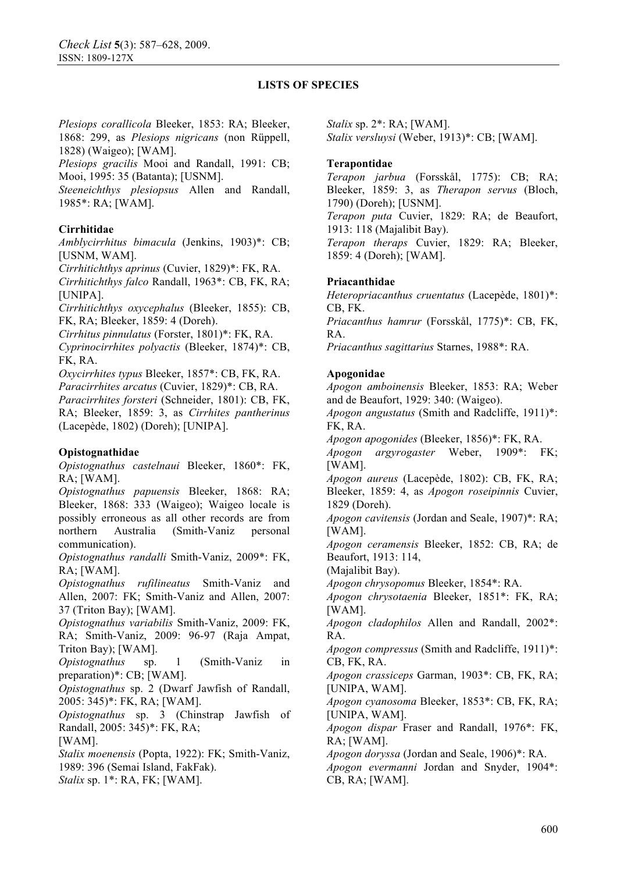*Plesiops corallicola* Bleeker, 1853: RA; Bleeker, 1868: 299, as *Plesiops nigricans* (non Rüppell, 1828) (Waigeo); [WAM].

*Plesiops gracilis* Mooi and Randall, 1991: CB; Mooi, 1995: 35 (Batanta); [USNM].

*Steeneichthys plesiopsus* Allen and Randall, 1985\*: RA; [WAM].

# **Cirrhitidae**

*Amblycirrhitus bimacula* (Jenkins, 1903)\*: CB; [USNM, WAM].

*Cirrhitichthys aprinus* (Cuvier, 1829)\*: FK, RA. *Cirrhitichthys falco* Randall, 1963\*: CB, FK, RA; [UNIPA].

*Cirrhitichthys oxycephalus* (Bleeker, 1855): CB, FK, RA; Bleeker, 1859: 4 (Doreh).

*Cirrhitus pinnulatus* (Forster, 1801)\*: FK, RA.

*Cyprinocirrhites polyactis* (Bleeker, 1874)\*: CB, FK, RA.

*Oxycirrhites typus* Bleeker, 1857\*: CB, FK, RA. *Paracirrhites arcatus* (Cuvier, 1829)\*: CB, RA. *Paracirrhites forsteri* (Schneider, 1801): CB, FK, RA; Bleeker, 1859: 3, as *Cirrhites pantherinus*  (Lacepède, 1802) (Doreh); [UNIPA].

### **Opistognathidae**

*Opistognathus castelnaui* Bleeker, 1860\*: FK, RA; [WAM].

*Opistognathus papuensis* Bleeker, 1868: RA; Bleeker, 1868: 333 (Waigeo); Waigeo locale is possibly erroneous as all other records are from northern Australia (Smith-Vaniz personal communication).

*Opistognathus randalli* Smith-Vaniz, 2009\*: FK, RA; [WAM].

*Opistognathus rufilineatus* Smith-Vaniz and Allen, 2007: FK; Smith-Vaniz and Allen, 2007: 37 (Triton Bay); [WAM].

*Opistognathus variabilis* Smith-Vaniz, 2009: FK, RA; Smith-Vaniz, 2009: 96-97 (Raja Ampat, Triton Bay); [WAM].

*Opistognathus* sp. 1 (Smith-Vaniz in preparation)\*: CB; [WAM].

*Opistognathus* sp. 2 (Dwarf Jawfish of Randall, 2005: 345)\*: FK, RA; [WAM].

*Opistognathus* sp. 3 (Chinstrap Jawfish of Randall, 2005: 345)\*: FK, RA;

[WAM]. *Stalix moenensis* (Popta, 1922): FK; Smith-Vaniz, 1989: 396 (Semai Island, FakFak). *Stalix* sp. 1\*: RA, FK; [WAM].

*Stalix* sp. 2\*: RA; [WAM]. *Stalix versluysi* (Weber, 1913)\*: CB; [WAM].

## **Terapontidae**

*Terapon jarbua* (Forsskål, 1775): CB; RA; Bleeker, 1859: 3, as *Therapon servus* (Bloch, 1790) (Doreh); [USNM].

*Terapon puta* Cuvier, 1829: RA; de Beaufort, 1913: 118 (Majalibit Bay).

*Terapon theraps* Cuvier, 1829: RA; Bleeker, 1859: 4 (Doreh); [WAM].

## **Priacanthidae**

*Heteropriacanthus cruentatus* (Lacepède, 1801)\*: CB, FK. *Priacanthus hamrur* (Forsskål, 1775)\*: CB, FK, RA. *Priacanthus sagittarius* Starnes, 1988\*: RA.

## **Apogonidae**

*Apogon amboinensis* Bleeker, 1853: RA; Weber and de Beaufort, 1929: 340: (Waigeo).

*Apogon angustatus* (Smith and Radcliffe, 1911)\*: FK, RA.

*Apogon apogonides* (Bleeker, 1856)\*: FK, RA.

*Apogon argyrogaster* Weber, 1909\*: FK; [WAM].

*Apogon aureus* (Lacepède, 1802): CB, FK, RA; Bleeker, 1859: 4, as *Apogon roseipinnis* Cuvier, 1829 (Doreh).

*Apogon cavitensis* (Jordan and Seale, 1907)\*: RA; [WAM].

*Apogon ceramensis* Bleeker, 1852: CB, RA; de Beaufort, 1913: 114,

(Majalibit Bay).

*Apogon chrysopomus* Bleeker, 1854\*: RA.

*Apogon chrysotaenia* Bleeker, 1851\*: FK, RA; [WAM].

*Apogon cladophilos* Allen and Randall, 2002\*: RA.

*Apogon compressus* (Smith and Radcliffe, 1911)\*: CB, FK, RA.

*Apogon crassiceps* Garman, 1903\*: CB, FK, RA; [UNIPA, WAM].

*Apogon cyanosoma* Bleeker, 1853\*: CB, FK, RA; [UNIPA, WAM].

*Apogon dispar* Fraser and Randall, 1976\*: FK, RA; [WAM].

*Apogon doryssa* (Jordan and Seale, 1906)\*: RA.

*Apogon evermanni* Jordan and Snyder, 1904\*: CB, RA; [WAM].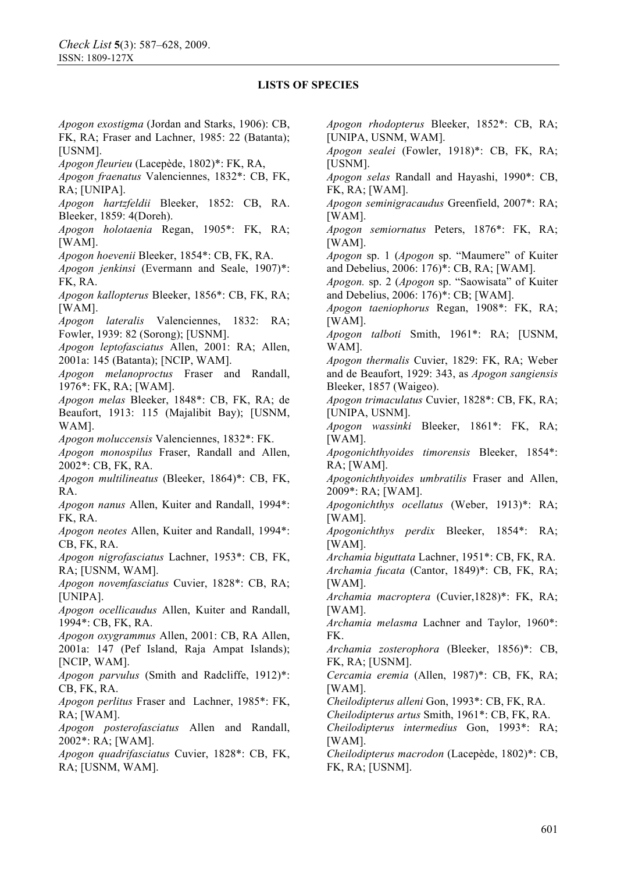*Apogon exostigma* (Jordan and Starks, 1906): CB, FK, RA; Fraser and Lachner, 1985: 22 (Batanta); [USNM].

*Apogon fleurieu* (Lacepède, 1802)\*: FK, RA,

*Apogon fraenatus* Valenciennes, 1832\*: CB, FK, RA; [UNIPA].

*Apogon hartzfeldii* Bleeker, 1852: CB, RA. Bleeker, 1859: 4(Doreh).

*Apogon holotaenia* Regan, 1905\*: FK, RA; [WAM].

*Apogon hoevenii* Bleeker, 1854\*: CB, FK, RA.

*Apogon jenkinsi* (Evermann and Seale, 1907)\*: FK, RA.

*Apogon kallopterus* Bleeker, 1856\*: CB, FK, RA; [WAM].

*Apogon lateralis* Valenciennes, 1832: RA; Fowler, 1939: 82 (Sorong); [USNM].

*Apogon leptofasciatus* Allen, 2001: RA; Allen, 2001a: 145 (Batanta); [NCIP, WAM].

*Apogon melanoproctus* Fraser and Randall, 1976\*: FK, RA; [WAM].

*Apogon melas* Bleeker, 1848\*: CB, FK, RA; de Beaufort, 1913: 115 (Majalibit Bay); [USNM, WAM].

*Apogon moluccensis* Valenciennes, 1832\*: FK.

*Apogon monospilus* Fraser, Randall and Allen, 2002\*: CB, FK, RA.

*Apogon multilineatus* (Bleeker, 1864)\*: CB, FK, RA.

*Apogon nanus* Allen, Kuiter and Randall, 1994\*: FK, RA.

*Apogon neotes* Allen, Kuiter and Randall, 1994\*: CB, FK, RA.

*Apogon nigrofasciatus* Lachner, 1953\*: CB, FK, RA; [USNM, WAM].

*Apogon novemfasciatus* Cuvier, 1828\*: CB, RA; [UNIPA].

*Apogon ocellicaudus* Allen, Kuiter and Randall, 1994\*: CB, FK, RA.

*Apogon oxygrammus* Allen, 2001: CB, RA Allen, 2001a: 147 (Pef Island, Raja Ampat Islands); [NCIP, WAM].

*Apogon parvulus* (Smith and Radcliffe, 1912)\*: CB, FK, RA.

*Apogon perlitus* Fraser and Lachner, 1985\*: FK, RA; [WAM].

*Apogon posterofasciatus* Allen and Randall, 2002\*: RA; [WAM].

*Apogon quadrifasciatus* Cuvier, 1828\*: CB, FK, RA; [USNM, WAM].

*Apogon rhodopterus* Bleeker, 1852\*: CB, RA; [UNIPA, USNM, WAM].

*Apogon sealei* (Fowler, 1918)\*: CB, FK, RA; [USNM].

*Apogon selas* Randall and Hayashi, 1990\*: CB, FK, RA; [WAM].

*Apogon seminigracaudus* Greenfield, 2007\*: RA; [WAM].

*Apogon semiornatus* Peters, 1876\*: FK, RA; [WAM].

*Apogon* sp. 1 (*Apogon* sp. "Maumere" of Kuiter and Debelius, 2006: 176)\*: CB, RA; [WAM].

*Apogon.* sp. 2 (*Apogon* sp. "Saowisata" of Kuiter and Debelius, 2006: 176)\*: CB; [WAM].

*Apogon taeniophorus* Regan, 1908\*: FK, RA; [WAM].

*Apogon talboti* Smith, 1961\*: RA; [USNM, WAM].

*Apogon thermalis* Cuvier, 1829: FK, RA; Weber and de Beaufort, 1929: 343, as *Apogon sangiensis*  Bleeker, 1857 (Waigeo).

*Apogon trimaculatus* Cuvier, 1828\*: CB, FK, RA; [UNIPA, USNM].

*Apogon wassinki* Bleeker, 1861\*: FK, RA; [WAM].

*Apogonichthyoides timorensis* Bleeker, 1854\*: RA; [WAM].

*Apogonichthyoides umbratilis* Fraser and Allen, 2009\*: RA; [WAM].

*Apogonichthys ocellatus* (Weber, 1913)\*: RA; [WAM].

*Apogonichthys perdix* Bleeker, 1854\*: RA; [WAM].

*Archamia biguttata* Lachner, 1951\*: CB, FK, RA.

*Archamia fucata* (Cantor, 1849)\*: CB, FK, RA; [WAM].

*Archamia macroptera* (Cuvier,1828)\*: FK, RA; [WAM].

*Archamia melasma* Lachner and Taylor, 1960\*: FK.

*Archamia zosterophora* (Bleeker, 1856)\*: CB, FK, RA; [USNM].

*Cercamia eremia* (Allen, 1987)\*: CB, FK, RA; [WAM].

*Cheilodipterus alleni* Gon, 1993\*: CB, FK, RA.

*Cheilodipterus artus* Smith, 1961\*: CB, FK, RA.

*Cheilodipterus intermedius* Gon, 1993\*: RA; [WAM].

*Cheilodipterus macrodon* (Lacepède, 1802)\*: CB, FK, RA; [USNM].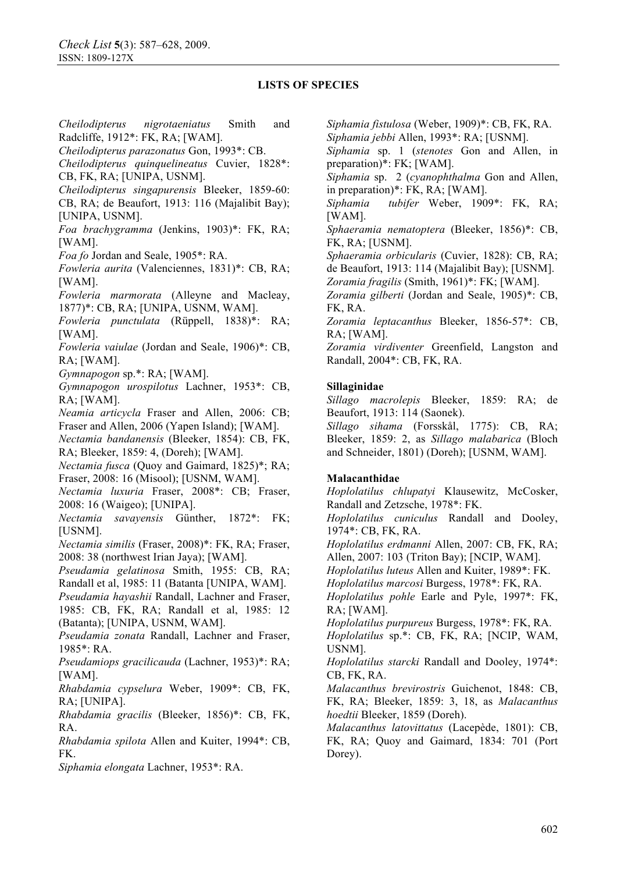*Cheilodipterus nigrotaeniatus* Smith and Radcliffe, 1912\*: FK, RA; [WAM].

*Cheilodipterus parazonatus* Gon, 1993\*: CB.

*Cheilodipterus quinquelineatus* Cuvier, 1828\*: CB, FK, RA; [UNIPA, USNM].

*Cheilodipterus singapurensis* Bleeker, 1859-60: CB, RA; de Beaufort, 1913: 116 (Majalibit Bay);

[UNIPA, USNM].

*Foa brachygramma* (Jenkins, 1903)\*: FK, RA; [WAM].

*Foa fo* Jordan and Seale, 1905\*: RA.

*Fowleria aurita* (Valenciennes, 1831)\*: CB, RA; [WAM].

*Fowleria marmorata* (Alleyne and Macleay, 1877)\*: CB, RA; [UNIPA, USNM, WAM].

*Fowleria punctulata* (Rüppell, 1838)\*: RA; [WAM].

*Fowleria vaiulae* (Jordan and Seale, 1906)\*: CB, RA; [WAM].

*Gymnapogon* sp.\*: RA; [WAM].

*Gymnapogon urospilotus* Lachner, 1953\*: CB, RA; [WAM].

*Neamia articycla* Fraser and Allen, 2006: CB; Fraser and Allen, 2006 (Yapen Island); [WAM].

*Nectamia bandanensis* (Bleeker, 1854): CB, FK, RA; Bleeker, 1859: 4, (Doreh); [WAM].

*Nectamia fusca* (Ouov and Gaimard, 1825)\*; RA; Fraser, 2008: 16 (Misool); [USNM, WAM].

*Nectamia luxuria* Fraser, 2008\*: CB; Fraser, 2008: 16 (Waigeo); [UNIPA].

*Nectamia savayensis* Günther, 1872\*: FK; [USNM].

*Nectamia similis* (Fraser, 2008)\*: FK, RA; Fraser, 2008: 38 (northwest Irian Jaya); [WAM].

*Pseudamia gelatinosa* Smith, 1955: CB, RA; Randall et al, 1985: 11 (Batanta [UNIPA, WAM].

*Pseudamia hayashii* Randall, Lachner and Fraser,

1985: CB, FK, RA; Randall et al, 1985: 12 (Batanta); [UNIPA, USNM, WAM].

*Pseudamia zonata* Randall, Lachner and Fraser, 1985\*: RA.

*Pseudamiops gracilicauda* (Lachner, 1953)\*: RA; [WAM].

*Rhabdamia cypselura* Weber, 1909\*: CB, FK, RA; [UNIPA].

*Rhabdamia gracilis* (Bleeker, 1856)\*: CB, FK, RA.

*Rhabdamia spilota* Allen and Kuiter, 1994\*: CB, FK.

*Siphamia elongata* Lachner, 1953\*: RA.

*Siphamia fistulosa* (Weber, 1909)\*: CB, FK, RA.

*Siphamia jebbi* Allen, 1993\*: RA; [USNM].

*Siphamia* sp. 1 (*stenotes* Gon and Allen, in preparation)\*: FK; [WAM].

*Siphamia* sp. 2 (*cyanophthalma* Gon and Allen, in preparation)\*: FK, RA; [WAM].

*Siphamia tubifer* Weber, 1909\*: FK, RA; [WAM].

*Sphaeramia nematoptera* (Bleeker, 1856)\*: CB, FK, RA; [USNM].

*Sphaeramia orbicularis* (Cuvier, 1828): CB, RA; de Beaufort, 1913: 114 (Majalibit Bay); [USNM]. *Zoramia fragilis* (Smith, 1961)\*: FK; [WAM].

*Zoramia gilberti* (Jordan and Seale, 1905)\*: CB,

FK, RA.

*Zoramia leptacanthus* Bleeker, 1856-57\*: CB, RA; [WAM].

*Zoramia virdiventer* Greenfield, Langston and Randall, 2004\*: CB, FK, RA.

### **Sillaginidae**

*Sillago macrolepis* Bleeker, 1859: RA; de Beaufort, 1913: 114 (Saonek).

*Sillago sihama* (Forsskål, 1775): CB, RA; Bleeker, 1859: 2, as *Sillago malabarica* (Bloch and Schneider, 1801) (Doreh); [USNM, WAM].

### **Malacanthidae**

*Hoplolatilus chlupatyi* Klausewitz, McCosker, Randall and Zetzsche, 1978\*: FK.

*Hoplolatilus cuniculus* Randall and Dooley, 1974\*: CB, FK, RA.

*Hoplolatilus erdmanni* Allen, 2007: CB, FK, RA; Allen, 2007: 103 (Triton Bay); [NCIP, WAM].

*Hoplolatilus luteus* Allen and Kuiter, 1989\*: FK.

*Hoplolatilus marcosi* Burgess, 1978\*: FK, RA.

*Hoplolatilus pohle* Earle and Pyle, 1997\*: FK, RA; [WAM].

*Hoplolatilus purpureus* Burgess, 1978\*: FK, RA. *Hoplolatilus* sp.\*: CB, FK, RA; [NCIP, WAM,

USNM]. *Hoplolatilus starcki* Randall and Dooley, 1974\*: CB, FK, RA.

*Malacanthus brevirostris* Guichenot, 1848: CB, FK, RA; Bleeker, 1859: 3, 18, as *Malacanthus hoedtii* Bleeker, 1859 (Doreh).

*Malacanthus latovittatus* (Lacepède, 1801): CB, FK, RA; Quoy and Gaimard, 1834: 701 (Port Dorey).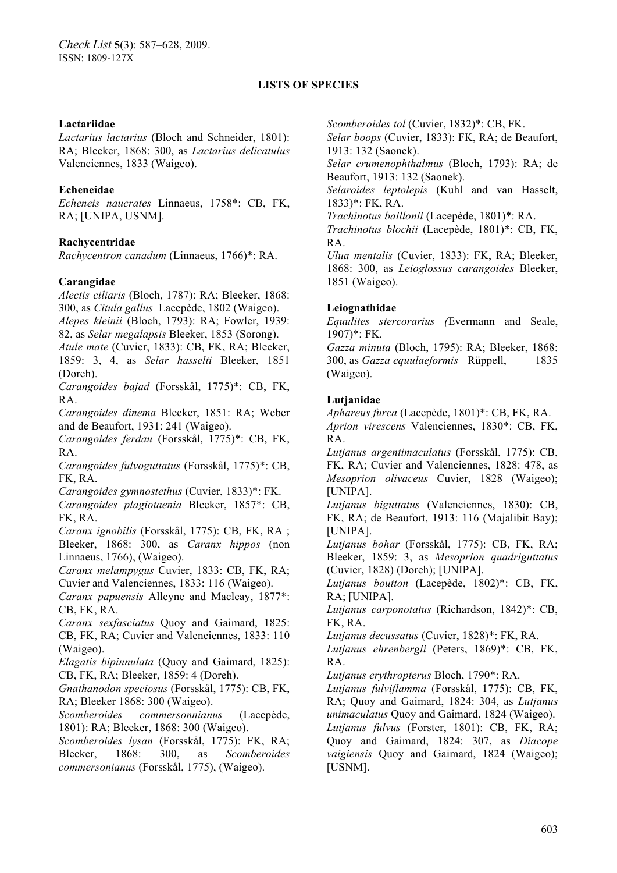### **Lactariidae**

*Lactarius lactarius* (Bloch and Schneider, 1801): RA; Bleeker, 1868: 300, as *Lactarius delicatulus*  Valenciennes, 1833 (Waigeo).

## **Echeneidae**

*Echeneis naucrates* Linnaeus, 1758\*: CB, FK, RA; [UNIPA, USNM].

## **Rachycentridae**

*Rachycentron canadum* (Linnaeus, 1766)\*: RA.

## **Carangidae**

*Alectis ciliaris* (Bloch, 1787): RA; Bleeker, 1868: 300, as *Citula gallus* Lacepède, 1802 (Waigeo).

*Alepes kleinii* (Bloch, 1793): RA; Fowler, 1939:

82, as *Selar megalapsis* Bleeker, 1853 (Sorong).

*Atule mate* (Cuvier, 1833): CB, FK, RA; Bleeker, 1859: 3, 4, as *Selar hasselti* Bleeker, 1851 (Doreh).

*Carangoides bajad* (Forsskål, 1775)\*: CB, FK, RA.

*Carangoides dinema* Bleeker, 1851: RA; Weber and de Beaufort, 1931: 241 (Waigeo).

*Carangoides ferdau* (Forsskål, 1775)\*: CB, FK, RA.

*Carangoides fulvoguttatus* (Forsskål, 1775)\*: CB, FK, RA.

*Carangoides gymnostethus* (Cuvier, 1833)\*: FK.

*Carangoides plagiotaenia* Bleeker, 1857\*: CB, FK, RA.

*Caranx ignobilis* (Forsskål, 1775): CB, FK, RA ; Bleeker, 1868: 300, as *Caranx hippos* (non Linnaeus, 1766), (Waigeo).

*Caranx melampygus* Cuvier, 1833: CB, FK, RA; Cuvier and Valenciennes, 1833: 116 (Waigeo).

*Caranx papuensis* Alleyne and Macleay, 1877\*: CB, FK, RA.

*Caranx sexfasciatus* Quoy and Gaimard, 1825: CB, FK, RA; Cuvier and Valenciennes, 1833: 110 (Waigeo).

*Elagatis bipinnulata* (Quoy and Gaimard, 1825): CB, FK, RA; Bleeker, 1859: 4 (Doreh).

*Gnathanodon speciosus* (Forsskål, 1775): CB, FK, RA; Bleeker 1868: 300 (Waigeo).

*Scomberoides commersonnianus* (Lacepède, 1801): RA; Bleeker, 1868: 300 (Waigeo).

*Scomberoides lysan* (Forsskål, 1775): FK, RA; Bleeker, 1868: 300, as *Scomberoides commersonianus* (Forsskål, 1775), (Waigeo).

*Scomberoides tol* (Cuvier, 1832)\*: CB, FK.

*Selar boops* (Cuvier, 1833): FK, RA; de Beaufort, 1913: 132 (Saonek).

*Selar crumenophthalmus* (Bloch, 1793): RA; de Beaufort, 1913: 132 (Saonek).

*Selaroides leptolepis* (Kuhl and van Hasselt, 1833)\*: FK, RA.

*Trachinotus baillonii* (Lacepède, 1801)\*: RA.

*Trachinotus blochii* (Lacepède, 1801)\*: CB, FK, RA.

*Ulua mentalis* (Cuvier, 1833): FK, RA; Bleeker, 1868: 300, as *Leioglossus carangoides* Bleeker, 1851 (Waigeo).

## **Leiognathidae**

*Equulites stercorarius (*Evermann and Seale, 1907)\*: FK.

*Gazza minuta* (Bloch, 1795): RA; Bleeker, 1868: 300, as *Gazza equulaeformis* Rüppell, 1835 (Waigeo).

## **Lutjanidae**

*Aphareus furca* (Lacepède, 1801)\*: CB, FK, RA. *Aprion virescens* Valenciennes, 1830\*: CB, FK, RA.

*Lutjanus argentimaculatus* (Forsskål, 1775): CB, FK, RA; Cuvier and Valenciennes, 1828: 478, as *Mesoprion olivaceus* Cuvier, 1828 (Waigeo); [UNIPA].

*Lutjanus biguttatus* (Valenciennes, 1830): CB, FK, RA; de Beaufort, 1913: 116 (Majalibit Bay); [UNIPA].

*Lutjanus bohar* (Forsskål, 1775): CB, FK, RA; Bleeker, 1859: 3, as *Mesoprion quadriguttatus*  (Cuvier, 1828) (Doreh); [UNIPA].

*Lutjanus boutton* (Lacepède, 1802)\*: CB, FK, RA; [UNIPA].

*Lutjanus carponotatus* (Richardson, 1842)\*: CB, FK, RA.

*Lutjanus decussatus* (Cuvier, 1828)\*: FK, RA.

*Lutjanus ehrenbergii* (Peters, 1869)\*: CB, FK, RA.

*Lutjanus erythropterus* Bloch, 1790\*: RA.

*Lutjanus fulviflamma* (Forsskål, 1775): CB, FK, RA; Quoy and Gaimard, 1824: 304, as *Lutjanus unimaculatus* Quoy and Gaimard, 1824 (Waigeo). *Lutjanus fulvus* (Forster, 1801): CB, FK, RA; Quoy and Gaimard, 1824: 307, as *Diacope vaigiensis* Quoy and Gaimard, 1824 (Waigeo); [USNM].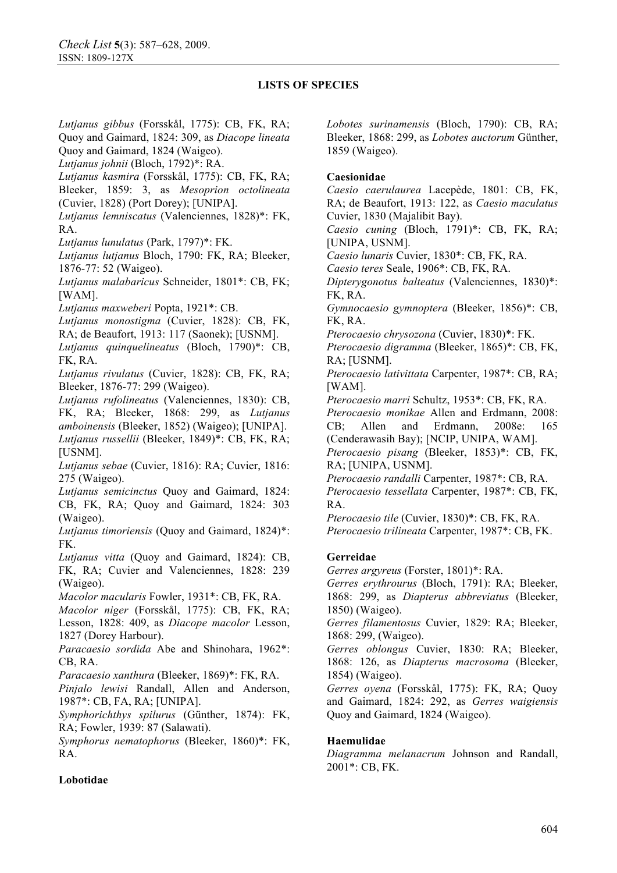*Lutjanus gibbus* (Forsskål, 1775): CB, FK, RA; Quoy and Gaimard, 1824: 309, as *Diacope lineata* Quoy and Gaimard, 1824 (Waigeo). *Lutjanus johnii* (Bloch, 1792)\*: RA. *Lutjanus kasmira* (Forsskål, 1775): CB, FK, RA; Bleeker, 1859: 3, as *Mesoprion octolineata*  (Cuvier, 1828) (Port Dorey); [UNIPA]. *Lutjanus lemniscatus* (Valenciennes, 1828)\*: FK, RA. *Lutjanus lunulatus* (Park, 1797)\*: FK. *Lutjanus lutjanus* Bloch, 1790: FK, RA; Bleeker, 1876-77: 52 (Waigeo). *Lutjanus malabaricus* Schneider, 1801\*: CB, FK; [WAM]. *Lutjanus maxweberi* Popta, 1921\*: CB. *Lutjanus monostigma* (Cuvier, 1828): CB, FK, RA; de Beaufort, 1913: 117 (Saonek); [USNM]. *Lutjanus quinquelineatus* (Bloch, 1790)\*: CB, FK, RA. *Lutjanus rivulatus* (Cuvier, 1828): CB, FK, RA; Bleeker, 1876-77: 299 (Waigeo). *Lutjanus rufolineatus* (Valenciennes, 1830): CB, FK, RA; Bleeker, 1868: 299, as *Lutjanus amboinensis* (Bleeker, 1852) (Waigeo); [UNIPA]. *Lutjanus russellii* (Bleeker, 1849)\*: CB, FK, RA; [USNM]. *Lutjanus sebae* (Cuvier, 1816): RA; Cuvier, 1816: 275 (Waigeo). *Lutjanus semicinctus* Quoy and Gaimard, 1824: CB, FK, RA; Quoy and Gaimard, 1824: 303 (Waigeo). *Lutjanus timoriensis* (Quoy and Gaimard, 1824)\*: FK. *Lutjanus vitta* (Quoy and Gaimard, 1824): CB, FK, RA; Cuvier and Valenciennes, 1828: 239 (Waigeo). *Macolor macularis* Fowler, 1931\*: CB, FK, RA. *Macolor niger* (Forsskål, 1775): CB, FK, RA; Lesson, 1828: 409, as *Diacope macolor* Lesson, 1827 (Dorey Harbour). *Paracaesio sordida* Abe and Shinohara, 1962\*: CB, RA. *Paracaesio xanthura* (Bleeker, 1869)\*: FK, RA. *Pinjalo lewisi* Randall, Allen and Anderson, 1987\*: CB, FA, RA; [UNIPA]. *Symphorichthys spilurus* (Günther, 1874): FK, RA; Fowler, 1939: 87 (Salawati). *Symphorus nematophorus* (Bleeker, 1860)\*: FK, RA. **Lobotidae**  RA.

*Lobotes surinamensis* (Bloch, 1790): CB, RA; Bleeker, 1868: 299, as *Lobotes auctorum* Günther, 1859 (Waigeo).

## **Caesionidae**

*Caesio caerulaurea* Lacepède, 1801: CB, FK, RA; de Beaufort, 1913: 122, as *Caesio maculatus* Cuvier, 1830 (Majalibit Bay).

*Caesio cuning* (Bloch, 1791)\*: CB, FK, RA; [UNIPA, USNM].

*Caesio lunaris* Cuvier, 1830\*: CB, FK, RA.

*Caesio teres* Seale, 1906\*: CB, FK, RA.

*Dipterygonotus balteatus* (Valenciennes, 1830)\*: FK, RA.

*Gymnocaesio gymnoptera* (Bleeker, 1856)\*: CB, FK, RA.

*Pterocaesio chrysozona* (Cuvier, 1830)\*: FK.

*Pterocaesio digramma* (Bleeker, 1865)\*: CB, FK, RA; [USNM].

*Pterocaesio lativittata* Carpenter, 1987\*: CB, RA; [WAM].

*Pterocaesio marri* Schultz, 1953\*: CB, FK, RA.

*Pterocaesio monikae* Allen and Erdmann, 2008: CB; Allen and Erdmann, 2008e: 165 (Cenderawasih Bay); [NCIP, UNIPA, WAM].

*Pterocaesio pisang* (Bleeker, 1853)\*: CB, FK, RA; [UNIPA, USNM].

*Pterocaesio randalli* Carpenter, 1987\*: CB, RA. *Pterocaesio tessellata* Carpenter, 1987\*: CB, FK,

*Pterocaesio tile* (Cuvier, 1830)\*: CB, FK, RA. *Pterocaesio trilineata* Carpenter, 1987\*: CB, FK.

# **Gerreidae**

*Gerres argyreus* (Forster, 1801)\*: RA.

*Gerres erythrourus* (Bloch, 1791): RA; Bleeker, 1868: 299, as *Diapterus abbreviatus* (Bleeker, 1850) (Waigeo).

*Gerres filamentosus* Cuvier, 1829: RA; Bleeker, 1868: 299, (Waigeo).

*Gerres oblongus* Cuvier, 1830: RA; Bleeker, 1868: 126, as *Diapterus macrosoma* (Bleeker, 1854) (Waigeo).

*Gerres oyena* (Forsskål, 1775): FK, RA; Quoy and Gaimard, 1824: 292, as *Gerres waigiensis*  Quoy and Gaimard, 1824 (Waigeo).

# **Haemulidae**

*Diagramma melanacrum* Johnson and Randall, 2001\*: CB, FK.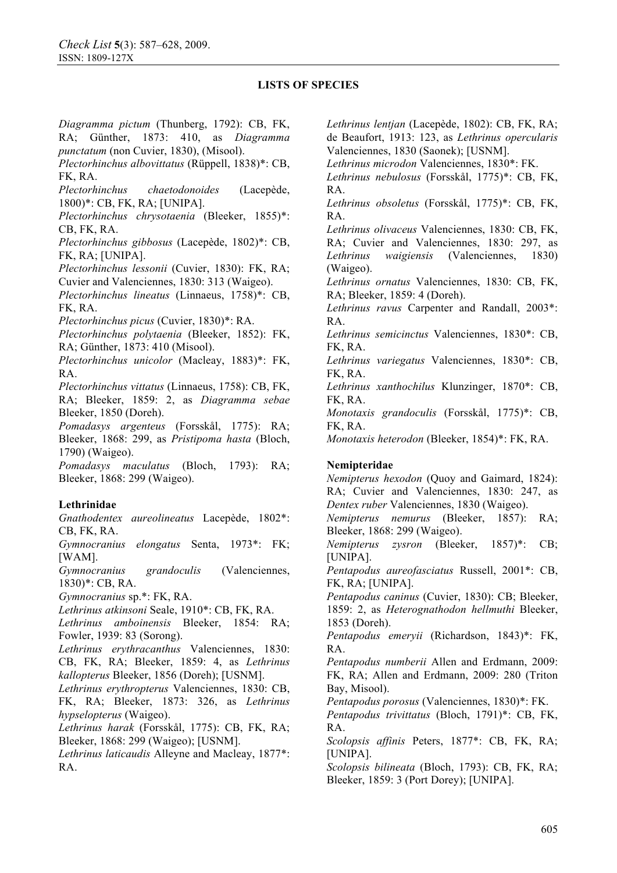*Diagramma pictum* (Thunberg, 1792): CB, FK, RA; Günther, 1873: 410, as *Diagramma punctatum* (non Cuvier, 1830), (Misool). *Plectorhinchus albovittatus* (Rüppell, 1838)\*: CB, FK, RA. *Plectorhinchus chaetodonoides* (Lacepède, 1800)\*: CB, FK, RA; [UNIPA]. *Plectorhinchus chrysotaenia* (Bleeker, 1855)\*: CB, FK, RA. *Plectorhinchus gibbosus* (Lacepède, 1802)\*: CB, FK, RA; [UNIPA]. *Plectorhinchus lessonii* (Cuvier, 1830): FK, RA; Cuvier and Valenciennes, 1830: 313 (Waigeo). *Plectorhinchus lineatus* (Linnaeus, 1758)\*: CB, FK, RA. *Plectorhinchus picus* (Cuvier, 1830)\*: RA. *Plectorhinchus polytaenia* (Bleeker, 1852): FK, RA; Günther, 1873: 410 (Misool). *Plectorhinchus unicolor* (Macleay, 1883)\*: FK, RA. *Plectorhinchus vittatus* (Linnaeus, 1758): CB, FK, RA; Bleeker, 1859: 2, as *Diagramma sebae*  Bleeker, 1850 (Doreh). *Pomadasys argenteus* (Forsskål, 1775): RA; Bleeker, 1868: 299, as *Pristipoma hasta* (Bloch, 1790) (Waigeo). *Pomadasys maculatus* (Bloch, 1793): RA; Bleeker, 1868: 299 (Waigeo). **Lethrinidae**  *Gnathodentex aureolineatus* Lacepède, 1802\*: CB, FK, RA. *Gymnocranius elongatus* Senta, 1973\*: FK; [WAM]. *Gymnocranius grandoculis* (Valenciennes, 1830)\*: CB, RA. *Gymnocranius* sp.\*: FK, RA. *Lethrinus atkinsoni* Seale, 1910\*: CB, FK, RA. *Lethrinus amboinensis* Bleeker, 1854: RA; Fowler, 1939: 83 (Sorong). *Lethrinus erythracanthus* Valenciennes, 1830: CB, FK, RA; Bleeker, 1859: 4, as *Lethrinus kallopterus* Bleeker, 1856 (Doreh); [USNM]. *Lethrinus erythropterus* Valenciennes, 1830: CB, FK, RA; Bleeker, 1873: 326, as *Lethrinus hypselopterus* (Waigeo). *Lethrinus harak* (Forsskål, 1775): CB, FK, RA; Bleeker, 1868: 299 (Waigeo); [USNM]. *Lethrinus laticaudis* Alleyne and Macleay, 1877\*: RA. RA. RA. RA. FK, RA. FK, RA. FK, RA. FK, RA. RA. RA.

*Lethrinus lentjan* (Lacepède, 1802): CB, FK, RA; de Beaufort, 1913: 123, as *Lethrinus opercularis*  Valenciennes, 1830 (Saonek); [USNM].

*Lethrinus microdon* Valenciennes, 1830\*: FK.

*Lethrinus nebulosus* (Forsskål, 1775)\*: CB, FK,

*Lethrinus obsoletus* (Forsskål, 1775)\*: CB, FK,

*Lethrinus olivaceus* Valenciennes, 1830: CB, FK, RA; Cuvier and Valenciennes, 1830: 297, as *Lethrinus waigiensis* (Valenciennes, 1830)

(Waigeo).

*Lethrinus ornatus* Valenciennes, 1830: CB, FK, RA; Bleeker, 1859: 4 (Doreh).

*Lethrinus ravus* Carpenter and Randall, 2003\*:

*Lethrinus semicinctus* Valenciennes, 1830\*: CB,

*Lethrinus variegatus* Valenciennes, 1830\*: CB,

*Lethrinus xanthochilus* Klunzinger, 1870\*: CB,

*Monotaxis grandoculis* (Forsskål, 1775)\*: CB,

*Monotaxis heterodon* (Bleeker, 1854)\*: FK, RA.

### **Nemipteridae**

*Nemipterus hexodon* (Quoy and Gaimard, 1824): RA; Cuvier and Valenciennes, 1830: 247, as *Dentex ruber* Valenciennes, 1830 (Waigeo).

*Nemipterus nemurus* (Bleeker, 1857): RA; Bleeker, 1868: 299 (Waigeo).

*Nemipterus zysron* (Bleeker, 1857)\*: CB; [UNIPA].

*Pentapodus aureofasciatus* Russell, 2001\*: CB, FK, RA; [UNIPA].

*Pentapodus caninus* (Cuvier, 1830): CB; Bleeker, 1859: 2, as *Heterognathodon hellmuthi* Bleeker, 1853 (Doreh).

*Pentapodus emeryii* (Richardson, 1843)\*: FK,

*Pentapodus numberii* Allen and Erdmann, 2009: FK, RA; Allen and Erdmann, 2009: 280 (Triton Bay, Misool).

*Pentapodus porosus* (Valenciennes, 1830)\*: FK.

*Pentapodus trivittatus* (Bloch, 1791)\*: CB, FK,

*Scolopsis affinis* Peters, 1877\*: CB, FK, RA; [UNIPA].

*Scolopsis bilineata* (Bloch, 1793): CB, FK, RA; Bleeker, 1859: 3 (Port Dorey); [UNIPA].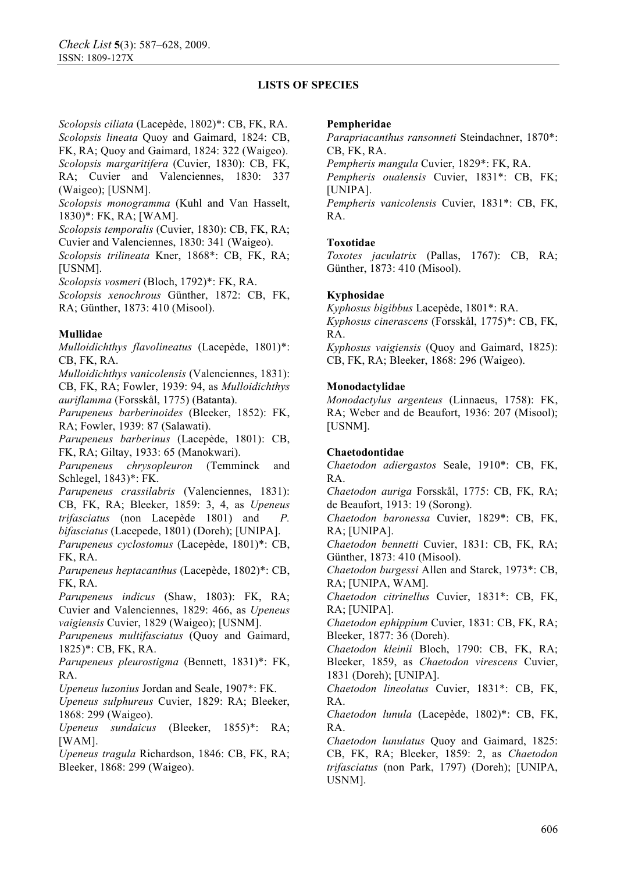*Scolopsis ciliata* (Lacepède, 1802)\*: CB, FK, RA. *Scolopsis lineata* Quoy and Gaimard, 1824: CB, FK, RA; Quoy and Gaimard, 1824: 322 (Waigeo). *Scolopsis margaritifera* (Cuvier, 1830): CB, FK, RA; Cuvier and Valenciennes, 1830: 337 (Waigeo); [USNM].

*Scolopsis monogramma* (Kuhl and Van Hasselt, 1830)\*: FK, RA; [WAM].

*Scolopsis temporalis* (Cuvier, 1830): CB, FK, RA; Cuvier and Valenciennes, 1830: 341 (Waigeo).

*Scolopsis trilineata* Kner, 1868\*: CB, FK, RA; [USNM].

*Scolopsis vosmeri* (Bloch, 1792)\*: FK, RA.

*Scolopsis xenochrous* Günther, 1872: CB, FK, RA; Günther, 1873: 410 (Misool).

## **Mullidae**

*Mulloidichthys flavolineatus* (Lacepède, 1801)\*: CB, FK, RA.

*Mulloidichthys vanicolensis* (Valenciennes, 1831): CB, FK, RA; Fowler, 1939: 94, as *Mulloidichthys auriflamma* (Forsskål, 1775) (Batanta).

*Parupeneus barberinoides* (Bleeker, 1852): FK, RA; Fowler, 1939: 87 (Salawati).

*Parupeneus barberinus* (Lacepède, 1801): CB, FK, RA; Giltay, 1933: 65 (Manokwari).

*Parupeneus chrysopleuron* (Temminck and Schlegel, 1843)\*: FK.

*Parupeneus crassilabris* (Valenciennes, 1831): CB, FK, RA; Bleeker, 1859: 3, 4, as *Upeneus trifasciatus* (non Lacepède 1801) and *P. bifasciatus* (Lacepede, 1801) (Doreh); [UNIPA].

*Parupeneus cyclostomus* (Lacepède, 1801)\*: CB, FK, RA.

*Parupeneus heptacanthus* (Lacepède, 1802)\*: CB, FK, RA.

*Parupeneus indicus* (Shaw, 1803): FK, RA; Cuvier and Valenciennes, 1829: 466, as *Upeneus vaigiensis* Cuvier, 1829 (Waigeo); [USNM].

*Parupeneus multifasciatus* (Quoy and Gaimard, 1825)\*: CB, FK, RA.

*Parupeneus pleurostigma* (Bennett, 1831)\*: FK, RA.

*Upeneus luzonius* Jordan and Seale, 1907\*: FK.

*Upeneus sulphureus* Cuvier, 1829: RA; Bleeker, 1868: 299 (Waigeo).

*Upeneus sundaicus* (Bleeker, 1855)\*: RA; [WAM].

*Upeneus tragula* Richardson, 1846: CB, FK, RA; Bleeker, 1868: 299 (Waigeo).

### **Pempheridae**

*Parapriacanthus ransonneti* Steindachner, 1870\*: CB, FK, RA.

*Pempheris mangula* Cuvier, 1829\*: FK, RA.

*Pempheris oualensis* Cuvier, 1831\*: CB, FK; [UNIPA].

*Pempheris vanicolensis* Cuvier, 1831\*: CB, FK, RA.

## **Toxotidae**

*Toxotes jaculatrix* (Pallas, 1767): CB, RA; Günther, 1873: 410 (Misool).

# **Kyphosidae**

*Kyphosus bigibbus* Lacepède, 1801\*: RA. *Kyphosus cinerascens* (Forsskål, 1775)\*: CB, FK, RA. *Kyphosus vaigiensis* (Quoy and Gaimard, 1825): CB, FK, RA; Bleeker, 1868: 296 (Waigeo).

## **Monodactylidae**

*Monodactylus argenteus* (Linnaeus, 1758): FK, RA; Weber and de Beaufort, 1936: 207 (Misool); [USNM].

# **Chaetodontidae**

*Chaetodon adiergastos* Seale, 1910\*: CB, FK, RA.

*Chaetodon auriga* Forsskål, 1775: CB, FK, RA; de Beaufort, 1913: 19 (Sorong).

*Chaetodon baronessa* Cuvier, 1829\*: CB, FK, RA; [UNIPA].

*Chaetodon bennetti* Cuvier, 1831: CB, FK, RA; Günther, 1873: 410 (Misool).

*Chaetodon burgessi* Allen and Starck, 1973\*: CB, RA; [UNIPA, WAM].

*Chaetodon citrinellus* Cuvier, 1831\*: CB, FK, RA; [UNIPA].

*Chaetodon ephippium* Cuvier, 1831: CB, FK, RA; Bleeker, 1877: 36 (Doreh).

*Chaetodon kleinii* Bloch, 1790: CB, FK, RA; Bleeker, 1859, as *Chaetodon virescens* Cuvier, 1831 (Doreh); [UNIPA].

*Chaetodon lineolatus* Cuvier, 1831\*: CB, FK, RA.

*Chaetodon lunula* (Lacepède, 1802)\*: CB, FK, RA.

*Chaetodon lunulatus* Quoy and Gaimard, 1825: CB, FK, RA; Bleeker, 1859: 2, as *Chaetodon trifasciatus* (non Park, 1797) (Doreh); [UNIPA, USNM].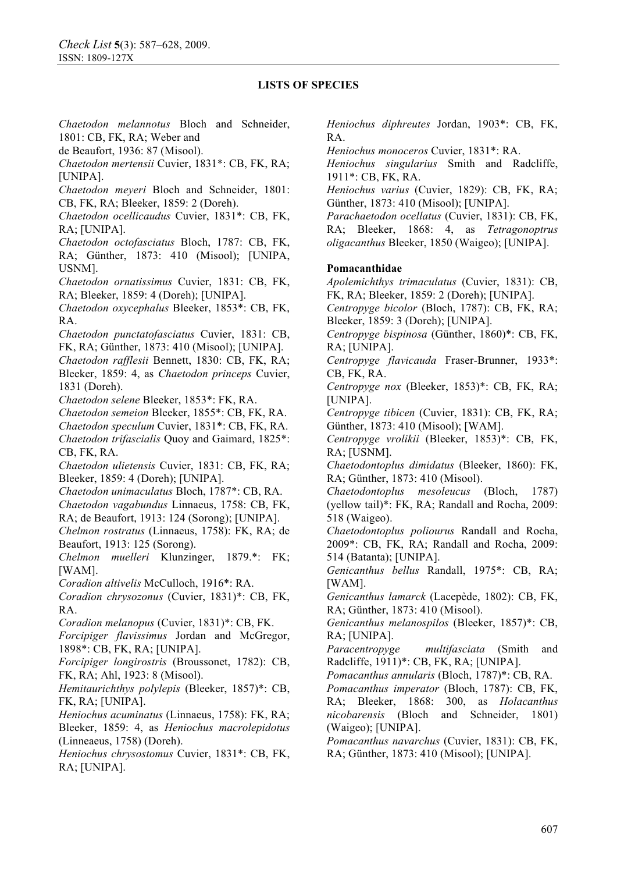*Chaetodon melannotus* Bloch and Schneider, 1801: CB, FK, RA; Weber and

de Beaufort, 1936: 87 (Misool).

*Chaetodon mertensii* Cuvier, 1831\*: CB, FK, RA; [UNIPA].

*Chaetodon meyeri* Bloch and Schneider, 1801: CB, FK, RA; Bleeker, 1859: 2 (Doreh).

*Chaetodon ocellicaudus* Cuvier, 1831\*: CB, FK, RA; [UNIPA].

*Chaetodon octofasciatus* Bloch, 1787: CB, FK, RA; Günther, 1873: 410 (Misool); [UNIPA, USNM].

*Chaetodon ornatissimus* Cuvier, 1831: CB, FK, RA; Bleeker, 1859: 4 (Doreh); [UNIPA].

*Chaetodon oxycephalus* Bleeker, 1853\*: CB, FK, RA.

*Chaetodon punctatofasciatus* Cuvier, 1831: CB, FK, RA; Günther, 1873: 410 (Misool); [UNIPA].

*Chaetodon rafflesii* Bennett, 1830: CB, FK, RA; Bleeker, 1859: 4, as *Chaetodon princeps* Cuvier, 1831 (Doreh).

*Chaetodon selene* Bleeker, 1853\*: FK, RA.

*Chaetodon semeion* Bleeker, 1855\*: CB, FK, RA.

*Chaetodon speculum* Cuvier, 1831\*: CB, FK, RA. *Chaetodon trifascialis* Quoy and Gaimard, 1825\*: CB, FK, RA.

*Chaetodon ulietensis* Cuvier, 1831: CB, FK, RA; Bleeker, 1859: 4 (Doreh); [UNIPA].

*Chaetodon unimaculatus* Bloch, 1787\*: CB, RA.

*Chaetodon vagabundus* Linnaeus, 1758: CB, FK,

RA; de Beaufort, 1913: 124 (Sorong); [UNIPA].

*Chelmon rostratus* (Linnaeus, 1758): FK, RA; de Beaufort, 1913: 125 (Sorong).

*Chelmon muelleri* Klunzinger, 1879.\*: FK; [WAM].

*Coradion altivelis* McCulloch, 1916\*: RA.

*Coradion chrysozonus* (Cuvier, 1831)\*: CB, FK, RA.

*Coradion melanopus* (Cuvier, 1831)\*: CB, FK.

*Forcipiger flavissimus* Jordan and McGregor, 1898\*: CB, FK, RA; [UNIPA].

*Forcipiger longirostris* (Broussonet, 1782): CB, FK, RA; Ahl, 1923: 8 (Misool).

*Hemitaurichthys polylepis* (Bleeker, 1857)\*: CB, FK, RA; [UNIPA].

*Heniochus acuminatus* (Linnaeus, 1758): FK, RA; Bleeker, 1859: 4, as *Heniochus macrolepidotus*  (Linneaeus, 1758) (Doreh).

*Heniochus chrysostomus* Cuvier, 1831\*: CB, FK, RA; [UNIPA].

*Heniochus diphreutes* Jordan, 1903\*: CB, FK, RA.

*Heniochus monoceros* Cuvier, 1831\*: RA.

*Heniochus singularius* Smith and Radcliffe, 1911\*: CB, FK, RA.

*Heniochus varius* (Cuvier, 1829): CB, FK, RA; Günther, 1873: 410 (Misool); [UNIPA].

*Parachaetodon ocellatus* (Cuvier, 1831): CB, FK, RA; Bleeker, 1868: 4, as *Tetragonoptrus oligacanthus* Bleeker, 1850 (Waigeo); [UNIPA].

### **Pomacanthidae**

*Apolemichthys trimaculatus* (Cuvier, 1831): CB, FK, RA; Bleeker, 1859: 2 (Doreh); [UNIPA].

*Centropyge bicolor* (Bloch, 1787): CB, FK, RA; Bleeker, 1859: 3 (Doreh); [UNIPA].

*Centropyge bispinosa* (Günther, 1860)\*: CB, FK, RA; [UNIPA].

*Centropyge flavicauda* Fraser-Brunner, 1933\*: CB, FK, RA.

*Centropyge nox* (Bleeker, 1853)\*: CB, FK, RA; [UNIPA].

*Centropyge tibicen* (Cuvier, 1831): CB, FK, RA; Günther, 1873: 410 (Misool); [WAM].

*Centropyge vrolikii* (Bleeker, 1853)\*: CB, FK, RA; [USNM].

*Chaetodontoplus dimidatus* (Bleeker, 1860): FK, RA; Günther, 1873: 410 (Misool).

*Chaetodontoplus mesoleucus* (Bloch, 1787) (yellow tail)\*: FK, RA; Randall and Rocha, 2009: 518 (Waigeo).

*Chaetodontoplus poliourus* Randall and Rocha, 2009\*: CB, FK, RA; Randall and Rocha, 2009: 514 (Batanta); [UNIPA].

*Genicanthus bellus* Randall, 1975\*: CB, RA; [WAM].

*Genicanthus lamarck* (Lacepède, 1802): CB, FK, RA; Günther, 1873: 410 (Misool).

*Genicanthus melanospilos* (Bleeker, 1857)\*: CB, RA; [UNIPA].

*Paracentropyge multifasciata* (Smith and Radcliffe, 1911)\*: CB, FK, RA; [UNIPA].

*Pomacanthus annularis* (Bloch, 1787)\*: CB, RA.

*Pomacanthus imperator* (Bloch, 1787): CB, FK, RA; Bleeker, 1868: 300, as *Holacanthus nicobarensis* (Bloch and Schneider, 1801) (Waigeo); [UNIPA].

*Pomacanthus navarchus* (Cuvier, 1831): CB, FK, RA; Günther, 1873: 410 (Misool); [UNIPA].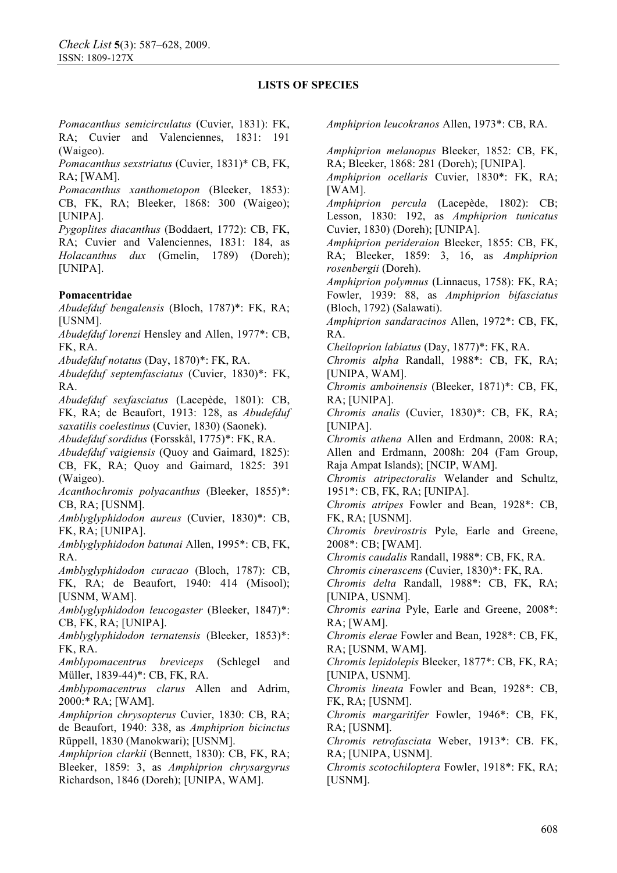*Pomacanthus semicirculatus* (Cuvier, 1831): FK, RA; Cuvier and Valenciennes, 1831: 191 (Waigeo).

*Pomacanthus sexstriatus* (Cuvier, 1831)\* CB, FK, RA; [WAM].

*Pomacanthus xanthometopon* (Bleeker, 1853): CB, FK, RA; Bleeker, 1868: 300 (Waigeo); [UNIPA].

*Pygoplites diacanthus* (Boddaert, 1772): CB, FK, RA; Cuvier and Valenciennes, 1831: 184, as *Holacanthus dux* (Gmelin, 1789) (Doreh); [UNIPA].

#### **Pomacentridae**

*Abudefduf bengalensis* (Bloch, 1787)\*: FK, RA; [USNM].

*Abudefduf lorenzi* Hensley and Allen, 1977\*: CB, FK, RA.

*Abudefduf notatus* (Day, 1870)\*: FK, RA.

*Abudefduf septemfasciatus* (Cuvier, 1830)\*: FK, RA.

*Abudefduf sexfasciatus* (Lacepède, 1801): CB, FK, RA; de Beaufort, 1913: 128, as *Abudefduf saxatilis coelestinus* (Cuvier, 1830) (Saonek).

*Abudefduf sordidus* (Forsskål, 1775)\*: FK, RA.

*Abudefduf vaigiensis* (Quoy and Gaimard, 1825): CB, FK, RA; Quoy and Gaimard, 1825: 391 (Waigeo).

*Acanthochromis polyacanthus* (Bleeker, 1855)\*: CB, RA; [USNM].

*Amblyglyphidodon aureus* (Cuvier, 1830)\*: CB, FK, RA; [UNIPA].

*Amblyglyphidodon batunai* Allen, 1995\*: CB, FK, RA.

*Amblyglyphidodon curacao* (Bloch, 1787): CB, FK, RA; de Beaufort, 1940: 414 (Misool); [USNM, WAM].

*Amblyglyphidodon leucogaster* (Bleeker, 1847)\*: CB, FK, RA; [UNIPA].

*Amblyglyphidodon ternatensis* (Bleeker, 1853)\*: FK, RA.

*Amblypomacentrus breviceps* (Schlegel and Müller, 1839-44)\*: CB, FK, RA.

*Amblypomacentrus clarus* Allen and Adrim, 2000:\* RA; [WAM].

*Amphiprion chrysopterus* Cuvier, 1830: CB, RA; de Beaufort, 1940: 338, as *Amphiprion bicinctus*  Rüppell, 1830 (Manokwari); [USNM].

*Amphiprion clarkii* (Bennett, 1830): CB, FK, RA; Bleeker, 1859: 3, as *Amphiprion chrysargyrus*  Richardson, 1846 (Doreh); [UNIPA, WAM].

*Amphiprion leucokranos* Allen, 1973\*: CB, RA.

*Amphiprion melanopus* Bleeker, 1852: CB, FK, RA; Bleeker, 1868: 281 (Doreh); [UNIPA].

*Amphiprion ocellaris* Cuvier, 1830\*: FK, RA; [WAM].

*Amphiprion percula* (Lacepède, 1802): CB; Lesson, 1830: 192, as *Amphiprion tunicatus* Cuvier, 1830) (Doreh); [UNIPA].

*Amphiprion perideraion* Bleeker, 1855: CB, FK, RA; Bleeker, 1859: 3, 16, as *Amphiprion rosenbergii* (Doreh).

*Amphiprion polymnus* (Linnaeus, 1758): FK, RA; Fowler, 1939: 88, as *Amphiprion bifasciatus*  (Bloch, 1792) (Salawati).

*Amphiprion sandaracinos* Allen, 1972\*: CB, FK, RA.

*Cheiloprion labiatus* (Day, 1877)\*: FK, RA.

*Chromis alpha* Randall, 1988\*: CB, FK, RA; [UNIPA, WAM].

*Chromis amboinensis* (Bleeker, 1871)\*: CB, FK, RA; [UNIPA].

*Chromis analis* (Cuvier, 1830)\*: CB, FK, RA; [UNIPA].

*Chromis athena* Allen and Erdmann, 2008: RA; Allen and Erdmann, 2008h: 204 (Fam Group, Raja Ampat Islands); [NCIP, WAM].

*Chromis atripectoralis* Welander and Schultz, 1951\*: CB, FK, RA; [UNIPA].

*Chromis atripes* Fowler and Bean, 1928\*: CB, FK, RA; [USNM].

*Chromis brevirostris* Pyle, Earle and Greene, 2008\*: CB; [WAM].

*Chromis caudalis* Randall, 1988\*: CB, FK, RA.

*Chromis cinerascens* (Cuvier, 1830)\*: FK, RA.

*Chromis delta* Randall, 1988\*: CB, FK, RA; [UNIPA, USNM].

*Chromis earina* Pyle, Earle and Greene, 2008\*: RA; [WAM].

*Chromis elerae* Fowler and Bean, 1928\*: CB, FK, RA; [USNM, WAM].

*Chromis lepidolepis* Bleeker, 1877\*: CB, FK, RA; [UNIPA, USNM].

*Chromis lineata* Fowler and Bean, 1928\*: CB, FK, RA; [USNM].

*Chromis margaritifer* Fowler, 1946\*: CB, FK, RA; [USNM].

*Chromis retrofasciata* Weber, 1913\*: CB. FK, RA; [UNIPA, USNM].

*Chromis scotochiloptera* Fowler, 1918\*: FK, RA; [USNM].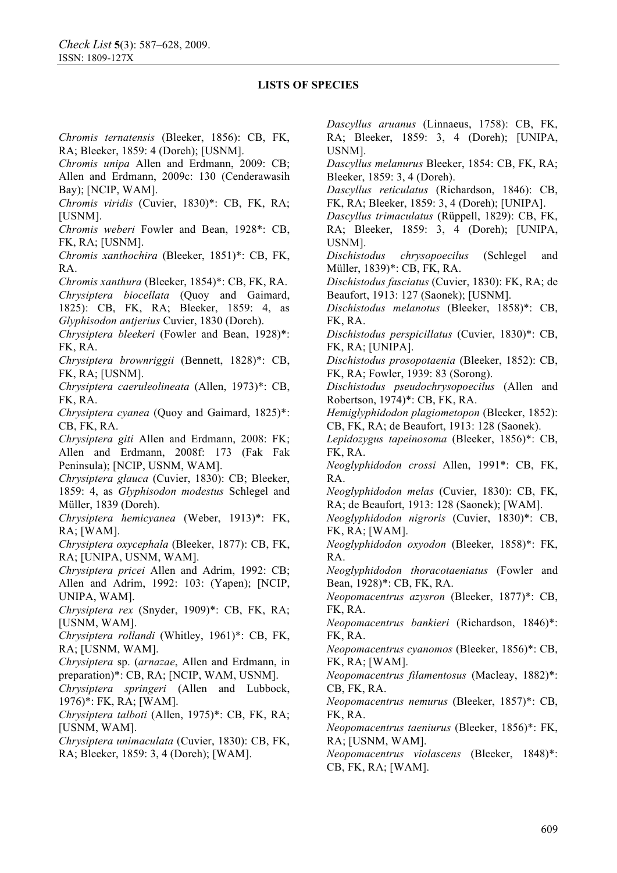*Chromis ternatensis* (Bleeker, 1856): CB, FK, RA; Bleeker, 1859: 4 (Doreh); [USNM]. *Chromis unipa* Allen and Erdmann, 2009: CB; Allen and Erdmann, 2009c: 130 (Cenderawasih Bay); [NCIP, WAM]. *Chromis viridis* (Cuvier, 1830)\*: CB, FK, RA; [USNM]. *Chromis weberi* Fowler and Bean, 1928\*: CB, FK, RA; [USNM]. *Chromis xanthochira* (Bleeker, 1851)\*: CB, FK, RA. *Chromis xanthura* (Bleeker, 1854)\*: CB, FK, RA. *Chrysiptera biocellata* (Quoy and Gaimard, 1825): CB, FK, RA; Bleeker, 1859: 4, as *Glyphisodon antjerius* Cuvier, 1830 (Doreh). *Chrysiptera bleekeri* (Fowler and Bean, 1928)\*: FK, RA. *Chrysiptera brownriggii* (Bennett, 1828)\*: CB, FK, RA; [USNM]. *Chrysiptera caeruleolineata* (Allen, 1973)\*: CB, FK, RA. *Chrysiptera cyanea* (Quoy and Gaimard, 1825)\*: CB, FK, RA. *Chrysiptera giti* Allen and Erdmann, 2008: FK; Allen and Erdmann, 2008f: 173 (Fak Fak Peninsula); [NCIP, USNM, WAM]. *Chrysiptera glauca* (Cuvier, 1830): CB; Bleeker, 1859: 4, as *Glyphisodon modestus* Schlegel and Müller, 1839 (Doreh). *Chrysiptera hemicyanea* (Weber, 1913)\*: FK, RA; [WAM]. *Chrysiptera oxycephala* (Bleeker, 1877): CB, FK, RA; [UNIPA, USNM, WAM]. *Chrysiptera pricei* Allen and Adrim, 1992: CB; Allen and Adrim, 1992: 103: (Yapen); [NCIP, UNIPA, WAM]. *Chrysiptera rex* (Snyder, 1909)\*: CB, FK, RA; [USNM, WAM]. *Chrysiptera rollandi* (Whitley, 1961)\*: CB, FK, RA; [USNM, WAM]. *Chrysiptera* sp. (*arnazae*, Allen and Erdmann, in preparation)\*: CB, RA; [NCIP, WAM, USNM]. *Chrysiptera springeri* (Allen and Lubbock, 1976)\*: FK, RA; [WAM]. *Chrysiptera talboti* (Allen, 1975)\*: CB, FK, RA; [USNM, WAM]. *Chrysiptera unimaculata* (Cuvier, 1830): CB, FK, RA; Bleeker, 1859: 3, 4 (Doreh); [WAM].

*Dascyllus aruanus* (Linnaeus, 1758): CB, FK, RA; Bleeker, 1859: 3, 4 (Doreh); [UNIPA, USNM].

*Dascyllus melanurus* Bleeker, 1854: CB, FK, RA; Bleeker, 1859: 3, 4 (Doreh).

*Dascyllus reticulatus* (Richardson, 1846): CB, FK, RA; Bleeker, 1859: 3, 4 (Doreh); [UNIPA].

*Dascyllus trimaculatus* (Rüppell, 1829): CB, FK, RA; Bleeker, 1859: 3, 4 (Doreh); [UNIPA, USNM].

*Dischistodus chrysopoecilus* (Schlegel and Müller, 1839)\*: CB, FK, RA.

*Dischistodus fasciatus* (Cuvier, 1830): FK, RA; de Beaufort, 1913: 127 (Saonek); [USNM].

*Dischistodus melanotus* (Bleeker, 1858)\*: CB, FK, RA.

*Dischistodus perspicillatus* (Cuvier, 1830)\*: CB, FK, RA; [UNIPA].

*Dischistodus prosopotaenia* (Bleeker, 1852): CB, FK, RA; Fowler, 1939: 83 (Sorong).

*Dischistodus pseudochrysopoecilus* (Allen and Robertson, 1974)\*: CB, FK, RA.

*Hemiglyphidodon plagiometopon* (Bleeker, 1852): CB, FK, RA; de Beaufort, 1913: 128 (Saonek).

*Lepidozygus tapeinosoma* (Bleeker, 1856)\*: CB, FK, RA.

*Neoglyphidodon crossi* Allen, 1991\*: CB, FK, RA.

*Neoglyphidodon melas* (Cuvier, 1830): CB, FK, RA; de Beaufort, 1913: 128 (Saonek); [WAM].

*Neoglyphidodon nigroris* (Cuvier, 1830)\*: CB, FK, RA; [WAM].

*Neoglyphidodon oxyodon* (Bleeker, 1858)\*: FK, RA.

*Neoglyphidodon thoracotaeniatus* (Fowler and Bean, 1928)\*: CB, FK, RA.

*Neopomacentrus azysron* (Bleeker, 1877)\*: CB, FK, RA.

*Neopomacentrus bankieri* (Richardson, 1846)\*: FK, RA.

*Neopomacentrus cyanomos* (Bleeker, 1856)\*: CB, FK, RA; [WAM].

*Neopomacentrus filamentosus* (Macleay, 1882)\*: CB, FK, RA.

*Neopomacentrus nemurus* (Bleeker, 1857)\*: CB, FK, RA.

*Neopomacentrus taeniurus* (Bleeker, 1856)\*: FK, RA; [USNM, WAM].

*Neopomacentrus violascens* (Bleeker, 1848)\*: CB, FK, RA; [WAM].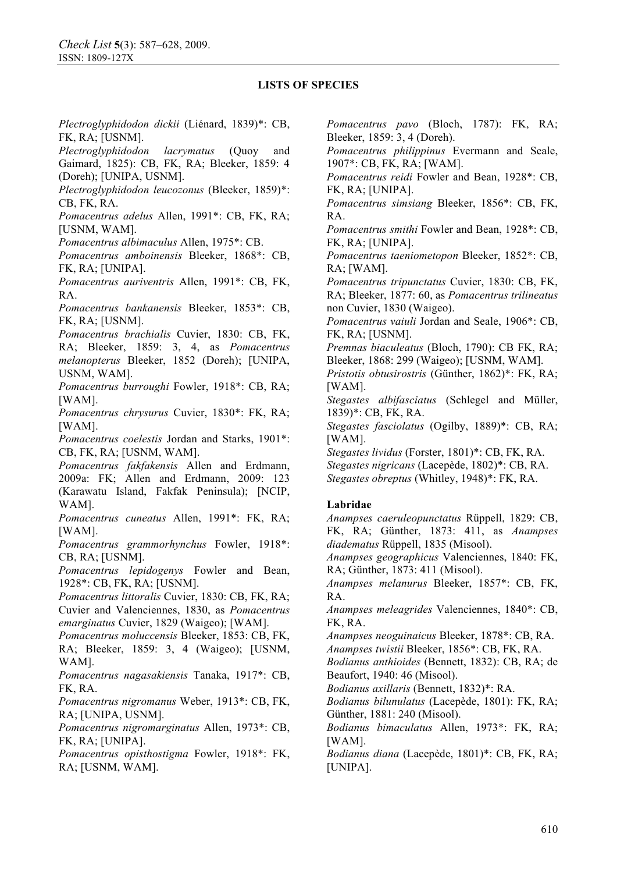*Plectroglyphidodon dickii* (Liénard, 1839)\*: CB, FK, RA; [USNM].

*Plectroglyphidodon lacrymatus* (Quoy and Gaimard, 1825): CB, FK, RA; Bleeker, 1859: 4 (Doreh); [UNIPA, USNM].

*Plectroglyphidodon leucozonus* (Bleeker, 1859)\*: CB, FK, RA.

*Pomacentrus adelus* Allen, 1991\*: CB, FK, RA; [USNM, WAM].

*Pomacentrus albimaculus* Allen, 1975\*: CB.

*Pomacentrus amboinensis* Bleeker, 1868\*: CB, FK, RA; [UNIPA].

*Pomacentrus auriventris* Allen, 1991\*: CB, FK, RA.

*Pomacentrus bankanensis* Bleeker, 1853\*: CB, FK, RA; [USNM].

*Pomacentrus brachialis* Cuvier, 1830: CB, FK, RA; Bleeker, 1859: 3, 4, as *Pomacentrus melanopterus* Bleeker, 1852 (Doreh); [UNIPA, USNM, WAM].

*Pomacentrus burroughi* Fowler, 1918\*: CB, RA; [WAM].

*Pomacentrus chrysurus* Cuvier, 1830\*: FK, RA; [WAM].

*Pomacentrus coelestis* Jordan and Starks, 1901\*: CB, FK, RA; [USNM, WAM].

*Pomacentrus fakfakensis* Allen and Erdmann, 2009a: FK; Allen and Erdmann, 2009: 123 (Karawatu Island, Fakfak Peninsula); [NCIP, WAM].

*Pomacentrus cuneatus* Allen, 1991\*: FK, RA; [WAM].

*Pomacentrus grammorhynchus* Fowler, 1918\*: CB, RA; [USNM].

*Pomacentrus lepidogenys* Fowler and Bean, 1928\*: CB, FK, RA; [USNM].

*Pomacentrus littoralis* Cuvier, 1830: CB, FK, RA; Cuvier and Valenciennes, 1830, as *Pomacentrus emarginatus* Cuvier, 1829 (Waigeo); [WAM].

*Pomacentrus moluccensis* Bleeker, 1853: CB, FK, RA; Bleeker, 1859: 3, 4 (Waigeo); [USNM, WAM].

*Pomacentrus nagasakiensis* Tanaka, 1917\*: CB, FK, RA.

*Pomacentrus nigromanus* Weber, 1913\*: CB, FK, RA; [UNIPA, USNM].

*Pomacentrus nigromarginatus* Allen, 1973\*: CB, FK, RA; [UNIPA].

*Pomacentrus opisthostigma* Fowler, 1918\*: FK, RA; [USNM, WAM].

*Pomacentrus pavo* (Bloch, 1787): FK, RA; Bleeker, 1859: 3, 4 (Doreh).

*Pomacentrus philippinus* Evermann and Seale, 1907\*: CB, FK, RA; [WAM].

*Pomacentrus reidi* Fowler and Bean, 1928\*: CB, FK, RA; [UNIPA].

*Pomacentrus simsiang* Bleeker, 1856\*: CB, FK, RA.

*Pomacentrus smithi* Fowler and Bean, 1928\*: CB, FK, RA; [UNIPA].

*Pomacentrus taeniometopon* Bleeker, 1852\*: CB, RA; [WAM].

*Pomacentrus tripunctatus* Cuvier, 1830: CB, FK, RA; Bleeker, 1877: 60, as *Pomacentrus trilineatus*  non Cuvier, 1830 (Waigeo).

*Pomacentrus vaiuli* Jordan and Seale, 1906\*: CB, FK, RA; [USNM].

*Premnas biaculeatus* (Bloch, 1790): CB FK, RA; Bleeker, 1868: 299 (Waigeo); [USNM, WAM].

*Pristotis obtusirostris* (Günther, 1862)\*: FK, RA; [WAM].

*Stegastes albifasciatus* (Schlegel and Müller, 1839)\*: CB, FK, RA.

*Stegastes fasciolatus* (Ogilby, 1889)\*: CB, RA; [WAM].

*Stegastes lividus* (Forster, 1801)\*: CB, FK, RA. *Stegastes nigricans* (Lacepède, 1802)\*: CB, RA. *Stegastes obreptus* (Whitley, 1948)\*: FK, RA.

### **Labridae**

*Anampses caeruleopunctatus* Rüppell, 1829: CB, FK, RA; Günther, 1873: 411, as *Anampses diadematus* Rüppell, 1835 (Misool).

*Anampses geographicus* Valenciennes, 1840: FK, RA; Günther, 1873: 411 (Misool).

*Anampses melanurus* Bleeker, 1857\*: CB, FK, RA.

*Anampses meleagrides* Valenciennes, 1840\*: CB, FK, RA.

*Anampses neoguinaicus* Bleeker, 1878\*: CB, RA. *Anampses twistii* Bleeker, 1856\*: CB, FK, RA.

*Bodianus anthioides* (Bennett, 1832): CB, RA; de Beaufort, 1940: 46 (Misool).

*Bodianus axillaris* (Bennett, 1832)\*: RA.

*Bodianus bilunulatus* (Lacepède, 1801): FK, RA; Günther, 1881: 240 (Misool).

*Bodianus bimaculatus* Allen, 1973\*: FK, RA; [WAM].

*Bodianus diana* (Lacepède, 1801)\*: CB, FK, RA; [UNIPA].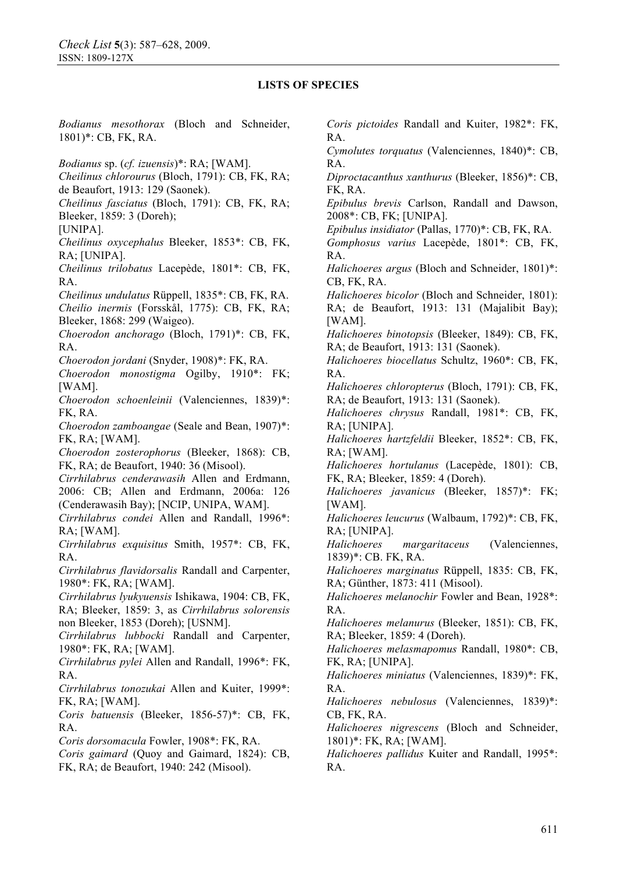*Bodianus mesothorax* (Bloch and Schneider, 1801)\*: CB, FK, RA. *Bodianus* sp. (*cf. izuensis*)\*: RA; [WAM]. *Cheilinus chlorourus* (Bloch, 1791): CB, FK, RA; de Beaufort, 1913: 129 (Saonek). *Cheilinus fasciatus* (Bloch, 1791): CB, FK, RA; Bleeker, 1859: 3 (Doreh); [UNIPA]. *Cheilinus oxycephalus* Bleeker, 1853\*: CB, FK, RA; [UNIPA]. *Cheilinus trilobatus* Lacepède, 1801\*: CB, FK, RA. *Cheilinus undulatus* Rüppell, 1835\*: CB, FK, RA. *Cheilio inermis* (Forsskål, 1775): CB, FK, RA; Bleeker, 1868: 299 (Waigeo). *Choerodon anchorago* (Bloch, 1791)\*: CB, FK, RA. *Choerodon jordani* (Snyder, 1908)\*: FK, RA. *Choerodon monostigma* Ogilby, 1910\*: FK; [WAM]. *Choerodon schoenleinii* (Valenciennes, 1839)\*: FK, RA. *Choerodon zamboangae* (Seale and Bean, 1907)\*: FK, RA; [WAM]. *Choerodon zosterophorus* (Bleeker, 1868): CB, FK, RA; de Beaufort, 1940: 36 (Misool). *Cirrhilabrus cenderawasih* Allen and Erdmann, 2006: CB; Allen and Erdmann, 2006a: 126 (Cenderawasih Bay); [NCIP, UNIPA, WAM]. *Cirrhilabrus condei* Allen and Randall, 1996\*: RA; [WAM]. *Cirrhilabrus exquisitus* Smith, 1957\*: CB, FK, RA. *Cirrhilabrus flavidorsalis* Randall and Carpenter, 1980\*: FK, RA; [WAM]. *Cirrhilabrus lyukyuensis* Ishikawa, 1904: CB, FK, RA; Bleeker, 1859: 3, as *Cirrhilabrus solorensis* non Bleeker, 1853 (Doreh); [USNM]. *Cirrhilabrus lubbocki* Randall and Carpenter, 1980\*: FK, RA; [WAM]. *Cirrhilabrus pylei* Allen and Randall, 1996\*: FK, RA. *Cirrhilabrus tonozukai* Allen and Kuiter, 1999\*: FK, RA; [WAM]. *Coris batuensis* (Bleeker, 1856-57)\*: CB, FK, RA. *Coris dorsomacula* Fowler, 1908\*: FK, RA. *Coris gaimard* (Quoy and Gaimard, 1824): CB, FK, RA; de Beaufort, 1940: 242 (Misool). *Coris pictoides* Randall and Kuiter, 1982\*: FK, RA. *Cymolutes torquatus* (Valenciennes, 1840)\*: CB, RA. *Diproctacanthus xanthurus* (Bleeker, 1856)\*: CB, FK, RA. *Epibulus brevis* Carlson, Randall and Dawson, 2008\*: CB, FK; [UNIPA]. *Epibulus insidiator* (Pallas, 1770)\*: CB, FK, RA. *Gomphosus varius* Lacepède, 1801\*: CB, FK, RA. CB, FK, RA. [WAM]. RA. RA; [UNIPA]. RA; [WAM]. [WAM]. RA; [UNIPA]. RA. FK, RA; [UNIPA]. RA. CB, FK, RA. RA.

*Halichoeres argus* (Bloch and Schneider, 1801)\*:

*Halichoeres bicolor* (Bloch and Schneider, 1801): RA; de Beaufort, 1913: 131 (Majalibit Bay);

*Halichoeres binotopsis* (Bleeker, 1849): CB, FK, RA; de Beaufort, 1913: 131 (Saonek).

*Halichoeres biocellatus* Schultz, 1960\*: CB, FK,

*Halichoeres chloropterus* (Bloch, 1791): CB, FK, RA; de Beaufort, 1913: 131 (Saonek).

*Halichoeres chrysus* Randall, 1981\*: CB, FK,

*Halichoeres hartzfeldii* Bleeker, 1852\*: CB, FK,

*Halichoeres hortulanus* (Lacepède, 1801): CB, FK, RA; Bleeker, 1859: 4 (Doreh).

*Halichoeres javanicus* (Bleeker, 1857)\*: FK;

*Halichoeres leucurus* (Walbaum, 1792)\*: CB, FK,

*Halichoeres margaritaceus* (Valenciennes, 1839)\*: CB. FK, RA.

*Halichoeres marginatus* Rüppell, 1835: CB, FK, RA; Günther, 1873: 411 (Misool).

*Halichoeres melanochir* Fowler and Bean, 1928\*:

*Halichoeres melanurus* (Bleeker, 1851): CB, FK, RA; Bleeker, 1859: 4 (Doreh).

*Halichoeres melasmapomus* Randall, 1980\*: CB,

*Halichoeres miniatus* (Valenciennes, 1839)\*: FK,

*Halichoeres nebulosus* (Valenciennes, 1839)\*:

*Halichoeres nigrescens* (Bloch and Schneider, 1801)\*: FK, RA; [WAM].

*Halichoeres pallidus* Kuiter and Randall, 1995\*: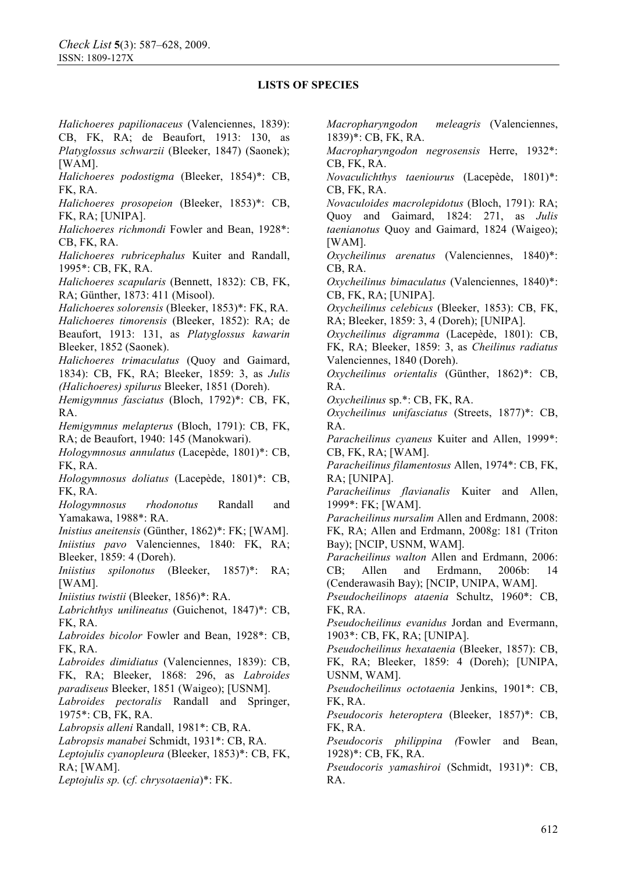*Halichoeres papilionaceus* (Valenciennes, 1839): CB, FK, RA; de Beaufort, 1913: 130, as *Platyglossus schwarzii* (Bleeker, 1847) (Saonek); [WAM].

*Halichoeres podostigma* (Bleeker, 1854)\*: CB, FK, RA.

*Halichoeres prosopeion* (Bleeker, 1853)\*: CB, FK, RA; [UNIPA].

*Halichoeres richmondi* Fowler and Bean, 1928\*: CB, FK, RA.

*Halichoeres rubricephalus* Kuiter and Randall, 1995\*: CB, FK, RA.

*Halichoeres scapularis* (Bennett, 1832): CB, FK, RA; Günther, 1873: 411 (Misool).

*Halichoeres solorensis* (Bleeker, 1853)\*: FK, RA.

*Halichoeres timorensis* (Bleeker, 1852): RA; de Beaufort, 1913: 131, as *Platyglossus kawarin*  Bleeker, 1852 (Saonek).

*Halichoeres trimaculatus* (Quoy and Gaimard, 1834): CB, FK, RA; Bleeker, 1859: 3, as *Julis (Halichoeres) spilurus* Bleeker, 1851 (Doreh).

*Hemigymnus fasciatus* (Bloch, 1792)\*: CB, FK, RA.

*Hemigymnus melapterus* (Bloch, 1791): CB, FK, RA; de Beaufort, 1940: 145 (Manokwari).

*Hologymnosus annulatus* (Lacepède, 1801)\*: CB, FK, RA.

*Hologymnosus doliatus* (Lacepède, 1801)\*: CB, FK, RA.

*Hologymnosus rhodonotus* Randall and Yamakawa, 1988\*: RA.

*Inistius aneitensis* (Günther, 1862)\*: FK; [WAM].

*Iniistius pavo* Valenciennes, 1840: FK, RA; Bleeker, 1859: 4 (Doreh).

*Iniistius spilonotus* (Bleeker, 1857)\*: RA; [WAM].

*Iniistius twistii* (Bleeker, 1856)\*: RA.

*Labrichthys unilineatus* (Guichenot, 1847)\*: CB, FK, RA.

*Labroides bicolor* Fowler and Bean, 1928\*: CB, FK, RA.

*Labroides dimidiatus* (Valenciennes, 1839): CB,

FK, RA; Bleeker, 1868: 296, as *Labroides paradiseus* Bleeker, 1851 (Waigeo); [USNM].

*Labroides pectoralis* Randall and Springer, 1975\*: CB, FK, RA.

*Labropsis alleni* Randall, 1981\*: CB, RA.

*Labropsis manabei* Schmidt, 1931\*: CB, RA.

*Leptojulis cyanopleura* (Bleeker, 1853)\*: CB, FK, RA; [WAM].

*Leptojulis sp.* (*cf. chrysotaenia*)\*: FK.

*Macropharyngodon meleagris* (Valenciennes, 1839)\*: CB, FK, RA.

*Macropharyngodon negrosensis* Herre, 1932\*: CB, FK, RA.

*Novaculichthys taeniourus* (Lacepède, 1801)\*: CB, FK, RA.

*Novaculoides macrolepidotus* (Bloch, 1791): RA; Quoy and Gaimard, 1824: 271, as *Julis taenianotus* Quoy and Gaimard, 1824 (Waigeo); [WAM].

*Oxycheilinus arenatus* (Valenciennes, 1840)\*: CB, RA.

*Oxycheilinus bimaculatus* (Valenciennes, 1840)\*: CB, FK, RA; [UNIPA].

*Oxycheilinus celebicus* (Bleeker, 1853): CB, FK, RA; Bleeker, 1859: 3, 4 (Doreh); [UNIPA].

*Oxycheilinus digramma* (Lacepède, 1801): CB, FK, RA; Bleeker, 1859: 3, as *Cheilinus radiatus* Valenciennes, 1840 (Doreh).

*Oxycheilinus orientalis* (Günther, 1862)\*: CB, RA.

*Oxycheilinus* sp.\*: CB, FK, RA.

*Oxycheilinus unifasciatus* (Streets, 1877)\*: CB, RA.

*Paracheilinus cyaneus* Kuiter and Allen, 1999\*: CB, FK, RA; [WAM].

*Paracheilinus filamentosus* Allen, 1974\*: CB, FK, RA; [UNIPA].

*Paracheilinus flavianalis* Kuiter and Allen, 1999\*: FK; [WAM].

*Paracheilinus nursalim* Allen and Erdmann, 2008: FK, RA; Allen and Erdmann, 2008g: 181 (Triton Bay); [NCIP, USNM, WAM].

*Paracheilinus walton* Allen and Erdmann, 2006: CB; Allen and Erdmann, 2006b: 14 (Cenderawasih Bay); [NCIP, UNIPA, WAM].

*Pseudocheilinops ataenia* Schultz, 1960\*: CB, FK, RA.

*Pseudocheilinus evanidus* Jordan and Evermann, 1903\*: CB, FK, RA; [UNIPA].

*Pseudocheilinus hexataenia* (Bleeker, 1857): CB, FK, RA; Bleeker, 1859: 4 (Doreh); [UNIPA, USNM, WAM].

*Pseudocheilinus octotaenia* Jenkins, 1901\*: CB, FK, RA.

*Pseudocoris heteroptera* (Bleeker, 1857)\*: CB, FK, RA.

*Pseudocoris philippina (*Fowler and Bean, 1928)\*: CB, FK, RA.

*Pseudocoris yamashiroi* (Schmidt, 1931)\*: CB, RA.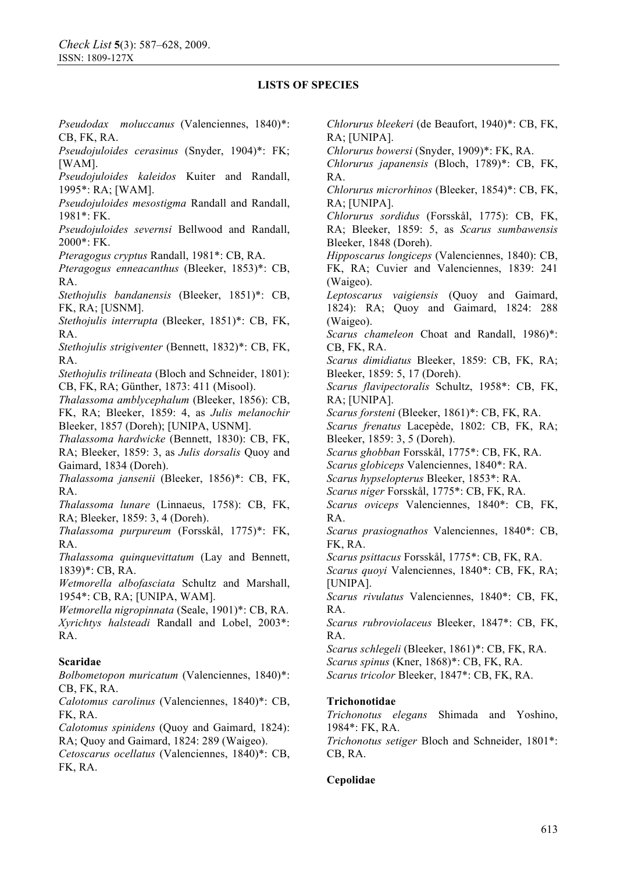*Pseudodax moluccanus* (Valenciennes, 1840)\*: CB, FK, RA.

*Pseudojuloides cerasinus* (Snyder, 1904)\*: FK; [WAM].

*Pseudojuloides kaleidos* Kuiter and Randall, 1995\*: RA; [WAM].

*Pseudojuloides mesostigma* Randall and Randall, 1981\*: FK.

*Pseudojuloides severnsi* Bellwood and Randall, 2000\*: FK.

*Pteragogus cryptus* Randall, 1981\*: CB, RA.

*Pteragogus enneacanthus* (Bleeker, 1853)\*: CB, RA.

*Stethojulis bandanensis* (Bleeker, 1851)\*: CB, FK, RA; [USNM].

*Stethojulis interrupta* (Bleeker, 1851)\*: CB, FK, RA.

*Stethojulis strigiventer* (Bennett, 1832)\*: CB, FK, RA.

*Stethojulis trilineata* (Bloch and Schneider, 1801): CB, FK, RA; Günther, 1873: 411 (Misool).

*Thalassoma amblycephalum* (Bleeker, 1856): CB, FK, RA; Bleeker, 1859: 4, as *Julis melanochir*  Bleeker, 1857 (Doreh); [UNIPA, USNM].

*Thalassoma hardwicke* (Bennett, 1830): CB, FK, RA; Bleeker, 1859: 3, as *Julis dorsalis* Quoy and Gaimard, 1834 (Doreh).

*Thalassoma jansenii* (Bleeker, 1856)\*: CB, FK, RA.

*Thalassoma lunare* (Linnaeus, 1758): CB, FK, RA; Bleeker, 1859: 3, 4 (Doreh).

*Thalassoma purpureum* (Forsskål, 1775)\*: FK, RA.

*Thalassoma quinquevittatum* (Lay and Bennett, 1839)\*: CB, RA.

*Wetmorella albofasciata* Schultz and Marshall, 1954\*: CB, RA; [UNIPA, WAM].

*Wetmorella nigropinnata* (Seale, 1901)\*: CB, RA. *Xyrichtys halsteadi* Randall and Lobel, 2003\*: RA.

### **Scaridae**

*Bolbometopon muricatum* (Valenciennes, 1840)\*: CB, FK, RA.

*Calotomus carolinus* (Valenciennes, 1840)\*: CB, FK, RA.

*Calotomus spinidens* (Quoy and Gaimard, 1824): RA; Quoy and Gaimard, 1824: 289 (Waigeo).

*Cetoscarus ocellatus* (Valenciennes, 1840)\*: CB, FK, RA.

*Chlorurus bleekeri* (de Beaufort, 1940)\*: CB, FK, RA; [UNIPA].

*Chlorurus bowersi* (Snyder, 1909)\*: FK, RA.

*Chlorurus japanensis* (Bloch, 1789)\*: CB, FK, RA.

*Chlorurus microrhinos* (Bleeker, 1854)\*: CB, FK, RA; [UNIPA].

*Chlorurus sordidus* (Forsskål, 1775): CB, FK, RA; Bleeker, 1859: 5, as *Scarus sumbawensis*  Bleeker, 1848 (Doreh).

*Hipposcarus longiceps* (Valenciennes, 1840): CB, FK, RA; Cuvier and Valenciennes, 1839: 241 (Waigeo).

*Leptoscarus vaigiensis* (Quoy and Gaimard, 1824): RA; Quoy and Gaimard, 1824: 288 (Waigeo).

*Scarus chameleon* Choat and Randall, 1986)\*: CB, FK, RA.

*Scarus dimidiatus* Bleeker, 1859: CB, FK, RA; Bleeker, 1859: 5, 17 (Doreh).

*Scarus flavipectoralis* Schultz, 1958\*: CB, FK, RA; [UNIPA].

*Scarus forsteni* (Bleeker, 1861)\*: CB, FK, RA.

*Scarus frenatus* Lacepède, 1802: CB, FK, RA; Bleeker, 1859: 3, 5 (Doreh).

*Scarus ghobban* Forsskål, 1775\*: CB, FK, RA.

*Scarus globiceps* Valenciennes, 1840\*: RA.

*Scarus hypselopterus* Bleeker, 1853\*: RA.

*Scarus niger* Forsskål, 1775\*: CB, FK, RA.

*Scarus oviceps* Valenciennes, 1840\*: CB, FK, RA.

*Scarus prasiognathos* Valenciennes, 1840\*: CB, FK, RA.

*Scarus psittacus* Forsskål, 1775\*: CB, FK, RA.

*Scarus quoyi* Valenciennes, 1840\*: CB, FK, RA; [UNIPA].

*Scarus rivulatus* Valenciennes, 1840\*: CB, FK, RA.

*Scarus rubroviolaceus* Bleeker, 1847\*: CB, FK, RA.

*Scarus schlegeli* (Bleeker, 1861)\*: CB, FK, RA. *Scarus spinus* (Kner, 1868)\*: CB, FK, RA.

*Scarus tricolor* Bleeker, 1847\*: CB, FK, RA.

#### **Trichonotidae**

*Trichonotus elegans* Shimada and Yoshino, 1984\*: FK, RA.

*Trichonotus setiger* Bloch and Schneider, 1801\*: CB, RA.

### **Cepolidae**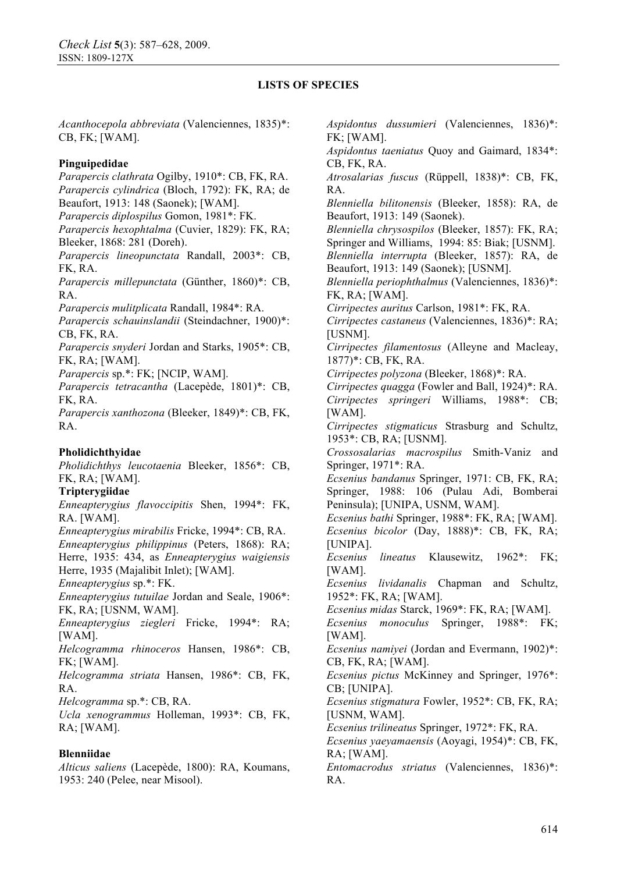FK; [WAM].

CB, FK, RA.

*Acanthocepola abbreviata* (Valenciennes, 1835)\*: CB, FK; [WAM].

### **Pinguipedidae**

*Parapercis clathrata* Ogilby, 1910\*: CB, FK, RA. *Parapercis cylindrica* (Bloch, 1792): FK, RA; de Beaufort, 1913: 148 (Saonek); [WAM]. *Parapercis diplospilus* Gomon, 1981\*: FK. *Parapercis hexophtalma* (Cuvier, 1829): FK, RA; Bleeker, 1868: 281 (Doreh). *Parapercis lineopunctata* Randall, 2003\*: CB, FK, RA. *Parapercis millepunctata* (Günther, 1860)\*: CB, RA. *Parapercis mulitplicata* Randall, 1984\*: RA. *Parapercis schauinslandii* (Steindachner, 1900)\*: CB, FK, RA. *Parapercis snyderi* Jordan and Starks, 1905\*: CB, FK, RA; [WAM]. *Parapercis* sp.\*: FK; [NCIP, WAM]. *Parapercis tetracantha* (Lacepède, 1801)\*: CB, FK, RA. *Parapercis xanthozona* (Bleeker, 1849)\*: CB, FK, RA. **Pholidichthyidae**  *Pholidichthys leucotaenia* Bleeker, 1856\*: CB, FK, RA; [WAM]. **Tripterygiidae**  *Enneapterygius flavoccipitis* Shen, 1994\*: FK, RA. [WAM]. *Enneapterygius mirabilis* Fricke, 1994\*: CB, RA. *Enneapterygius philippinus* (Peters, 1868): RA; Herre, 1935: 434, as *Enneapterygius waigiensis*  Herre, 1935 (Majalibit Inlet); [WAM]. *Enneapterygius* sp.\*: FK. *Enneapterygius tutuilae* Jordan and Seale, 1906\*: FK, RA; [USNM, WAM]. *Enneapterygius ziegleri* Fricke, 1994\*: RA; [WAM]. *Helcogramma rhinoceros* Hansen, 1986\*: CB, FK; [WAM]. *Helcogramma striata* Hansen, 1986\*: CB, FK, RA. *Helcogramma* sp.\*: CB, RA. *Ucla xenogrammus* Holleman, 1993\*: CB, FK, RA; [WAM]. **Blenniidae** 

*Alticus saliens* (Lacepède, 1800): RA, Koumans, 1953: 240 (Pelee, near Misool).

*Atrosalarias fuscus* (Rüppell, 1838)\*: CB, FK, RA. *Blenniella bilitonensis* (Bleeker, 1858): RA, de Beaufort, 1913: 149 (Saonek). *Blenniella chrysospilos* (Bleeker, 1857): FK, RA; Springer and Williams, 1994: 85: Biak; [USNM]. *Blenniella interrupta* (Bleeker, 1857): RA, de Beaufort, 1913: 149 (Saonek); [USNM]. *Blenniella periophthalmus* (Valenciennes, 1836)\*: FK, RA; [WAM]. *Cirripectes auritus* Carlson, 1981\*: FK, RA. *Cirripectes castaneus* (Valenciennes, 1836)\*: RA; [USNM]. *Cirripectes filamentosus* (Alleyne and Macleay, 1877)\*: CB, FK, RA. *Cirripectes polyzona* (Bleeker, 1868)\*: RA. *Cirripectes quagga* (Fowler and Ball, 1924)\*: RA. *Cirripectes springeri* Williams, 1988\*: CB; [WAM]. *Cirripectes stigmaticus* Strasburg and Schultz, 1953\*: CB, RA; [USNM]. *Crossosalarias macrospilus* Smith-Vaniz and Springer, 1971\*: RA. *Ecsenius bandanus* Springer, 1971: CB, FK, RA; Springer, 1988: 106 (Pulau Adi, Bomberai Peninsula); [UNIPA, USNM, WAM]. *Ecsenius bathi* Springer, 1988\*: FK, RA; [WAM]. *Ecsenius bicolor* (Day, 1888)\*: CB, FK, RA; [UNIPA]. *Ecsenius lineatus* Klausewitz, 1962\*: FK; [WAM]. *Ecsenius lividanalis* Chapman and Schultz, 1952\*: FK, RA; [WAM]. *Ecsenius midas* Starck, 1969\*: FK, RA; [WAM]. *Ecsenius monoculus* Springer, 1988\*: FK; [WAM]. *Ecsenius namiyei* (Jordan and Evermann, 1902)\*: CB, FK, RA; [WAM]. *Ecsenius pictus* McKinney and Springer, 1976\*: CB; [UNIPA]. *Ecsenius stigmatura* Fowler, 1952\*: CB, FK, RA; [USNM, WAM]. *Ecsenius trilineatus* Springer, 1972\*: FK, RA. *Ecsenius yaeyamaensis* (Aoyagi, 1954)\*: CB, FK, RA; [WAM]. *Entomacrodus striatus* (Valenciennes, 1836)\*: RA.

*Aspidontus dussumieri* (Valenciennes, 1836)\*:

*Aspidontus taeniatus* Quoy and Gaimard, 1834\*: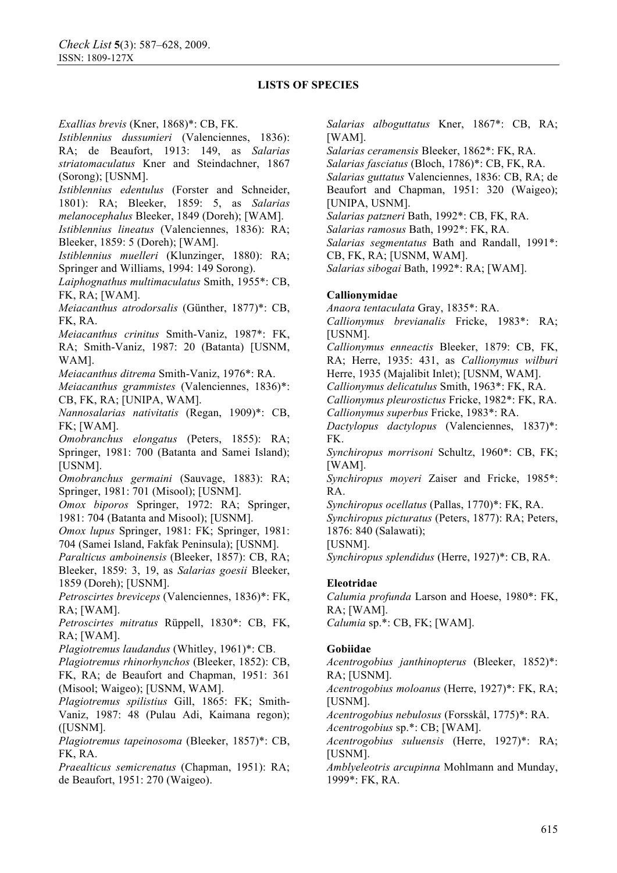*Exallias brevis* (Kner, 1868)\*: CB, FK.

*Istiblennius dussumieri* (Valenciennes, 1836): RA; de Beaufort, 1913: 149, as *Salarias striatomaculatus* Kner and Steindachner, 1867 (Sorong); [USNM].

*Istiblennius edentulus* (Forster and Schneider, 1801): RA; Bleeker, 1859: 5, as *Salarias melanocephalus* Bleeker, 1849 (Doreh); [WAM]. *Istiblennius lineatus* (Valenciennes, 1836): RA;

Bleeker, 1859: 5 (Doreh); [WAM].

*Istiblennius muelleri* (Klunzinger, 1880): RA; Springer and Williams, 1994: 149 Sorong).

*Laiphognathus multimaculatus* Smith, 1955\*: CB, FK, RA; [WAM].

*Meiacanthus atrodorsalis* (Günther, 1877)\*: CB, FK, RA.

*Meiacanthus crinitus* Smith-Vaniz, 1987\*: FK, RA; Smith-Vaniz, 1987: 20 (Batanta) [USNM, WAM].

*Meiacanthus ditrema* Smith-Vaniz, 1976\*: RA.

*Meiacanthus grammistes* (Valenciennes, 1836)\*: CB, FK, RA; [UNIPA, WAM].

*Nannosalarias nativitatis* (Regan, 1909)\*: CB, FK; [WAM].

*Omobranchus elongatus* (Peters, 1855): RA; Springer, 1981: 700 (Batanta and Samei Island); [USNM].

*Omobranchus germaini* (Sauvage, 1883): RA; Springer, 1981: 701 (Misool); [USNM].

*Omox biporos* Springer, 1972: RA; Springer, 1981: 704 (Batanta and Misool); [USNM].

*Omox lupus* Springer, 1981: FK; Springer, 1981: 704 (Samei Island, Fakfak Peninsula); [USNM].

*Paralticus amboinensis* (Bleeker, 1857): CB, RA; Bleeker, 1859: 3, 19, as *Salarias goesii* Bleeker, 1859 (Doreh); [USNM].

*Petroscirtes breviceps* (Valenciennes, 1836)\*: FK, RA; [WAM].

*Petroscirtes mitratus* Rüppell, 1830\*: CB, FK, RA; [WAM].

*Plagiotremus laudandus* (Whitley, 1961)\*: CB.

*Plagiotremus rhinorhynchos* (Bleeker, 1852): CB, FK, RA; de Beaufort and Chapman, 1951: 361

(Misool; Waigeo); [USNM, WAM].

*Plagiotremus spilistius* Gill, 1865: FK; Smith-Vaniz, 1987: 48 (Pulau Adi, Kaimana regon); ([USNM].

*Plagiotremus tapeinosoma* (Bleeker, 1857)\*: CB, FK, RA.

*Praealticus semicrenatus* (Chapman, 1951): RA; de Beaufort, 1951: 270 (Waigeo).

*Salarias alboguttatus* Kner, 1867\*: CB, RA; [WAM].

*Salarias ceramensis* Bleeker, 1862\*: FK, RA.

*Salarias fasciatus* (Bloch, 1786)\*: CB, FK, RA.

*Salarias guttatus* Valenciennes, 1836: CB, RA; de Beaufort and Chapman, 1951: 320 (Waigeo); [UNIPA, USNM].

*Salarias patzneri* Bath, 1992\*: CB, FK, RA.

*Salarias ramosus* Bath, 1992\*: FK, RA.

*Salarias segmentatus* Bath and Randall, 1991\*:

CB, FK, RA; [USNM, WAM].

*Salarias sibogai* Bath, 1992\*: RA; [WAM].

## **Callionymidae**

*Anaora tentaculata* Gray, 1835\*: RA.

*Callionymus brevianalis* Fricke, 1983\*: RA; [USNM].

*Callionymus enneactis* Bleeker, 1879: CB, FK, RA; Herre, 1935: 431, as *Callionymus wilburi*

Herre, 1935 (Majalibit Inlet); [USNM, WAM].

*Callionymus delicatulus* Smith, 1963\*: FK, RA.

*Callionymus pleurostictus* Fricke, 1982\*: FK, RA.

*Callionymus superbus* Fricke, 1983\*: RA.

*Dactylopus dactylopus* (Valenciennes, 1837)\*: FK.

*Synchiropus morrisoni* Schultz, 1960\*: CB, FK; [WAM].

*Synchiropus moyeri* Zaiser and Fricke, 1985\*: RA.

*Synchiropus ocellatus* (Pallas, 1770)\*: FK, RA.

*Synchiropus picturatus* (Peters, 1877): RA; Peters, 1876: 840 (Salawati);

[USNM].

*Synchiropus splendidus* (Herre, 1927)\*: CB, RA.

# **Eleotridae**

*Calumia profunda* Larson and Hoese, 1980\*: FK, RA; [WAM].

*Calumia* sp.\*: CB, FK; [WAM].

### **Gobiidae**

*Acentrogobius janthinopterus* (Bleeker, 1852)\*: RA; [USNM].

*Acentrogobius moloanus* (Herre, 1927)\*: FK, RA; [USNM].

*Acentrogobius nebulosus* (Forsskål, 1775)\*: RA. *Acentrogobius* sp.\*: CB; [WAM].

*Acentrogobius suluensis* (Herre, 1927)\*: RA; [USNM].

*Amblyeleotris arcupinna* Mohlmann and Munday, 1999\*: FK, RA.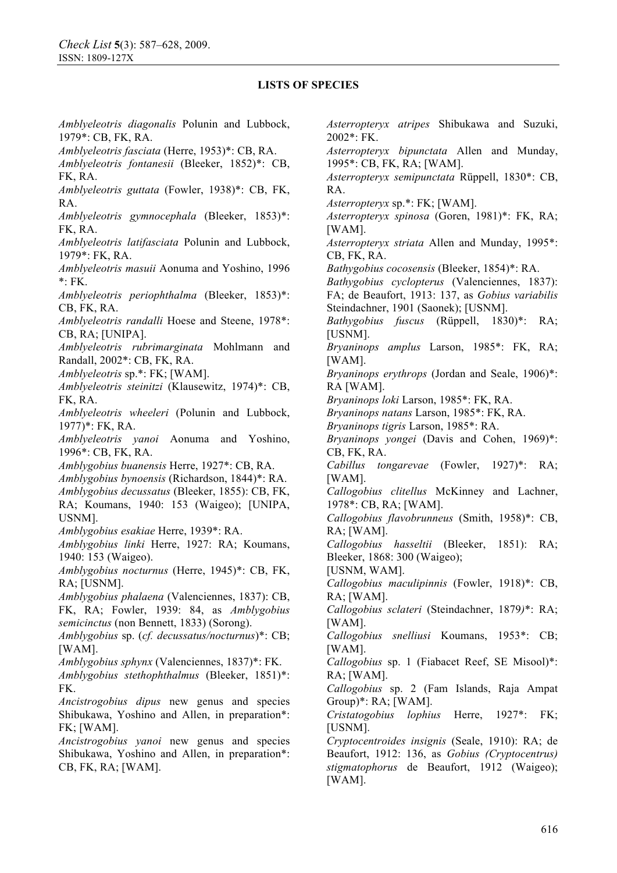*Amblyeleotris diagonalis* Polunin and Lubbock, 1979\*: CB, FK, RA. *Amblyeleotris fasciata* (Herre, 1953)\*: CB, RA. *Amblyeleotris fontanesii* (Bleeker, 1852)\*: CB, FK, RA. *Amblyeleotris guttata* (Fowler, 1938)\*: CB, FK, RA. *Amblyeleotris gymnocephala* (Bleeker, 1853)\*: FK, RA. *Amblyeleotris latifasciata* Polunin and Lubbock, 1979\*: FK, RA. *Amblyeleotris masuii* Aonuma and Yoshino, 1996 \*: FK. *Amblyeleotris periophthalma* (Bleeker, 1853)\*: CB, FK, RA. *Amblyeleotris randalli* Hoese and Steene, 1978\*: CB, RA; [UNIPA]. *Amblyeleotris rubrimarginata* Mohlmann and Randall, 2002\*: CB, FK, RA. *Amblyeleotris* sp.\*: FK; [WAM]. *Amblyeleotris steinitzi* (Klausewitz, 1974)\*: CB, FK, RA. *Amblyeleotris wheeleri* (Polunin and Lubbock, 1977)\*: FK, RA. *Amblyeleotris yanoi* Aonuma and Yoshino, 1996\*: CB, FK, RA. *Amblygobius buanensis* Herre, 1927\*: CB, RA. *Amblygobius bynoensis* (Richardson, 1844)\*: RA. *Amblygobius decussatus* (Bleeker, 1855): CB, FK, RA; Koumans, 1940: 153 (Waigeo); [UNIPA, USNM]. *Amblygobius esakiae* Herre, 1939\*: RA. *Amblygobius linki* Herre, 1927: RA; Koumans, 1940: 153 (Waigeo). *Amblygobius nocturnus* (Herre, 1945)\*: CB, FK, RA; [USNM]. *Amblygobius phalaena* (Valenciennes, 1837): CB, FK, RA; Fowler, 1939: 84, as *Amblygobius semicinctus* (non Bennett, 1833) (Sorong). *Amblygobius* sp. (*cf. decussatus/nocturnus*)\*: CB; [WAM]. *Amblygobius sphynx* (Valenciennes, 1837)\*: FK. *Amblygobius stethophthalmus* (Bleeker, 1851)\*: FK. *Ancistrogobius dipus* new genus and species Shibukawa, Yoshino and Allen, in preparation\*: FK; [WAM]. *Ancistrogobius yanoi* new genus and species Shibukawa, Yoshino and Allen, in preparation\*: CB, FK, RA; [WAM]. *Asterropteryx atripes* Shibukawa and Suzuki, 2002\*: FK. RA. [WAM].

*Asterropteryx bipunctata* Allen and Munday, 1995\*: CB, FK, RA; [WAM]. *Asterropteryx semipunctata* Rüppell, 1830\*: CB, *Asterropteryx* sp.\*: FK; [WAM]. *Asterropteryx spinosa* (Goren, 1981)\*: FK, RA; [WAM]. *Asterropteryx striata* Allen and Munday, 1995\*: CB, FK, RA. *Bathygobius cocosensis* (Bleeker, 1854)\*: RA. *Bathygobius cyclopterus* (Valenciennes, 1837): FA; de Beaufort, 1913: 137, as *Gobius variabilis*  Steindachner, 1901 (Saonek); [USNM]. *Bathygobius fuscus* (Rüppell, 1830)\*: RA; [USNM]. *Bryaninops amplus* Larson, 1985\*: FK, RA; [WAM]. *Bryaninops erythrops* (Jordan and Seale, 1906)\*: RA [WAM]. *Bryaninops loki* Larson, 1985\*: FK, RA. *Bryaninops natans* Larson, 1985\*: FK, RA. *Bryaninops tigris* Larson, 1985\*: RA. *Bryaninops yongei* (Davis and Cohen, 1969)\*: CB, FK, RA. *Cabillus tongarevae* (Fowler, 1927)\*: RA; [WAM]. *Callogobius clitellus* McKinney and Lachner, 1978\*: CB, RA; [WAM]. *Callogobius flavobrunneus* (Smith, 1958)\*: CB, RA; [WAM]. *Callogobius hasseltii* (Bleeker, 1851): RA; Bleeker, 1868: 300 (Waigeo); [USNM, WAM]. *Callogobius maculipinnis* (Fowler, 1918)\*: CB, RA; [WAM]. *Callogobius sclateri* (Steindachner, 1879*)*\*: RA; [WAM]. *Callogobius snelliusi* Koumans, 1953\*: CB; [WAM]. *Callogobius* sp. 1 (Fiabacet Reef, SE Misool)\*: RA; [WAM]. *Callogobius* sp. 2 (Fam Islands, Raja Ampat Group)\*: RA; [WAM]. *Cristatogobius lophius* Herre, 1927\*: FK; [USNM]. *Cryptocentroides insignis* (Seale, 1910): RA; de Beaufort, 1912: 136, as *Gobius (Cryptocentrus) stigmatophorus* de Beaufort, 1912 (Waigeo);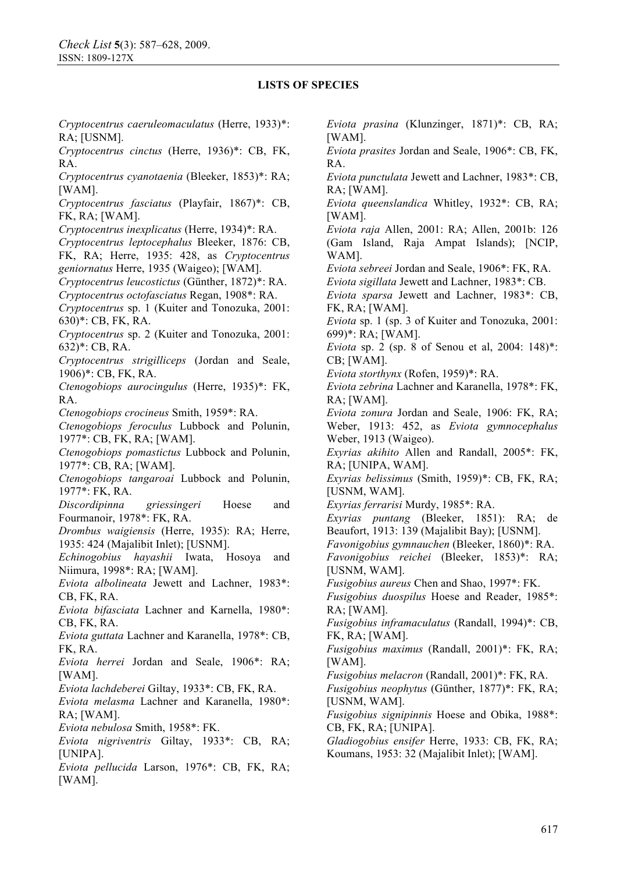*Cryptocentrus caeruleomaculatus* (Herre, 1933)\*: RA; [USNM].

*Cryptocentrus cinctus* (Herre, 1936)\*: CB, FK, RA.

*Cryptocentrus cyanotaenia* (Bleeker, 1853)\*: RA; [WAM].

*Cryptocentrus fasciatus* (Playfair, 1867)\*: CB, FK, RA; [WAM].

*Cryptocentrus inexplicatus* (Herre, 1934)\*: RA.

*Cryptocentrus leptocephalus* Bleeker, 1876: CB, FK, RA; Herre, 1935: 428, as *Cryptocentrus geniornatus* Herre, 1935 (Waigeo); [WAM].

*Cryptocentrus leucostictus* (Günther, 1872)\*: RA.

*Cryptocentrus octofasciatus* Regan, 1908\*: RA.

*Cryptocentrus* sp. 1 (Kuiter and Tonozuka, 2001: 630)\*: CB, FK, RA.

*Cryptocentrus* sp. 2 (Kuiter and Tonozuka, 2001: 632)\*: CB, RA.

*Cryptocentrus strigilliceps* (Jordan and Seale, 1906)\*: CB, FK, RA.

*Ctenogobiops aurocingulus* (Herre, 1935)\*: FK, RA.

*Ctenogobiops crocineus* Smith, 1959\*: RA.

*Ctenogobiops feroculus* Lubbock and Polunin, 1977\*: CB, FK, RA; [WAM].

*Ctenogobiops pomastictus* Lubbock and Polunin, 1977\*: CB, RA; [WAM].

*Ctenogobiops tangaroai* Lubbock and Polunin, 1977\*: FK, RA.

*Discordipinna griessingeri* Hoese and Fourmanoir, 1978\*: FK, RA.

*Drombus waigiensis* (Herre, 1935): RA; Herre, 1935: 424 (Majalibit Inlet); [USNM].

*Echinogobius hayashii* Iwata, Hosoya and Niimura, 1998\*: RA; [WAM].

*Eviota albolineata* Jewett and Lachner, 1983\*: CB, FK, RA.

*Eviota bifasciata* Lachner and Karnella, 1980\*: CB, FK, RA.

*Eviota guttata* Lachner and Karanella, 1978\*: CB, FK, RA.

*Eviota herrei* Jordan and Seale, 1906\*: RA; [WAM].

*Eviota lachdeberei* Giltay, 1933\*: CB, FK, RA.

*Eviota melasma* Lachner and Karanella, 1980\*: RA; [WAM].

*Eviota nebulosa* Smith, 1958\*: FK.

*Eviota nigriventris* Giltay, 1933\*: CB, RA; [UNIPA].

*Eviota pellucida* Larson, 1976\*: CB, FK, RA; [WAM].

*Eviota prasina* (Klunzinger, 1871)\*: CB, RA; [WAM].

*Eviota prasites* Jordan and Seale, 1906\*: CB, FK, RA.

*Eviota punctulata* Jewett and Lachner, 1983\*: CB, RA; [WAM].

*Eviota queenslandica* Whitley, 1932\*: CB, RA; [WAM].

*Eviota raja* Allen, 2001: RA; Allen, 2001b: 126 (Gam Island, Raja Ampat Islands); [NCIP, WAM].

*Eviota sebreei* Jordan and Seale, 1906\*: FK, RA.

*Eviota sigillata* Jewett and Lachner, 1983\*: CB.

*Eviota sparsa* Jewett and Lachner, 1983\*: CB, FK, RA; [WAM].

*Eviota* sp. 1 (sp. 3 of Kuiter and Tonozuka, 2001: 699)\*: RA; [WAM].

*Eviota* sp. 2 (sp. 8 of Senou et al, 2004: 148)\*: CB; [WAM].

*Eviota storthynx* (Rofen, 1959)\*: RA.

*Eviota zebrina* Lachner and Karanella, 1978\*: FK, RA; [WAM].

*Eviota zonura* Jordan and Seale, 1906: FK, RA; Weber, 1913: 452, as *Eviota gymnocephalus*  Weber, 1913 (Waigeo).

*Exyrias akihito* Allen and Randall, 2005\*: FK, RA; [UNIPA, WAM].

*Exyrias belissimus* (Smith, 1959)\*: CB, FK, RA; [USNM, WAM].

*Exyrias ferrarisi* Murdy, 1985\*: RA.

*Exyrias puntang* (Bleeker, 1851): RA; de Beaufort, 1913: 139 (Majalibit Bay); [USNM].

*Favonigobius gymnauchen* (Bleeker, 1860)\*: RA. *Favonigobius reichei* (Bleeker, 1853)\*: RA;

[USNM, WAM].

*Fusigobius aureus* Chen and Shao, 1997\*: FK.

*Fusigobius duospilus* Hoese and Reader, 1985\*: RA; [WAM].

*Fusigobius inframaculatus* (Randall, 1994)\*: CB, FK, RA; [WAM].

*Fusigobius maximus* (Randall, 2001)\*: FK, RA; [WAM].

*Fusigobius melacron* (Randall, 2001)\*: FK, RA.

*Fusigobius neophytus* (Günther, 1877)\*: FK, RA; [USNM, WAM].

*Fusigobius signipinnis* Hoese and Obika, 1988\*: CB, FK, RA; [UNIPA].

*Gladiogobius ensifer* Herre, 1933: CB, FK, RA; Koumans, 1953: 32 (Majalibit Inlet); [WAM].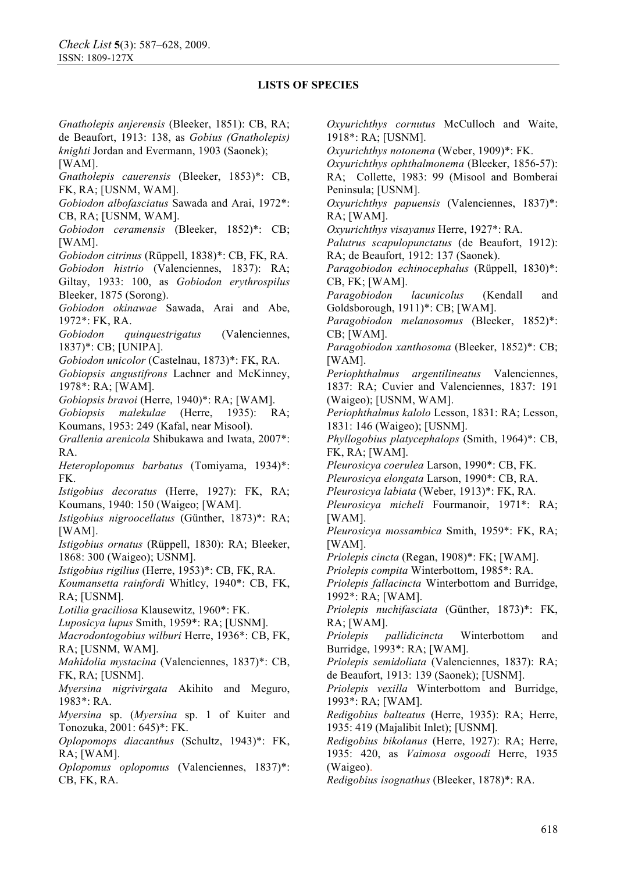*Gnatholepis anjerensis* (Bleeker, 1851): CB, RA; de Beaufort, 1913: 138, as *Gobius (Gnatholepis) knighti* Jordan and Evermann, 1903 (Saonek); [WAM].

*Gnatholepis cauerensis* (Bleeker, 1853)\*: CB, FK, RA; [USNM, WAM].

*Gobiodon albofasciatus* Sawada and Arai, 1972\*: CB, RA; [USNM, WAM].

*Gobiodon ceramensis* (Bleeker, 1852)\*: CB; [WAM].

*Gobiodon citrinus* (Rüppell, 1838)\*: CB, FK, RA. *Gobiodon histrio* (Valenciennes, 1837): RA; Giltay, 1933: 100, as *Gobiodon erythrospilus*  Bleeker, 1875 (Sorong).

*Gobiodon okinawae* Sawada, Arai and Abe, 1972\*: FK, RA.

*Gobiodon quinquestrigatus* (Valenciennes, 1837)\*: CB; [UNIPA].

*Gobiodon unicolor* (Castelnau, 1873)\*: FK, RA.

*Gobiopsis angustifrons* Lachner and McKinney, 1978\*: RA; [WAM].

*Gobiopsis bravoi* (Herre, 1940)\*: RA; [WAM].

*Gobiopsis malekulae* (Herre, 1935): RA; Koumans, 1953: 249 (Kafal, near Misool).

*Grallenia arenicola* Shibukawa and Iwata, 2007\*: R A

*Heteroplopomus barbatus* (Tomiyama, 1934)\*: FK.

*Istigobius decoratus* (Herre, 1927): FK, RA; Koumans, 1940: 150 (Waigeo; [WAM].

*Istigobius nigroocellatus* (Günther, 1873)\*: RA; [WAM].

*Istigobius ornatus* (Rüppell, 1830): RA; Bleeker, 1868: 300 (Waigeo); USNM].

*Istigobius rigilius* (Herre, 1953)\*: CB, FK, RA.

*Koumansetta rainfordi* Whitlcy, 1940\*: CB, FK, RA; [USNM].

*Lotilia graciliosa* Klausewitz, 1960\*: FK.

*Luposicya lupus* Smith, 1959\*: RA; [USNM].

*Macrodontogobius wilburi* Herre, 1936\*: CB, FK, RA; [USNM, WAM].

*Mahidolia mystacina* (Valenciennes, 1837)\*: CB, FK, RA; [USNM].

*Myersina nigrivirgata* Akihito and Meguro, 1983\*: RA.

*Myersina* sp. (*Myersina* sp. 1 of Kuiter and Tonozuka, 2001: 645)\*: FK.

*Oplopomops diacanthus* (Schultz, 1943)\*: FK, RA; [WAM].

*Oplopomus oplopomus* (Valenciennes, 1837)\*: CB, FK, RA.

*Oxyurichthys cornutus* McCulloch and Waite, 1918\*: RA; [USNM].

*Oxyurichthys notonema* (Weber, 1909)\*: FK.

*Oxyurichthys ophthalmonema* (Bleeker, 1856-57): RA; Collette, 1983: 99 (Misool and Bomberai Peninsula; [USNM].

*Oxyurichthys papuensis* (Valenciennes, 1837)\*: RA; [WAM].

*Oxyurichthys visayanus* Herre, 1927\*: RA.

*Palutrus scapulopunctatus* (de Beaufort, 1912): RA; de Beaufort, 1912: 137 (Saonek).

*Paragobiodon echinocephalus* (Rüppell, 1830)\*: CB, FK; [WAM].

*Paragobiodon lacunicolus* (Kendall and Goldsborough, 1911)\*: CB; [WAM].

*Paragobiodon melanosomus* (Bleeker, 1852)\*: CB; [WAM].

*Paragobiodon xanthosoma* (Bleeker, 1852)\*: CB; [WAM].

*Periophthalmus argentilineatus* Valenciennes, 1837: RA; Cuvier and Valenciennes, 1837: 191 (Waigeo); [USNM, WAM].

*Periophthalmus kalolo* Lesson, 1831: RA; Lesson, 1831: 146 (Waigeo); [USNM].

*Phyllogobius platycephalops* (Smith, 1964)\*: CB, FK, RA; [WAM].

*Pleurosicya coerulea* Larson, 1990\*: CB, FK.

*Pleurosicya elongata* Larson, 1990\*: CB, RA.

*Pleurosicya labiata* (Weber, 1913)\*: FK, RA.

*Pleurosicya micheli* Fourmanoir, 1971\*: RA; [WAM].

*Pleurosicya mossambica* Smith, 1959\*: FK, RA; [WAM].

*Priolepis cincta* (Regan, 1908)\*: FK; [WAM].

*Priolepis compita* Winterbottom, 1985\*: RA.

*Priolepis fallacincta* Winterbottom and Burridge, 1992\*: RA; [WAM].

*Priolepis nuchifasciata* (Günther, 1873)\*: FK, RA; [WAM].

*Priolepis pallidicincta* Winterbottom and Burridge, 1993\*: RA; [WAM].

*Priolepis semidoliata* (Valenciennes, 1837): RA; de Beaufort, 1913: 139 (Saonek); [USNM].

*Priolepis vexilla* Winterbottom and Burridge, 1993\*: RA; [WAM].

*Redigobius balteatus* (Herre, 1935): RA; Herre, 1935: 419 (Majalibit Inlet); [USNM].

*Redigobius bikolanus* (Herre, 1927): RA; Herre, 1935: 420, as *Vaimosa osgoodi* Herre, 1935 (Waigeo).

*Redigobius isognathus* (Bleeker, 1878)\*: RA.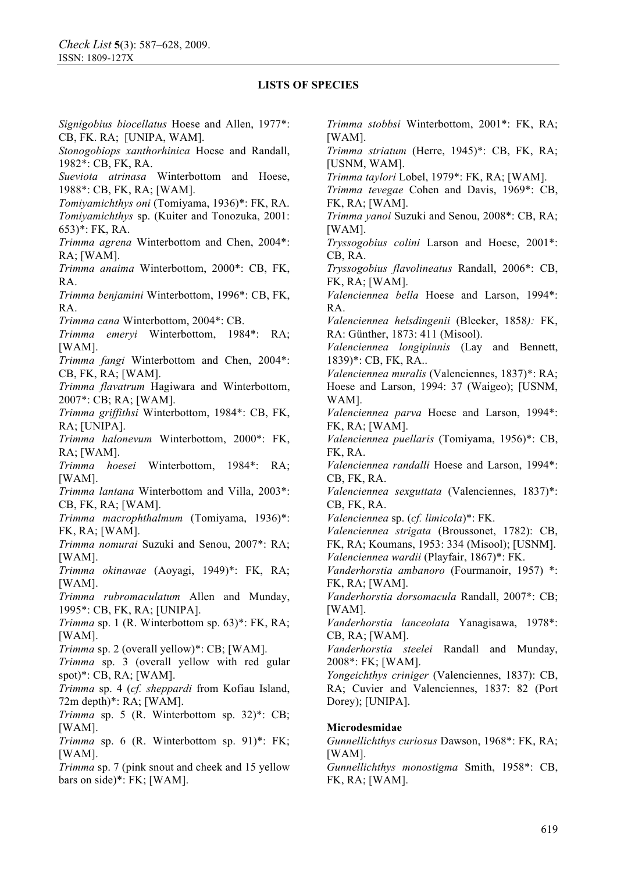*Signigobius biocellatus* Hoese and Allen, 1977\*: CB, FK. RA; [UNIPA, WAM]. *Stonogobiops xanthorhinica* Hoese and Randall, 1982\*: CB, FK, RA. *Sueviota atrinasa* Winterbottom and Hoese, 1988\*: CB, FK, RA; [WAM]. *Tomiyamichthys oni* (Tomiyama, 1936)\*: FK, RA. *Tomiyamichthys* sp. (Kuiter and Tonozuka, 2001: 653)\*: FK, RA. *Trimma agrena* Winterbottom and Chen, 2004\*: RA; [WAM]. *Trimma anaima* Winterbottom, 2000\*: CB, FK, RA. *Trimma benjamini* Winterbottom, 1996\*: CB, FK, RA. *Trimma cana* Winterbottom, 2004\*: CB. *Trimma emeryi* Winterbottom, 1984\*: RA; [WAM]. *Trimma fangi* Winterbottom and Chen, 2004\*: CB, FK, RA; [WAM]. *Trimma flavatrum* Hagiwara and Winterbottom, 2007\*: CB; RA; [WAM]. *Trimma griffithsi* Winterbottom, 1984\*: CB, FK, RA; [UNIPA]. *Trimma halonevum* Winterbottom, 2000\*: FK, RA; [WAM]. *Trimma hoesei* Winterbottom, 1984\*: RA; [WAM]. *Trimma lantana* Winterbottom and Villa, 2003\*: CB, FK, RA; [WAM]. *Trimma macrophthalmum* (Tomiyama, 1936)\*: FK, RA; [WAM]. *Trimma nomurai* Suzuki and Senou, 2007\*: RA; [WAM]. *Trimma okinawae* (Aoyagi, 1949)\*: FK, RA; [WAM]. *Trimma rubromaculatum* Allen and Munday, 1995\*: CB, FK, RA; [UNIPA]. *Trimma* sp. 1 (R. Winterbottom sp. 63)\*: FK, RA; [WAM]. *Trimma* sp. 2 (overall yellow)\*: CB; [WAM]. *Trimma* sp. 3 (overall yellow with red gular spot)\*: CB, RA; [WAM]. *Trimma* sp. 4 (*cf. sheppardi* from Kofiau Island, 72m depth)\*: RA; [WAM]. *Trimma* sp. 5 (R. Winterbottom sp. 32)\*: CB; [WAM]. *Trimma* sp. 6 (R. Winterbottom sp. 91)\*: FK; [WAM]. *Trimma* sp. 7 (pink snout and cheek and 15 yellow bars on side)\*: FK; [WAM].

*Trimma stobbsi* Winterbottom, 2001\*: FK, RA; [WAM]. *Trimma striatum* (Herre, 1945)\*: CB, FK, RA; [USNM, WAM]. *Trimma taylori* Lobel, 1979\*: FK, RA; [WAM]. *Trimma tevegae* Cohen and Davis, 1969\*: CB, FK, RA; [WAM]. *Trimma yanoi* Suzuki and Senou, 2008\*: CB, RA; [WAM]. *Tryssogobius colini* Larson and Hoese, 2001\*: CB, RA. *Tryssogobius flavolineatus* Randall, 2006\*: CB, FK, RA; [WAM]. *Valenciennea bella* Hoese and Larson, 1994\*: RA. *Valenciennea helsdingenii* (Bleeker, 1858*):* FK, RA: Günther, 1873: 411 (Misool). *Valenciennea longipinnis* (Lay and Bennett, 1839)\*: CB, FK, RA.. *Valenciennea muralis* (Valenciennes, 1837)\*: RA; Hoese and Larson, 1994: 37 (Waigeo); [USNM, WAM]. *Valenciennea parva* Hoese and Larson, 1994\*: FK, RA; [WAM]. *Valenciennea puellaris* (Tomiyama, 1956)\*: CB, FK, RA. *Valenciennea randalli* Hoese and Larson, 1994\*: CB, FK, RA. *Valenciennea sexguttata* (Valenciennes, 1837)\*: CB, FK, RA. *Valenciennea* sp. (*cf. limicola*)\*: FK. *Valenciennea strigata* (Broussonet, 1782): CB, FK, RA; Koumans, 1953: 334 (Misool); [USNM]. *Valenciennea wardii* (Playfair, 1867)\*: FK. *Vanderhorstia ambanoro* (Fourmanoir, 1957) \*: FK, RA; [WAM]. *Vanderhorstia dorsomacula* Randall, 2007\*: CB; [WAM]. *Vanderhorstia lanceolata* Yanagisawa, 1978\*: CB, RA; [WAM]. *Vanderhorstia steelei* Randall and Munday, 2008\*: FK; [WAM]. *Yongeichthys criniger* (Valenciennes, 1837): CB, RA; Cuvier and Valenciennes, 1837: 82 (Port Dorey); [UNIPA]. **Microdesmidae** 

*Gunnellichthys curiosus* Dawson, 1968\*: FK, RA; [WAM].

*Gunnellichthys monostigma* Smith, 1958\*: CB, FK, RA; [WAM].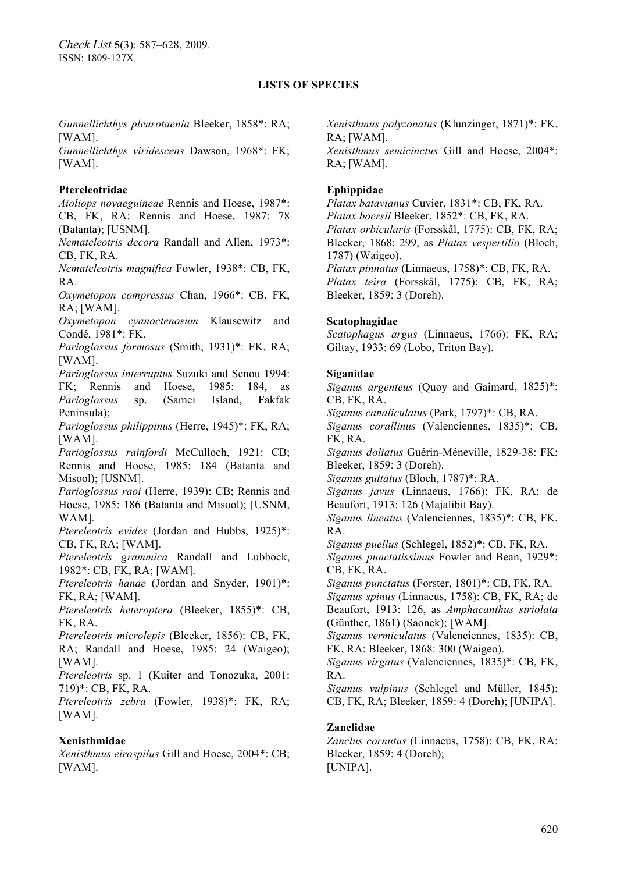*Gunnellichthys pleurotaenia* Bleeker, 1858\*: RA; [WAM].

*Gunnellichthys viridescens* Dawson, 1968\*: FK; [WAM].

## **Ptereleotridae**

*Aioliops novaeguineae* Rennis and Hoese, 1987\*: CB, FK, RA; Rennis and Hoese, 1987: 78 (Batanta); [USNM].

*Nemateleotris decora* Randall and Allen, 1973\*: CB, FK, RA.

*Nemateleotris magnifica* Fowler, 1938\*: CB, FK, RA.

*Oxymetopon compressus* Chan, 1966\*: CB, FK, RA; [WAM].

*Oxymetopon cyanoctenosum* Klausewitz and Condé, 1981\*: FK.

*Parioglossus formosus* (Smith, 1931)\*: FK, RA; [WAM].

*Parioglossus interruptus* Suzuki and Senou 1994: FK; Rennis and Hoese, 1985: 184, as *Parioglossus* sp. (Samei Island, Fakfak Peninsula);

*Parioglossus philippinus* (Herre, 1945)\*: FK, RA; [WAM].

*Parioglossus rainfordi* McCulloch, 1921: CB; Rennis and Hoese, 1985: 184 (Batanta and Misool); [USNM].

*Parioglossus raoi* (Herre, 1939): CB; Rennis and Hoese, 1985: 186 (Batanta and Misool); [USNM, WAM].

*Ptereleotris evides* (Jordan and Hubbs, 1925)\*: CB, FK, RA; [WAM].

*Ptereleotris grammica* Randall and Lubbock, 1982\*: CB, FK, RA; [WAM].

*Ptereleotris hanae* (Jordan and Snyder, 1901)\*: FK, RA; [WAM].

*Ptereleotris heteroptera* (Bleeker, 1855)\*: CB, FK, RA.

*Ptereleotris microlepis* (Bleeker, 1856): CB, FK, RA; Randall and Hoese, 1985: 24 (Waigeo); [WAM].

*Ptereleotris* sp. 1 (Kuiter and Tonozuka, 2001: 719)\*: CB, FK, RA.

*Ptereleotris zebra* (Fowler, 1938)\*: FK, RA; [WAM].

# **Xenisthmidae**

*Xenisthmus eirospilus* Gill and Hoese, 2004\*: CB; [WAM].

*Xenisthmus polyzonatus* (Klunzinger, 1871)\*: FK, RA; [WAM]. *Xenisthmus semicinctus* Gill and Hoese, 2004\*: RA; [WAM].

## **Ephippidae**

*Platax batavianus* Cuvier, 1831\*: CB, FK, RA. *Platax boersii* Bleeker, 1852\*: CB, FK, RA. *Platax orbicularis* (Forsskål, 1775): CB, FK, RA; Bleeker, 1868: 299, as *Platax vespertilio* (Bloch, 1787) (Waigeo). *Platax pinnatus* (Linnaeus, 1758)\*: CB, FK, RA. *Platax teira* (Forsskål, 1775): CB, FK, RA; Bleeker, 1859: 3 (Doreh).

### **Scatophagidae**

*Scatophagus argus* (Linnaeus, 1766): FK, RA; Giltay, 1933: 69 (Lobo, Triton Bay).

### **Siganidae**

*Siganus argenteus* (Quoy and Gaimard, 1825)\*: CB, FK, RA. *Siganus canaliculatus* (Park, 1797)\*: CB, RA. *Siganus corallinus* (Valenciennes, 1835)\*: CB, FK, RA. *Siganus doliatus* Guérin-Méneville, 1829-38: FK; Bleeker, 1859: 3 (Doreh). *Siganus guttatus* (Bloch, 1787)\*: RA. *Siganus javus* (Linnaeus, 1766): FK, RA; de Beaufort, 1913: 126 (Majalibit Bay). *Siganus lineatus* (Valenciennes, 1835)\*: CB, FK, RA. *Siganus puellus* (Schlegel, 1852)\*: CB, FK, RA. *Siganus punctatissimus* Fowler and Bean, 1929\*: CB, FK, RA. *Siganus punctatus* (Forster, 1801)\*: CB, FK, RA. *Siganus spinus* (Linnaeus, 1758): CB, FK, RA; de Beaufort, 1913: 126, as *Amphacanthus striolata* (Günther, 1861) (Saonek); [WAM]. *Siganus vermiculatus* (Valenciennes, 1835): CB, FK, RA: Bleeker, 1868: 300 (Waigeo). *Siganus virgatus* (Valenciennes, 1835)\*: CB, FK, RA. *Siganus vulpinus* (Schlegel and Müller, 1845): CB, FK, RA; Bleeker, 1859: 4 (Doreh); [UNIPA].

### **Zanclidae**

*Zanclus cornutus* (Linnaeus, 1758): CB, FK, RA: Bleeker, 1859: 4 (Doreh); [UNIPA].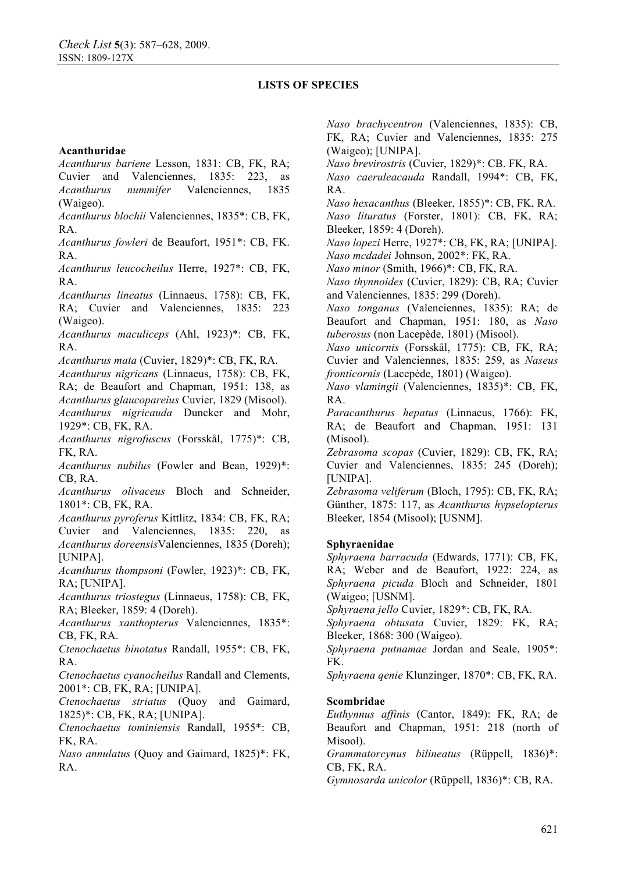### **Acanthuridae**

*Acanthurus bariene* Lesson, 1831: CB, FK, RA; Cuvier and Valenciennes, 1835: 223, as *Acanthurus nummifer* Valenciennes, 1835 (Waigeo).

*Acanthurus blochii* Valenciennes, 1835\*: CB, FK, RA.

*Acanthurus fowleri* de Beaufort, 1951\*: CB, FK. RA.

*Acanthurus leucocheilus* Herre, 1927\*: CB, FK, RA.

*Acanthurus lineatus* (Linnaeus, 1758): CB, FK, RA; Cuvier and Valenciennes, 1835: 223 (Waigeo).

*Acanthurus maculiceps* (Ahl, 1923)\*: CB, FK, RA.

*Acanthurus mata* (Cuvier, 1829)\*: CB, FK, RA.

*Acanthurus nigricans* (Linnaeus, 1758): CB, FK, RA; de Beaufort and Chapman, 1951: 138, as *Acanthurus glaucopareius* Cuvier, 1829 (Misool). *Acanthurus nigricauda* Duncker and Mohr, 1929\*: CB, FK, RA.

*Acanthurus nigrofuscus* (Forsskål, 1775)\*: CB, FK, RA.

*Acanthurus nubilus* (Fowler and Bean, 1929)\*: CB, RA.

*Acanthurus olivaceus* Bloch and Schneider, 1801\*: CB, FK, RA.

*Acanthurus pyroferus* Kittlitz, 1834: CB, FK, RA; Cuvier and Valenciennes, 1835: 220, as *Acanthurus doreensis*Valenciennes, 1835 (Doreh); [UNIPA].

*Acanthurus thompsoni* (Fowler, 1923)\*: CB, FK, RA; [UNIPA].

*Acanthurus triostegus* (Linnaeus, 1758): CB, FK, RA; Bleeker, 1859: 4 (Doreh).

*Acanthurus xanthopterus* Valenciennes, 1835\*: CB, FK, RA.

*Ctenochaetus binotatus* Randall, 1955\*: CB, FK, RA.

*Ctenochaetus cyanocheilus* Randall and Clements, 2001\*: CB, FK, RA; [UNIPA].

*Ctenochaetus striatus* (Quoy and Gaimard, 1825)\*: CB, FK, RA; [UNIPA].

*Ctenochaetus tominiensis* Randall, 1955\*: CB, FK, RA.

*Naso annulatus* (Quoy and Gaimard, 1825)\*: FK, RA.

*Naso brachycentron* (Valenciennes, 1835): CB, FK, RA; Cuvier and Valenciennes, 1835: 275 (Waigeo); [UNIPA].

*Naso brevirostris* (Cuvier, 1829)\*: CB. FK, RA.

*Naso caeruleacauda* Randall, 1994\*: CB, FK, RA.

*Naso hexacanthus* (Bleeker, 1855)\*: CB, FK, RA. *Naso lituratus* (Forster, 1801): CB, FK, RA; Bleeker, 1859: 4 (Doreh).

*Naso lopezi* Herre, 1927\*: CB, FK, RA; [UNIPA]. *Naso mcdadei* Johnson, 2002\*: FK, RA.

*Naso minor* (Smith, 1966)\*: CB, FK, RA.

*Naso thynnoides* (Cuvier, 1829): CB, RA; Cuvier and Valenciennes, 1835: 299 (Doreh).

*Naso tonganus* (Valenciennes, 1835): RA; de Beaufort and Chapman, 1951: 180, as *Naso tuberosus* (non Lacepède, 1801) (Misool).

*Naso unicornis* (Forsskål, 1775): CB, FK, RA; Cuvier and Valenciennes, 1835: 259, as *Naseus fronticornis* (Lacepède, 1801) (Waigeo).

*Naso vlamingii* (Valenciennes, 1835)\*: CB, FK, RA.

*Paracanthurus hepatus* (Linnaeus, 1766): FK, RA; de Beaufort and Chapman, 1951: 131 (Misool).

*Zebrasoma scopas* (Cuvier, 1829): CB, FK, RA; Cuvier and Valenciennes, 1835: 245 (Doreh); [UNIPA].

*Zebrasoma veliferum* (Bloch, 1795): CB, FK, RA; Günther, 1875: 117, as *Acanthurus hypselopterus*  Bleeker, 1854 (Misool); [USNM].

### **Sphyraenidae**

*Sphyraena barracuda* (Edwards, 1771): CB, FK, RA; Weber and de Beaufort, 1922: 224, as *Sphyraena picuda* Bloch and Schneider, 1801 (Waigeo; [USNM].

*Sphyraena jello* Cuvier, 1829\*: CB, FK, RA.

*Sphyraena obtusata* Cuvier, 1829: FK, RA; Bleeker, 1868: 300 (Waigeo).

*Sphyraena putnamae* Jordan and Seale, 1905\*: FK.

*Sphyraena qenie* Klunzinger, 1870\*: CB, FK, RA.

### **Scombridae**

*Euthynnus affinis* (Cantor, 1849): FK, RA; de Beaufort and Chapman, 1951: 218 (north of Misool).

*Grammatorcynus bilineatus* (Rüppell, 1836)\*: CB, FK, RA.

*Gymnosarda unicolor* (Rüppell, 1836)\*: CB, RA.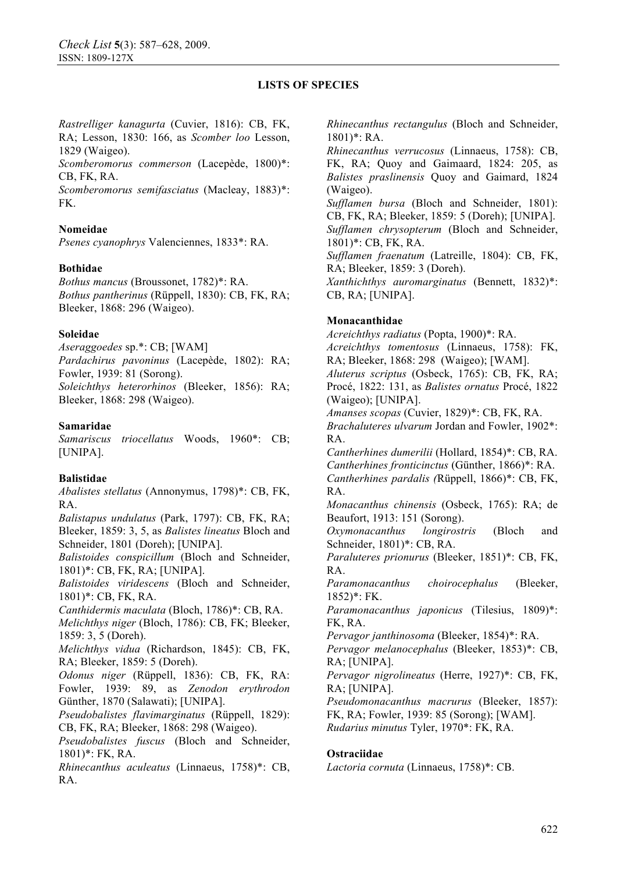*Rastrelliger kanagurta* (Cuvier, 1816): CB, FK, RA; Lesson, 1830: 166, as *Scomber loo* Lesson, 1829 (Waigeo).

*Scomberomorus commerson* (Lacepède, 1800)\*: CB, FK, RA.

*Scomberomorus semifasciatus* (Macleay, 1883)\*: FK.

## **Nomeidae**

*Psenes cyanophrys* Valenciennes, 1833\*: RA.

### **Bothidae**

*Bothus mancus* (Broussonet, 1782)\*: RA. *Bothus pantherinus* (Rüppell, 1830): CB, FK, RA; Bleeker, 1868: 296 (Waigeo).

### **Soleidae**

*Aseraggoedes* sp.\*: CB; [WAM] *Pardachirus pavoninus* (Lacepède, 1802): RA; Fowler, 1939: 81 (Sorong). *Soleichthys heterorhinos* (Bleeker, 1856): RA; Bleeker, 1868: 298 (Waigeo).

## **Samaridae**

*Samariscus triocellatus* Woods, 1960\*: CB; [UNIPA].

# **Balistidae**

*Abalistes stellatus* (Annonymus, 1798)\*: CB, FK, RA.

*Balistapus undulatus* (Park, 1797): CB, FK, RA; Bleeker, 1859: 3, 5, as *Balistes lineatus* Bloch and Schneider, 1801 (Doreh); [UNIPA].

*Balistoides conspicillum* (Bloch and Schneider, 1801)\*: CB, FK, RA; [UNIPA].

*Balistoides viridescens* (Bloch and Schneider, 1801)\*: CB, FK, RA.

*Canthidermis maculata* (Bloch, 1786)\*: CB, RA.

*Melichthys niger* (Bloch, 1786): CB, FK; Bleeker, 1859: 3, 5 (Doreh).

*Melichthys vidua* (Richardson, 1845): CB, FK, RA; Bleeker, 1859: 5 (Doreh).

*Odonus niger* (Rüppell, 1836): CB, FK, RA: Fowler, 1939: 89, as *Zenodon erythrodon*  Günther, 1870 (Salawati); [UNIPA].

*Pseudobalistes flavimarginatus* (Rüppell, 1829): CB, FK, RA; Bleeker, 1868: 298 (Waigeo).

*Pseudobalistes fuscus* (Bloch and Schneider, 1801)\*: FK, RA.

*Rhinecanthus aculeatus* (Linnaeus, 1758)\*: CB, RA.

*Rhinecanthus rectangulus* (Bloch and Schneider, 1801)\*: RA.

*Rhinecanthus verrucosus* (Linnaeus, 1758): CB, FK, RA; Quoy and Gaimaard, 1824: 205, as *Balistes praslinensis* Quoy and Gaimard, 1824 (Waigeo).

*Sufflamen bursa* (Bloch and Schneider, 1801): CB, FK, RA; Bleeker, 1859: 5 (Doreh); [UNIPA]. *Sufflamen chrysopterum* (Bloch and Schneider, 1801)\*: CB, FK, RA.

*Sufflamen fraenatum* (Latreille, 1804): CB, FK, RA; Bleeker, 1859: 3 (Doreh).

*Xanthichthys auromarginatus* (Bennett, 1832)\*: CB, RA; [UNIPA].

# **Monacanthidae**

*Acreichthys radiatus* (Popta, 1900)\*: RA. *Acreichthys tomentosus* (Linnaeus, 1758): FK, RA; Bleeker, 1868: 298 (Waigeo); [WAM]. *Aluterus scriptus* (Osbeck, 1765): CB, FK, RA; Procé, 1822: 131, as *Balistes ornatus* Procé, 1822 (Waigeo); [UNIPA]. *Amanses scopas* (Cuvier, 1829)\*: CB, FK, RA.

*Brachaluteres ulvarum* Jordan and Fowler, 1902\*: RA.

*Cantherhines dumerilii* (Hollard, 1854)\*: CB, RA. *Cantherhines fronticinctus* (Günther, 1866)\*: RA. *Cantherhines pardalis (*Rüppell, 1866)\*: CB, FK, RA.

*Monacanthus chinensis* (Osbeck, 1765): RA; de Beaufort, 1913: 151 (Sorong).

*Oxymonacanthus longirostris* (Bloch and Schneider, 1801)\*: CB, RA.

*Paraluteres prionurus* (Bleeker, 1851)\*: CB, FK, RA.

*Paramonacanthus choirocephalus* (Bleeker, 1852)\*: FK.

*Paramonacanthus japonicus* (Tilesius, 1809)\*: FK, RA.

*Pervagor janthinosoma* (Bleeker, 1854)\*: RA.

*Pervagor melanocephalus* (Bleeker, 1853)\*: CB, RA; [UNIPA].

*Pervagor nigrolineatus* (Herre, 1927)\*: CB, FK, RA; [UNIPA].

*Pseudomonacanthus macrurus* (Bleeker, 1857): FK, RA; Fowler, 1939: 85 (Sorong); [WAM].

*Rudarius minutus* Tyler, 1970\*: FK, RA.

# **Ostraciidae**

*Lactoria cornuta* (Linnaeus, 1758)\*: CB.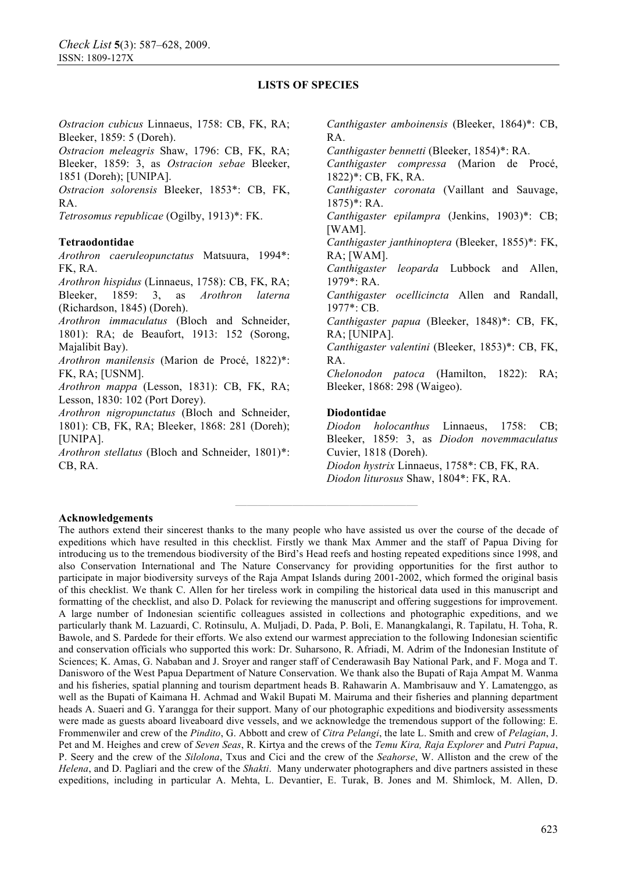*Ostracion cubicus* Linnaeus, 1758: CB, FK, RA; Bleeker, 1859: 5 (Doreh). *Ostracion meleagris* Shaw, 1796: CB, FK, RA; Bleeker, 1859: 3, as *Ostracion sebae* Bleeker, 1851 (Doreh); [UNIPA]. *Ostracion solorensis* Bleeker, 1853\*: CB, FK, RA. *Tetrosomus republicae* (Ogilby, 1913)\*: FK. **Tetraodontidae**  *Arothron caeruleopunctatus* Matsuura, 1994\*: FK, RA. *Arothron hispidus* (Linnaeus, 1758): CB, FK, RA; Bleeker, 1859: 3, as *Arothron laterna* (Richardson, 1845) (Doreh). *Arothron immaculatus* (Bloch and Schneider, 1801): RA; de Beaufort, 1913: 152 (Sorong, Majalibit Bay). *Arothron manilensis* (Marion de Procé, 1822)\*: FK, RA; [USNM]. *Arothron mappa* (Lesson, 1831): CB, FK, RA; Lesson, 1830: 102 (Port Dorey). *Arothron nigropunctatus* (Bloch and Schneider, 1801): CB, FK, RA; Bleeker, 1868: 281 (Doreh); [UNIPA]. *Arothron stellatus* (Bloch and Schneider, 1801)\*: CB, RA. *Canthigaster amboinensis* (Bleeker, 1864)\*: CB, RA. *Canthigaster bennetti* (Bleeker, 1854)\*: RA. *Canthigaster compressa* (Marion de Procé, 1822)\*: CB, FK, RA. *Canthigaster coronata* (Vaillant and Sauvage, 1875)\*: RA. *Canthigaster epilampra* (Jenkins, 1903)\*: CB; [WAM]. *Canthigaster janthinoptera* (Bleeker, 1855)\*: FK, RA; [WAM]. *Canthigaster leoparda* Lubbock and Allen, 1979\*: RA. *Canthigaster ocellicincta* Allen and Randall, 1977\*: CB. *Canthigaster papua* (Bleeker, 1848)\*: CB, FK, RA; [UNIPA]. *Canthigaster valentini* (Bleeker, 1853)\*: CB, FK, RA. *Chelonodon patoca* (Hamilton, 1822): RA; Bleeker, 1868: 298 (Waigeo). **Diodontidae**  *Diodon holocanthus* Linnaeus, 1758: CB; Bleeker, 1859: 3, as *Diodon novemmaculatus*  Cuvier, 1818 (Doreh). *Diodon hystrix* Linnaeus, 1758\*: CB, FK, RA. *Diodon liturosus* Shaw, 1804\*: FK, RA.

### **Acknowledgements**

The authors extend their sincerest thanks to the many people who have assisted us over the course of the decade of expeditions which have resulted in this checklist. Firstly we thank Max Ammer and the staff of Papua Diving for introducing us to the tremendous biodiversity of the Bird's Head reefs and hosting repeated expeditions since 1998, and also Conservation International and The Nature Conservancy for providing opportunities for the first author to participate in major biodiversity surveys of the Raja Ampat Islands during 2001-2002, which formed the original basis of this checklist. We thank C. Allen for her tireless work in compiling the historical data used in this manuscript and formatting of the checklist, and also D. Polack for reviewing the manuscript and offering suggestions for improvement. A large number of Indonesian scientific colleagues assisted in collections and photographic expeditions, and we particularly thank M. Lazuardi, C. Rotinsulu, A. Muljadi, D. Pada, P. Boli, E. Manangkalangi, R. Tapilatu, H. Toha, R. Bawole, and S. Pardede for their efforts. We also extend our warmest appreciation to the following Indonesian scientific and conservation officials who supported this work: Dr. Suharsono, R. Afriadi, M. Adrim of the Indonesian Institute of Sciences; K. Amas, G. Nababan and J. Sroyer and ranger staff of Cenderawasih Bay National Park, and F. Moga and T. Danisworo of the West Papua Department of Nature Conservation. We thank also the Bupati of Raja Ampat M. Wanma and his fisheries, spatial planning and tourism department heads B. Rahawarin A. Mambrisauw and Y. Lamatenggo, as well as the Bupati of Kaimana H. Achmad and Wakil Bupati M. Mairuma and their fisheries and planning department heads A. Suaeri and G. Yarangga for their support. Many of our photographic expeditions and biodiversity assessments were made as guests aboard liveaboard dive vessels, and we acknowledge the tremendous support of the following: E. Frommenwiler and crew of the *Pindito*, G. Abbott and crew of *Citra Pelangi*, the late L. Smith and crew of *Pelagian*, J. Pet and M. Heighes and crew of *Seven Seas*, R. Kirtya and the crews of the *Temu Kira, Raja Explorer* and *Putri Papua*, P. Seery and the crew of the *Silolona*, Txus and Cici and the crew of the *Seahorse*, W. Alliston and the crew of the *Helena*, and D. Pagliari and the crew of the *Shakti*. Many underwater photographers and dive partners assisted in these expeditions, including in particular A. Mehta, L. Devantier, E. Turak, B. Jones and M. Shimlock, M. Allen, D.

**————————————————**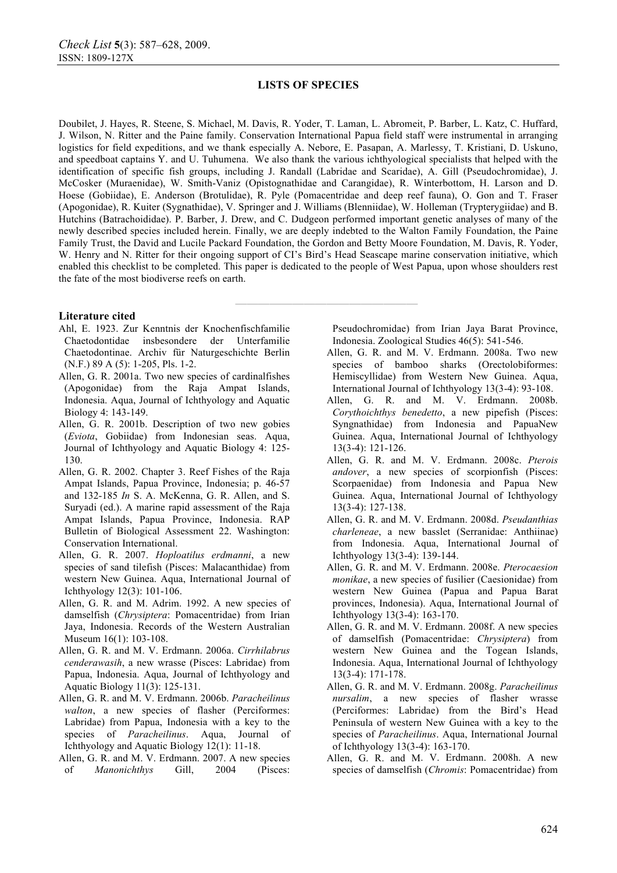Doubilet, J. Hayes, R. Steene, S. Michael, M. Davis, R. Yoder, T. Laman, L. Abromeit, P. Barber, L. Katz, C. Huffard, J. Wilson, N. Ritter and the Paine family. Conservation International Papua field staff were instrumental in arranging logistics for field expeditions, and we thank especially A. Nebore, E. Pasapan, A. Marlessy, T. Kristiani, D. Uskuno, and speedboat captains Y. and U. Tuhumena. We also thank the various ichthyological specialists that helped with the identification of specific fish groups, including J. Randall (Labridae and Scaridae), A. Gill (Pseudochromidae), J. McCosker (Muraenidae), W. Smith-Vaniz (Opistognathidae and Carangidae), R. Winterbottom, H. Larson and D. Hoese (Gobiidae), E. Anderson (Brotulidae), R. Pyle (Pomacentridae and deep reef fauna), O. Gon and T. Fraser (Apogonidae), R. Kuiter (Sygnathidae), V. Springer and J. Williams (Blenniidae), W. Holleman (Trypterygiidae) and B. Hutchins (Batrachoididae). P. Barber, J. Drew, and C. Dudgeon performed important genetic analyses of many of the newly described species included herein. Finally, we are deeply indebted to the Walton Family Foundation, the Paine Family Trust, the David and Lucile Packard Foundation, the Gordon and Betty Moore Foundation, M. Davis, R. Yoder, W. Henry and N. Ritter for their ongoing support of CI's Bird's Head Seascape marine conservation initiative, which enabled this checklist to be completed. This paper is dedicated to the people of West Papua, upon whose shoulders rest the fate of the most biodiverse reefs on earth.

**————————————————** 

#### **Literature cited**

- Ahl, E. 1923. Zur Kenntnis der Knochenfischfamilie Chaetodontidae insbesondere der Unterfamilie Chaetodontinae. Archiv für Naturgeschichte Berlin (N.F.) 89 A (5): 1-205, Pls. 1-2.
- Allen, G. R. 2001a. Two new species of cardinalfishes (Apogonidae) from the Raja Ampat Islands, Indonesia. Aqua, Journal of Ichthyology and Aquatic Biology 4: 143-149.
- Allen, G. R. 2001b. Description of two new gobies (*Eviota*, Gobiidae) from Indonesian seas. Aqua, Journal of Ichthyology and Aquatic Biology 4: 125- 130.
- Allen, G. R. 2002. Chapter 3. Reef Fishes of the Raja Ampat Islands, Papua Province, Indonesia; p. 46-57 and 132-185 *In* S. A. McKenna, G. R. Allen, and S. Suryadi (ed.). A marine rapid assessment of the Raja Ampat Islands, Papua Province, Indonesia. RAP Bulletin of Biological Assessment 22. Washington: Conservation International.
- Allen, G. R. 2007. *Hoploatilus erdmanni*, a new species of sand tilefish (Pisces: Malacanthidae) from western New Guinea. Aqua, International Journal of Ichthyology 12(3): 101-106.
- Allen, G. R. and M. Adrim. 1992. A new species of damselfish (*Chrysiptera*: Pomacentridae) from Irian Jaya, Indonesia. Records of the Western Australian Museum 16(1): 103-108.
- Allen, G. R. and M. V. Erdmann. 2006a. *Cirrhilabrus cenderawasih*, a new wrasse (Pisces: Labridae) from Papua, Indonesia. Aqua, Journal of Ichthyology and Aquatic Biology 11(3): 125-131.
- Allen, G. R. and M. V. Erdmann. 2006b. *Paracheilinus walton*, a new species of flasher (Perciformes: Labridae) from Papua, Indonesia with a key to the species of *Paracheilinus*. Aqua, Journal of Ichthyology and Aquatic Biology 12(1): 11-18.
- Allen, G. R. and M. V. Erdmann. 2007. A new species of *Manonichthys* Gill, 2004 (Pisces:

Pseudochromidae) from Irian Jaya Barat Province, Indonesia. Zoological Studies 46(5): 541-546.

- Allen, G. R. and M. V. Erdmann. 2008a. Two new species of bamboo sharks (Orectolobiformes: Hemiscyllidae) from Western New Guinea. Aqua, International Journal of Ichthyology 13(3-4): 93-108.
- Allen, G. R. and M. V. Erdmann. 2008b. *Corythoichthys benedetto*, a new pipefish (Pisces: Syngnathidae) from Indonesia and PapuaNew Guinea. Aqua, International Journal of Ichthyology 13(3-4): 121-126.
- Allen, G. R. and M. V. Erdmann. 2008c. *Pterois andover*, a new species of scorpionfish (Pisces: Scorpaenidae) from Indonesia and Papua New Guinea. Aqua, International Journal of Ichthyology 13(3-4): 127-138.
- Allen, G. R. and M. V. Erdmann. 2008d. *Pseudanthias charleneae*, a new basslet (Serranidae: Anthiinae) from Indonesia. Aqua, International Journal of Ichthyology 13(3-4): 139-144.
- Allen, G. R. and M. V. Erdmann. 2008e. *Pterocaesion monikae*, a new species of fusilier (Caesionidae) from western New Guinea (Papua and Papua Barat provinces, Indonesia). Aqua, International Journal of Ichthyology 13(3-4): 163-170.
- Allen, G. R. and M. V. Erdmann. 2008f. A new species of damselfish (Pomacentridae: *Chrysiptera*) from western New Guinea and the Togean Islands, Indonesia. Aqua, International Journal of Ichthyology 13(3-4): 171-178.
- Allen, G. R. and M. V. Erdmann. 2008g. *Paracheilinus nursalim*, a new species of flasher wrasse (Perciformes: Labridae) from the Bird's Head Peninsula of western New Guinea with a key to the species of *Paracheilinus*. Aqua, International Journal of Ichthyology 13(3-4): 163-170.
- Allen, G. R. and M. V. Erdmann. 2008h. A new species of damselfish (*Chromis*: Pomacentridae) from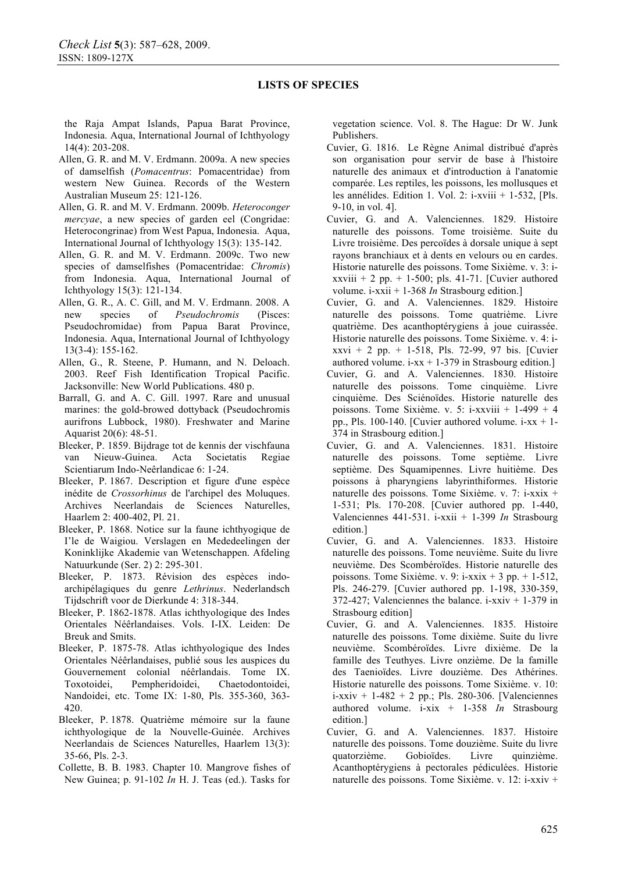the Raja Ampat Islands, Papua Barat Province, Indonesia. Aqua, International Journal of Ichthyology 14(4): 203-208.

- Allen, G. R. and M. V. Erdmann. 2009a. A new species of damselfish (*Pomacentrus*: Pomacentridae) from western New Guinea. Records of the Western Australian Museum 25: 121-126.
- Allen, G. R. and M. V. Erdmann. 2009b. *Heteroconger mercyae*, a new species of garden eel (Congridae: Heterocongrinae) from West Papua, Indonesia. Aqua, International Journal of Ichthyology 15(3): 135-142.
- Allen, G. R. and M. V. Erdmann. 2009c. Two new species of damselfishes (Pomacentridae: *Chromis*) from Indonesia. Aqua, International Journal of Ichthyology 15(3): 121-134.
- Allen, G. R., A. C. Gill, and M. V. Erdmann. 2008. A new species of *Pseudochromis* (Pisces: Pseudochromidae) from Papua Barat Province, Indonesia. Aqua, International Journal of Ichthyology 13(3-4): 155-162.
- Allen, G., R. Steene, P. Humann, and N. Deloach. 2003. Reef Fish Identification Tropical Pacific. Jacksonville: New World Publications. 480 p.
- Barrall, G. and A. C. Gill. 1997. Rare and unusual marines: the gold-browed dottyback (Pseudochromis aurifrons Lubbock, 1980). Freshwater and Marine Aquarist 20(6): 48-51.
- Bleeker, P. 1859. Bijdrage tot de kennis der vischfauna van Nieuw-Guinea. Acta Societatis Regiae Scientiarum Indo-Neêrlandicae 6: 1-24.
- Bleeker, P. 1867. Description et figure d'une espèce inédite de *Crossorhinus* de l'archipel des Moluques. Archives Neerlandais de Sciences Naturelles, Haarlem 2: 400-402, Pl. 21.
- Bleeker, P. 1868. Notice sur la faune ichthyogique de I'le de Waigiou. Verslagen en Mededeelingen der Koninklijke Akademie van Wetenschappen. Afdeling Natuurkunde (Ser. 2) 2: 295-301.
- Bleeker, P. 1873. Révision des espèces indoarchipélagiques du genre *Lethrinus*. Nederlandsch Tijdschrift voor de Dierkunde 4: 318-344.
- Bleeker, P. 1862-1878. Atlas ichthyologique des Indes Orientales Néêrlandaises. Vols. I-IX. Leiden: De Breuk and Smits.
- Bleeker, P. 1875-78. Atlas ichthyologique des Indes Orientales Néêrlandaises, publié sous les auspices du Gouvernement colonial néêrlandais. Tome IX. Toxotoidei, Pempheridoidei, Chaetodontoidei, Nandoidei, etc. Tome IX: 1-80, Pls. 355-360, 363- 420.
- Bleeker, P. 1878. Quatrième mémoire sur la faune ichthyologique de la Nouvelle-Guinée. Archives Neerlandais de Sciences Naturelles, Haarlem 13(3): 35-66, Pls. 2-3.
- Collette, B. B. 1983. Chapter 10. Mangrove fishes of New Guinea; p. 91-102 *In* H. J. Teas (ed.). Tasks for

vegetation science. Vol. 8. The Hague: Dr W. Junk Publishers.

- Cuvier, G. 1816. Le Règne Animal distribué d'après son organisation pour servir de base à l'histoire naturelle des animaux et d'introduction à l'anatomie comparée. Les reptiles, les poissons, les mollusques et les annélides. Edition 1. Vol. 2: i-xviii + 1-532, [Pls. 9-10, in vol. 4].
- Cuvier, G. and A. Valenciennes. 1829. Histoire naturelle des poissons. Tome troisième. Suite du Livre troisième. Des percoïdes à dorsale unique à sept rayons branchiaux et à dents en velours ou en cardes. Historie naturelle des poissons. Tome Sixième. v. 3: ixxviii  $+ 2$  pp.  $+ 1$ -500; pls. 41-71. [Cuvier authored volume. i-xxii + 1-368 *In* Strasbourg edition.]
- Cuvier, G. and A. Valenciennes. 1829. Histoire naturelle des poissons. Tome quatrième. Livre quatrième. Des acanthoptérygiens à joue cuirassée. Historie naturelle des poissons. Tome Sixième. v. 4: ixxvi + 2 pp. + 1-518, Pls. 72-99, 97 bis. [Cuvier authored volume.  $i$ -xx + 1-379 in Strasbourg edition.]
- Cuvier, G. and A. Valenciennes. 1830. Histoire naturelle des poissons. Tome cinquième. Livre cinquième. Des Sciénoïdes. Historie naturelle des poissons. Tome Sixième. v. 5:  $i$ -xxviii + 1-499 + 4 pp., Pls. 100-140. [Cuvier authored volume.  $i$ -xx + 1-374 in Strasbourg edition.]
- Cuvier, G. and A. Valenciennes. 1831. Histoire naturelle des poissons. Tome septième. Livre septième. Des Squamipennes. Livre huitième. Des poissons à pharyngiens labyrinthiformes. Historie naturelle des poissons. Tome Sixième. v. 7: i-xxix + 1-531; Pls. 170-208. [Cuvier authored pp. 1-440, Valenciennes 441-531. i-xxii + 1-399 *In* Strasbourg edition.]
- Cuvier, G. and A. Valenciennes. 1833. Histoire naturelle des poissons. Tome neuvième. Suite du livre neuvième. Des Scombéroïdes. Historie naturelle des poissons. Tome Sixième. v. 9:  $i$ -xxix + 3 pp. + 1-512, Pls. 246-279. [Cuvier authored pp. 1-198, 330-359, 372-427; Valenciennes the balance. i-xxiv  $+$  1-379 in Strasbourg edition]
- Cuvier, G. and A. Valenciennes. 1835. Histoire naturelle des poissons. Tome dixième. Suite du livre neuvième. Scombéroïdes. Livre dixième. De la famille des Teuthyes. Livre onzième. De la famille des Taenioïdes. Livre douzième. Des Athérines. Historie naturelle des poissons. Tome Sixième. v. 10:  $i$ -xxiv + 1-482 + 2 pp.; Pls. 280-306. [Valenciennes authored volume. i-xix + 1-358 *In* Strasbourg edition.]
- Cuvier, G. and A. Valenciennes. 1837. Histoire naturelle des poissons. Tome douzième. Suite du livre quatorzième. Gobioïdes. Livre quinzième. Acanthoptérygiens à pectorales pédiculées. Historie naturelle des poissons. Tome Sixième. v. 12: i-xxiv +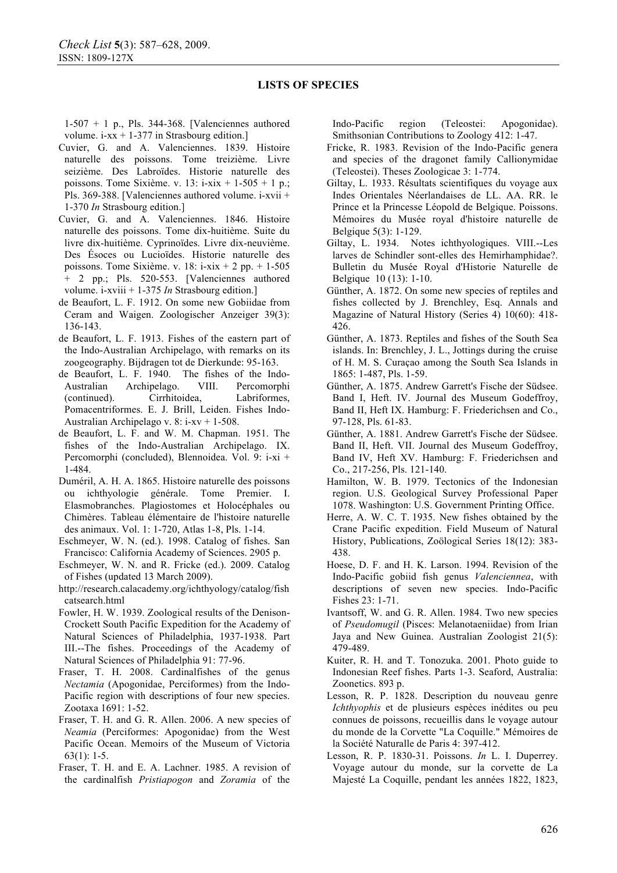1-507 + 1 p., Pls. 344-368. [Valenciennes authored volume.  $i$ -xx + 1-377 in Strasbourg edition.]

- Cuvier, G. and A. Valenciennes. 1839. Histoire naturelle des poissons. Tome treizième. Livre seizième. Des Labroïdes. Historie naturelle des poissons. Tome Sixième. v. 13:  $i$ -xix + 1-505 + 1 p.; Pls. 369-388. [Valenciennes authored volume. i-xvii + 1-370 *In* Strasbourg edition.]
- Cuvier, G. and A. Valenciennes. 1846. Histoire naturelle des poissons. Tome dix-huitième. Suite du livre dix-huitième. Cyprinoïdes. Livre dix-neuvième. Des Ésoces ou Lucioïdes. Historie naturelle des poissons. Tome Sixième. v. 18: i-xix + 2 pp. + 1-505 + 2 pp.; Pls. 520-553. [Valenciennes authored volume. i-xviii + 1-375 *In* Strasbourg edition.]
- de Beaufort, L. F. 1912. On some new Gobiidae from Ceram and Waigen. Zoologischer Anzeiger 39(3): 136-143.
- de Beaufort, L. F. 1913. Fishes of the eastern part of the Indo-Australian Archipelago, with remarks on its zoogeography. Bijdragen tot de Dierkunde: 95-163.
- de Beaufort, L. F. 1940. The fishes of the Indo-Australian Archipelago. VIII. Percomorphi (continued). Cirrhitoidea, Labriformes, Pomacentriformes. E. J. Brill, Leiden. Fishes Indo-Australian Archipelago v. 8: i-xv + 1-508.
- de Beaufort, L. F. and W. M. Chapman. 1951. The fishes of the Indo-Australian Archipelago. IX. Percomorphi (concluded), Blennoidea. Vol. 9: i-xi + 1-484.
- Duméril, A. H. A. 1865. Histoire naturelle des poissons ou ichthyologie générale. Tome Premier. I. Elasmobranches. Plagiostomes et Holocéphales ou Chimères. Tableau élémentaire de l'histoire naturelle des animaux. Vol. 1: 1-720, Atlas 1-8, Pls. 1-14.
- Eschmeyer, W. N. (ed.). 1998. Catalog of fishes. San Francisco: California Academy of Sciences. 2905 p.
- Eschmeyer, W. N. and R. Fricke (ed.). 2009. Catalog of Fishes (updated 13 March 2009).
- http://research.calacademy.org/ichthyology/catalog/fish catsearch.html
- Fowler, H. W. 1939. Zoological results of the Denison-Crockett South Pacific Expedition for the Academy of Natural Sciences of Philadelphia, 1937-1938. Part III.--The fishes. Proceedings of the Academy of Natural Sciences of Philadelphia 91: 77-96.
- Fraser, T. H. 2008. Cardinalfishes of the genus *Nectamia* (Apogonidae, Perciformes) from the Indo-Pacific region with descriptions of four new species. Zootaxa 1691: 1-52.
- Fraser, T. H. and G. R. Allen. 2006. A new species of *Neamia* (Perciformes: Apogonidae) from the West Pacific Ocean. Memoirs of the Museum of Victoria 63(1): 1-5.
- Fraser, T. H. and E. A. Lachner. 1985. A revision of the cardinalfish *Pristiapogon* and *Zoramia* of the

Indo-Pacific region (Teleostei: Apogonidae). Smithsonian Contributions to Zoology 412: 1-47.

- Fricke, R. 1983. Revision of the Indo-Pacific genera and species of the dragonet family Callionymidae (Teleostei). Theses Zoologicae 3: 1-774.
- Giltay, L. 1933. Résultats scientifiques du voyage aux Indes Orientales Néerlandaises de LL. AA. RR. le Prince et la Princesse Léopold de Belgique. Poissons. Mémoires du Musée royal d'histoire naturelle de Belgique 5(3): 1-129.
- Giltay, L. 1934. Notes ichthyologiques. VIII.--Les larves de Schindler sont-elles des Hemirhamphidae?. Bulletin du Musée Royal d'Historie Naturelle de Belgique 10 (13): 1-10.
- Günther, A. 1872. On some new species of reptiles and fishes collected by J. Brenchley, Esq. Annals and Magazine of Natural History (Series 4) 10(60): 418- 426.
- Günther, A. 1873. Reptiles and fishes of the South Sea islands. In: Brenchley, J. L., Jottings during the cruise of H. M. S. Curaçao among the South Sea Islands in 1865: 1-487, Pls. 1-59.
- Günther, A. 1875. Andrew Garrett's Fische der Südsee. Band I, Heft. IV. Journal des Museum Godeffroy, Band II, Heft IX. Hamburg: F. Friederichsen and Co., 97-128, Pls. 61-83.
- Günther, A. 1881. Andrew Garrett's Fische der Südsee. Band II, Heft. VII. Journal des Museum Godeffroy, Band IV, Heft XV. Hamburg: F. Friederichsen and Co., 217-256, Pls. 121-140.
- Hamilton, W. B. 1979. Tectonics of the Indonesian region. U.S. Geological Survey Professional Paper 1078. Washington: U.S. Government Printing Office.
- Herre, A. W. C. T. 1935. New fishes obtained by the Crane Pacific expedition. Field Museum of Natural History, Publications, Zoölogical Series 18(12): 383- 438.
- Hoese, D. F. and H. K. Larson. 1994. Revision of the Indo-Pacific gobiid fish genus *Valenciennea*, with descriptions of seven new species. Indo-Pacific Fishes 23: 1-71.
- Ivantsoff, W. and G. R. Allen. 1984. Two new species of *Pseudomugil* (Pisces: Melanotaeniidae) from Irian Jaya and New Guinea. Australian Zoologist 21(5): 479-489.
- Kuiter, R. H. and T. Tonozuka. 2001. Photo guide to Indonesian Reef fishes. Parts 1-3. Seaford, Australia: Zoonetics. 893 p.
- Lesson, R. P. 1828. Description du nouveau genre *Ichthyophis* et de plusieurs espèces inédites ou peu connues de poissons, recueillis dans le voyage autour du monde de la Corvette "La Coquille." Mémoires de la Société Naturalle de Paris 4: 397-412.
- Lesson, R. P. 1830-31. Poissons. *In* L. I. Duperrey. Voyage autour du monde, sur la corvette de La Majesté La Coquille, pendant les années 1822, 1823,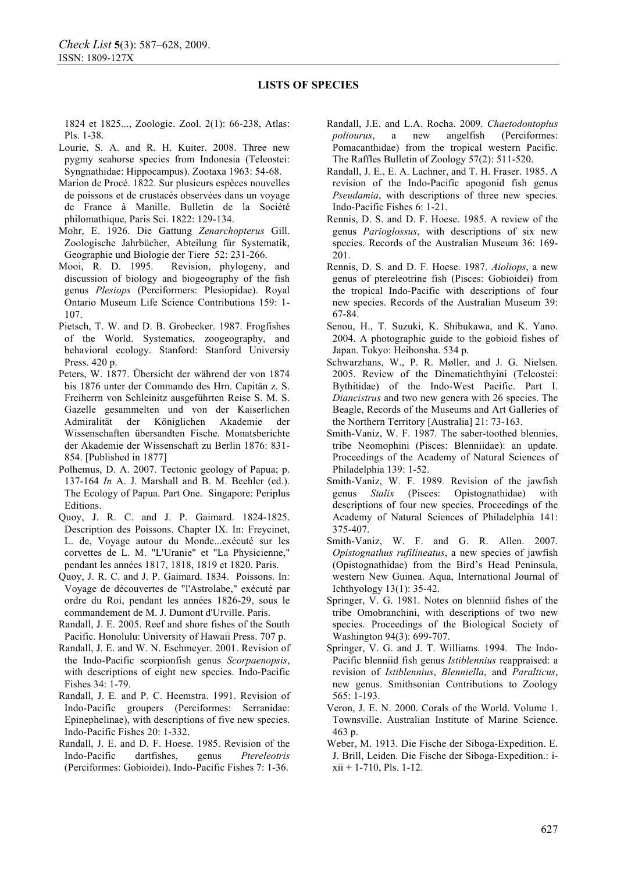1824 et 1825..., Zoologie. Zool. 2(1): 66-238, Atlas: Pls. 1-38.

- Lourie, S. A. and R. H. Kuiter. 2008. Three new pygmy seahorse species from Indonesia (Teleostei: Syngnathidae: Hippocampus). Zootaxa 1963: 54-68.
- Marion de Procé. 1822. Sur plusieurs espèces nouvelles de poissons et de crustacés observées dans un voyage de France à Manille. Bulletin de la Société philomathique, Paris Sci. 1822: 129-134.
- Mohr, E. 1926. Die Gattung *Zenarchopterus* Gill. Zoologische Jahrbücher, Abteilung für Systematik,
- Geographie und Biologie der Tiere 52: 231-266.<br>Mooi, R. D. 1995. Revision, phylogeny, Revision, phylogeny, and discussion of biology and biogeography of the fish genus *Plesiops* (Perciformers: Plesiopidae). Royal Ontario Museum Life Science Contributions 159: 1- 107.
- Pietsch, T. W. and D. B. Grobecker. 1987. Frogfishes of the World. Systematics, zoogeography, and behavioral ecology. Stanford: Stanford Universiy Press. 420 p.
- Peters, W. 1877. Übersicht der während der von 1874 bis 1876 unter der Commando des Hrn. Capitän z. S. Freiherrn von Schleinitz ausgeführten Reise S. M. S. Gazelle gesammelten und von der Kaiserlichen Admiralität der Königlichen Akademie der Wissenschaften übersandten Fische. Monatsberichte der Akademie der Wissenschaft zu Berlin 1876: 831- 854. [Published in 1877]
- Polhemus, D. A. 2007. Tectonic geology of Papua; p. 137-164 *In* A. J. Marshall and B. M. Beehler (ed.). The Ecology of Papua. Part One. Singapore: Periplus Editions.
- Quoy, J. R. C. and J. P. Gaimard. 1824-1825. Description des Poissons. Chapter IX. In: Freycinet, L. de, Voyage autour du Monde...exécuté sur les corvettes de L. M. "L'Uranie" et "La Physicienne," pendant les années 1817, 1818, 1819 et 1820. Paris.
- Quoy, J. R. C. and J. P. Gaimard. 1834. Poissons. In: Voyage de découvertes de "l'Astrolabe," exécuté par ordre du Roi, pendant les années 1826-29, sous le commandement de M. J. Dumont d'Urville. Paris.
- Randall, J. E. 2005. Reef and shore fishes of the South Pacific. Honolulu: University of Hawaii Press. 707 p.
- Randall, J. E. and W. N. Eschmeyer. 2001. Revision of the Indo-Pacific scorpionfish genus *Scorpaenopsis*, with descriptions of eight new species. Indo-Pacific Fishes 34: 1-79.
- Randall, J. E. and P. C. Heemstra. 1991. Revision of Indo-Pacific groupers (Perciformes: Serranidae: Epinephelinae), with descriptions of five new species. Indo-Pacific Fishes 20: 1-332.
- Randall, J. E. and D. F. Hoese. 1985. Revision of the Indo-Pacific dartfishes, genus *Ptereleotris* (Perciformes: Gobioidei). Indo-Pacific Fishes 7: 1-36.
- Randall, J.E. and L.A. Rocha. 2009. *Chaetodontoplus poliourus*, a new angelfish (Perciformes: Pomacanthidae) from the tropical western Pacific. The Raffles Bulletin of Zoology 57(2): 511-520.
- Randall, J. E., E. A. Lachner, and T. H. Fraser. 1985. A revision of the Indo-Pacific apogonid fish genus *Pseudamia*, with descriptions of three new species. Indo-Pacific Fishes 6: 1-21.
- Rennis, D. S. and D. F. Hoese. 1985. A review of the genus *Parioglossus*, with descriptions of six new species. Records of the Australian Museum 36: 169- 201.
- Rennis, D. S. and D. F. Hoese. 1987. *Aioliops*, a new genus of ptereleotrine fish (Pisces: Gobioidei) from the tropical Indo-Pacific with descriptions of four new species. Records of the Australian Museum 39: 67-84.
- Senou, H., T. Suzuki, K. Shibukawa, and K. Yano. 2004. A photographic guide to the gobioid fishes of Japan. Tokyo: Heibonsha. 534 p.
- Schwarzhans, W., P. R. Møller, and J. G. Nielsen. 2005. Review of the Dinematichthyini (Teleostei: Bythitidae) of the Indo-West Pacific. Part I. *Diancistrus* and two new genera with 26 species. The Beagle, Records of the Museums and Art Galleries of the Northern Territory [Australia] 21: 73-163.
- Smith-Vaniz, W. F. 1987*.* The saber-toothed blennies, tribe Neomophini (Pisces: Blenniidae): an update. Proceedings of the Academy of Natural Sciences of Philadelphia 139: 1-52.
- Smith-Vaniz, W. F. 1989*.* Revision of the jawfish genus *Stalix* (Pisces: Opistognathidae) with descriptions of four new species. Proceedings of the Academy of Natural Sciences of Philadelphia 141: 375-407.
- Smith-Vaniz, W. F. and G. R. Allen. 2007. *Opistognathus rufilineatus*, a new species of jawfish (Opistognathidae) from the Bird's Head Peninsula, western New Guinea. Aqua, International Journal of Ichthyology 13(1): 35-42.
- Springer, V. G. 1981. Notes on blenniid fishes of the tribe Omobranchini, with descriptions of two new species. Proceedings of the Biological Society of Washington 94(3): 699-707.
- Springer, V. G. and J. T. Williams. 1994. The Indo-Pacific blenniid fish genus *Istiblennius* reappraised: a revision of *Istiblennius*, *Blenniella*, and *Paralticus*, new genus. Smithsonian Contributions to Zoology 565: 1-193.
- Veron, J. E. N. 2000. Corals of the World. Volume 1. Townsville. Australian Institute of Marine Science. 463 p.
- Weber, M. 1913. Die Fische der Siboga-Expedition. E. J. Brill, Leiden. Die Fische der Siboga-Expedition.: i $xii + 1-710$ , Pls. 1-12.